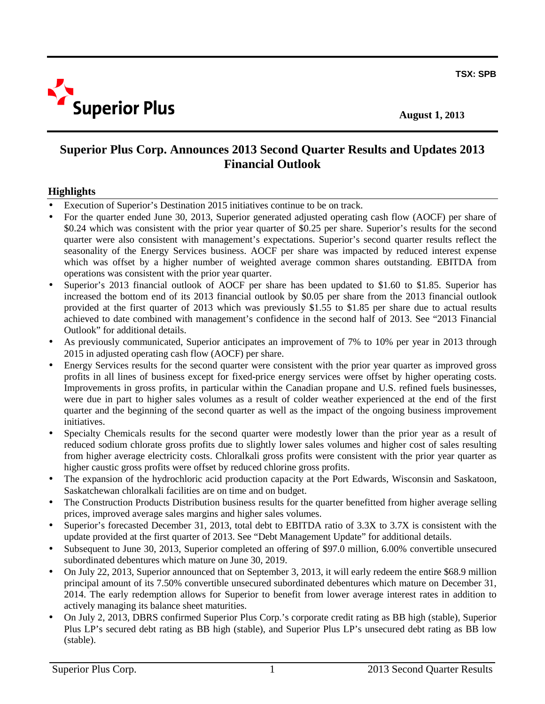

# **Superior Plus Corp. Announces 2013 Second Quarter Results and Updates 2013 Financial Outlook**

### **Highlights**

- Execution of Superior's Destination 2015 initiatives continue to be on track.
- For the quarter ended June 30, 2013, Superior generated adjusted operating cash flow (AOCF) per share of \$0.24 which was consistent with the prior year quarter of \$0.25 per share. Superior's results for the second quarter were also consistent with management's expectations. Superior's second quarter results reflect the seasonality of the Energy Services business. AOCF per share was impacted by reduced interest expense which was offset by a higher number of weighted average common shares outstanding. EBITDA from operations was consistent with the prior year quarter.
- Superior's 2013 financial outlook of AOCF per share has been updated to \$1.60 to \$1.85. Superior has increased the bottom end of its 2013 financial outlook by \$0.05 per share from the 2013 financial outlook provided at the first quarter of 2013 which was previously \$1.55 to \$1.85 per share due to actual results achieved to date combined with management's confidence in the second half of 2013. See "2013 Financial Outlook" for additional details.
- As previously communicated, Superior anticipates an improvement of 7% to 10% per year in 2013 through 2015 in adjusted operating cash flow (AOCF) per share.
- Energy Services results for the second quarter were consistent with the prior year quarter as improved gross profits in all lines of business except for fixed-price energy services were offset by higher operating costs. Improvements in gross profits, in particular within the Canadian propane and U.S. refined fuels businesses, were due in part to higher sales volumes as a result of colder weather experienced at the end of the first quarter and the beginning of the second quarter as well as the impact of the ongoing business improvement initiatives.
- Specialty Chemicals results for the second quarter were modestly lower than the prior year as a result of reduced sodium chlorate gross profits due to slightly lower sales volumes and higher cost of sales resulting from higher average electricity costs. Chloralkali gross profits were consistent with the prior year quarter as higher caustic gross profits were offset by reduced chlorine gross profits.
- The expansion of the hydrochloric acid production capacity at the Port Edwards, Wisconsin and Saskatoon, Saskatchewan chloralkali facilities are on time and on budget.
- The Construction Products Distribution business results for the quarter benefitted from higher average selling prices, improved average sales margins and higher sales volumes.
- Superior's forecasted December 31, 2013, total debt to EBITDA ratio of 3.3X to 3.7X is consistent with the update provided at the first quarter of 2013. See "Debt Management Update" for additional details.
- Subsequent to June 30, 2013, Superior completed an offering of \$97.0 million, 6.00% convertible unsecured subordinated debentures which mature on June 30, 2019.
- On July 22, 2013, Superior announced that on September 3, 2013, it will early redeem the entire \$68.9 million principal amount of its 7.50% convertible unsecured subordinated debentures which mature on December 31, 2014. The early redemption allows for Superior to benefit from lower average interest rates in addition to actively managing its balance sheet maturities.
- On July 2, 2013, DBRS confirmed Superior Plus Corp.'s corporate credit rating as BB high (stable), Superior Plus LP's secured debt rating as BB high (stable), and Superior Plus LP's unsecured debt rating as BB low (stable).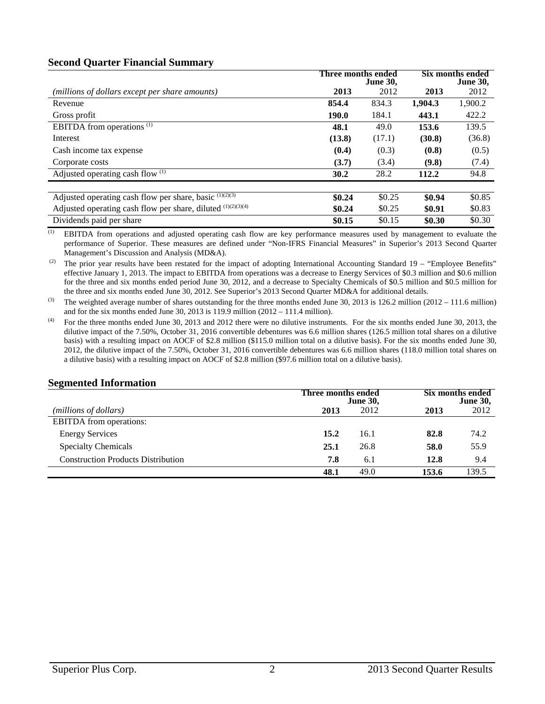#### **Second Quarter Financial Summary**

|                                                              | Three months ended | <b>June 30,</b> | Six months ended<br><b>June 30,</b> |         |
|--------------------------------------------------------------|--------------------|-----------------|-------------------------------------|---------|
| (millions of dollars except per share amounts)               | 2013               | 2012            | 2013                                | 2012    |
| Revenue                                                      | 854.4              | 834.3           | 1,904.3                             | 1,900.2 |
| Gross profit                                                 | 190.0              | 184.1           | 443.1                               | 422.2   |
| EBITDA from operations <sup>(1)</sup>                        | 48.1               | 49.0            | 153.6                               | 139.5   |
| Interest                                                     | (13.8)             | (17.1)          | (30.8)                              | (36.8)  |
| Cash income tax expense                                      | (0.4)              | (0.3)           | (0.8)                               | (0.5)   |
| Corporate costs                                              | (3.7)              | (3.4)           | (9.8)                               | (7.4)   |
| Adjusted operating cash flow <sup>(1)</sup>                  | 30.2               | 28.2            | 112.2                               | 94.8    |
|                                                              |                    |                 |                                     |         |
| Adjusted operating cash flow per share, basic $(1)(2)(3)$    | \$0.24             | \$0.25          | \$0.94                              | \$0.85  |
| Adjusted operating cash flow per share, diluted (1)(2)(3)(4) | \$0.24             | \$0.25          | \$0.91                              | \$0.83  |
| Dividends paid per share                                     | \$0.15             | \$0.15          | \$0.30                              | \$0.30  |

<sup>(1)</sup> EBITDA from operations and adjusted operating cash flow are key performance measures used by management to evaluate the performance of Superior. These measures are defined under "Non-IFRS Financial Measures" in Superior's 2013 Second Quarter Management's Discussion and Analysis (MD&A).

(2) The prior year results have been restated for the impact of adopting International Accounting Standard  $19 -$  "Employee Benefits" effective January 1, 2013. The impact to EBITDA from operations was a decrease to Energy Services of \$0.3 million and \$0.6 million for the three and six months ended period June 30, 2012, and a decrease to Specialty Chemicals of \$0.5 million and \$0.5 million for the three and six months ended June 30, 2012. See Superior's 2013 Second Quarter MD&A for additional details.

<sup>(3)</sup> The weighted average number of shares outstanding for the three months ended June 30, 2013 is 126.2 million (2012 – 111.6 million) and for the six months ended June 30, 2013 is 119.9 million (2012 – 111.4 million).

<sup>(4)</sup> For the three months ended June 30, 2013 and 2012 there were no dilutive instruments. For the six months ended June 30, 2013, the dilutive impact of the 7.50%, October 31, 2016 convertible debentures was 6.6 million shares (126.5 million total shares on a dilutive basis) with a resulting impact on AOCF of \$2.8 million (\$115.0 million total on a dilutive basis). For the six months ended June 30, 2012, the dilutive impact of the 7.50%, October 31, 2016 convertible debentures was 6.6 million shares (118.0 million total shares on a dilutive basis) with a resulting impact on AOCF of \$2.8 million (\$97.6 million total on a dilutive basis).

#### **Segmented Information**

|                                           | Three months ended<br><b>June 30,</b> |      | Six months ended<br><b>June 30,</b> |       |
|-------------------------------------------|---------------------------------------|------|-------------------------------------|-------|
| (millions of dollars)                     | 2013                                  | 2012 | 2013                                | 2012  |
| <b>EBITDA</b> from operations:            |                                       |      |                                     |       |
| <b>Energy Services</b>                    | 15.2                                  | 16.1 | 82.8                                | 74.2  |
| <b>Specialty Chemicals</b>                | 25.1                                  | 26.8 | 58.0                                | 55.9  |
| <b>Construction Products Distribution</b> | 7.8                                   | 6.1  | 12.8                                | 9.4   |
|                                           | 48.1                                  | 49.0 | 153.6                               | 139.5 |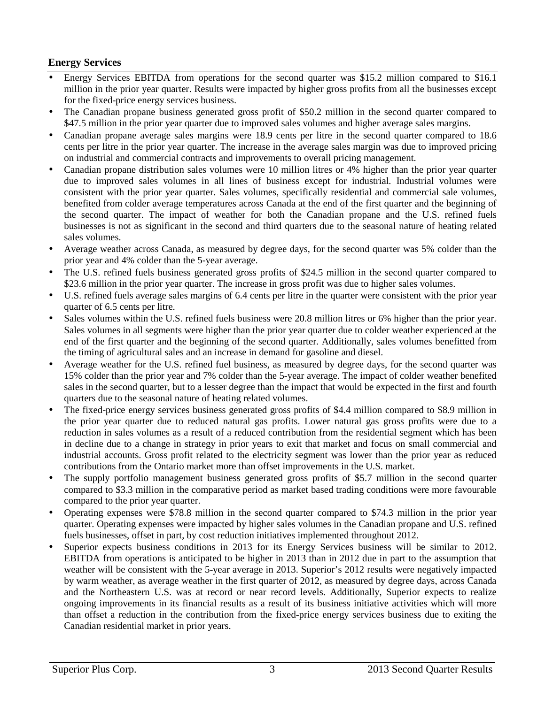# **Energy Services**

- Energy Services EBITDA from operations for the second quarter was \$15.2 million compared to \$16.1 million in the prior year quarter. Results were impacted by higher gross profits from all the businesses except for the fixed-price energy services business.
- The Canadian propane business generated gross profit of \$50.2 million in the second quarter compared to \$47.5 million in the prior year quarter due to improved sales volumes and higher average sales margins.
- Canadian propane average sales margins were 18.9 cents per litre in the second quarter compared to 18.6 cents per litre in the prior year quarter. The increase in the average sales margin was due to improved pricing on industrial and commercial contracts and improvements to overall pricing management.
- Canadian propane distribution sales volumes were 10 million litres or 4% higher than the prior year quarter due to improved sales volumes in all lines of business except for industrial. Industrial volumes were consistent with the prior year quarter. Sales volumes, specifically residential and commercial sale volumes, benefited from colder average temperatures across Canada at the end of the first quarter and the beginning of the second quarter. The impact of weather for both the Canadian propane and the U.S. refined fuels businesses is not as significant in the second and third quarters due to the seasonal nature of heating related sales volumes.
- Average weather across Canada, as measured by degree days, for the second quarter was 5% colder than the prior year and 4% colder than the 5-year average.
- The U.S. refined fuels business generated gross profits of \$24.5 million in the second quarter compared to \$23.6 million in the prior year quarter. The increase in gross profit was due to higher sales volumes.
- U.S. refined fuels average sales margins of 6.4 cents per litre in the quarter were consistent with the prior year quarter of 6.5 cents per litre.
- Sales volumes within the U.S. refined fuels business were 20.8 million litres or 6% higher than the prior year. Sales volumes in all segments were higher than the prior year quarter due to colder weather experienced at the end of the first quarter and the beginning of the second quarter. Additionally, sales volumes benefitted from the timing of agricultural sales and an increase in demand for gasoline and diesel.
- Average weather for the U.S. refined fuel business, as measured by degree days, for the second quarter was 15% colder than the prior year and 7% colder than the 5-year average. The impact of colder weather benefited sales in the second quarter, but to a lesser degree than the impact that would be expected in the first and fourth quarters due to the seasonal nature of heating related volumes.
- The fixed-price energy services business generated gross profits of \$4.4 million compared to \$8.9 million in the prior year quarter due to reduced natural gas profits. Lower natural gas gross profits were due to a reduction in sales volumes as a result of a reduced contribution from the residential segment which has been in decline due to a change in strategy in prior years to exit that market and focus on small commercial and industrial accounts. Gross profit related to the electricity segment was lower than the prior year as reduced contributions from the Ontario market more than offset improvements in the U.S. market.
- The supply portfolio management business generated gross profits of \$5.7 million in the second quarter compared to \$3.3 million in the comparative period as market based trading conditions were more favourable compared to the prior year quarter.
- Operating expenses were \$78.8 million in the second quarter compared to \$74.3 million in the prior year quarter. Operating expenses were impacted by higher sales volumes in the Canadian propane and U.S. refined fuels businesses, offset in part, by cost reduction initiatives implemented throughout 2012.
- Superior expects business conditions in 2013 for its Energy Services business will be similar to 2012. EBITDA from operations is anticipated to be higher in 2013 than in 2012 due in part to the assumption that weather will be consistent with the 5-year average in 2013. Superior's 2012 results were negatively impacted by warm weather, as average weather in the first quarter of 2012, as measured by degree days, across Canada and the Northeastern U.S. was at record or near record levels. Additionally, Superior expects to realize ongoing improvements in its financial results as a result of its business initiative activities which will more than offset a reduction in the contribution from the fixed-price energy services business due to exiting the Canadian residential market in prior years.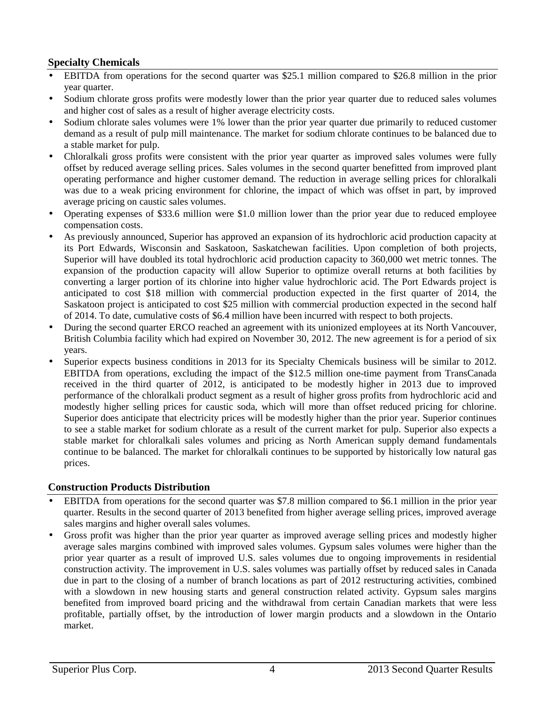# **Specialty Chemicals**

- EBITDA from operations for the second quarter was \$25.1 million compared to \$26.8 million in the prior year quarter.
- Sodium chlorate gross profits were modestly lower than the prior year quarter due to reduced sales volumes and higher cost of sales as a result of higher average electricity costs.
- Sodium chlorate sales volumes were 1% lower than the prior year quarter due primarily to reduced customer demand as a result of pulp mill maintenance. The market for sodium chlorate continues to be balanced due to a stable market for pulp.
- Chloralkali gross profits were consistent with the prior year quarter as improved sales volumes were fully offset by reduced average selling prices. Sales volumes in the second quarter benefitted from improved plant operating performance and higher customer demand. The reduction in average selling prices for chloralkali was due to a weak pricing environment for chlorine, the impact of which was offset in part, by improved average pricing on caustic sales volumes.
- Operating expenses of \$33.6 million were \$1.0 million lower than the prior year due to reduced employee compensation costs.
- As previously announced, Superior has approved an expansion of its hydrochloric acid production capacity at its Port Edwards, Wisconsin and Saskatoon, Saskatchewan facilities. Upon completion of both projects, Superior will have doubled its total hydrochloric acid production capacity to 360,000 wet metric tonnes. The expansion of the production capacity will allow Superior to optimize overall returns at both facilities by converting a larger portion of its chlorine into higher value hydrochloric acid. The Port Edwards project is anticipated to cost \$18 million with commercial production expected in the first quarter of 2014, the Saskatoon project is anticipated to cost \$25 million with commercial production expected in the second half of 2014. To date, cumulative costs of \$6.4 million have been incurred with respect to both projects.
- During the second quarter ERCO reached an agreement with its unionized employees at its North Vancouver, British Columbia facility which had expired on November 30, 2012. The new agreement is for a period of six years.
- Superior expects business conditions in 2013 for its Specialty Chemicals business will be similar to 2012. EBITDA from operations, excluding the impact of the \$12.5 million one-time payment from TransCanada received in the third quarter of 2012, is anticipated to be modestly higher in 2013 due to improved performance of the chloralkali product segment as a result of higher gross profits from hydrochloric acid and modestly higher selling prices for caustic soda, which will more than offset reduced pricing for chlorine. Superior does anticipate that electricity prices will be modestly higher than the prior year. Superior continues to see a stable market for sodium chlorate as a result of the current market for pulp. Superior also expects a stable market for chloralkali sales volumes and pricing as North American supply demand fundamentals continue to be balanced. The market for chloralkali continues to be supported by historically low natural gas prices.

# **Construction Products Distribution**

- EBITDA from operations for the second quarter was \$7.8 million compared to \$6.1 million in the prior year quarter. Results in the second quarter of 2013 benefited from higher average selling prices, improved average sales margins and higher overall sales volumes.
- Gross profit was higher than the prior year quarter as improved average selling prices and modestly higher average sales margins combined with improved sales volumes. Gypsum sales volumes were higher than the prior year quarter as a result of improved U.S. sales volumes due to ongoing improvements in residential construction activity. The improvement in U.S. sales volumes was partially offset by reduced sales in Canada due in part to the closing of a number of branch locations as part of 2012 restructuring activities, combined with a slowdown in new housing starts and general construction related activity. Gypsum sales margins benefited from improved board pricing and the withdrawal from certain Canadian markets that were less profitable, partially offset, by the introduction of lower margin products and a slowdown in the Ontario market.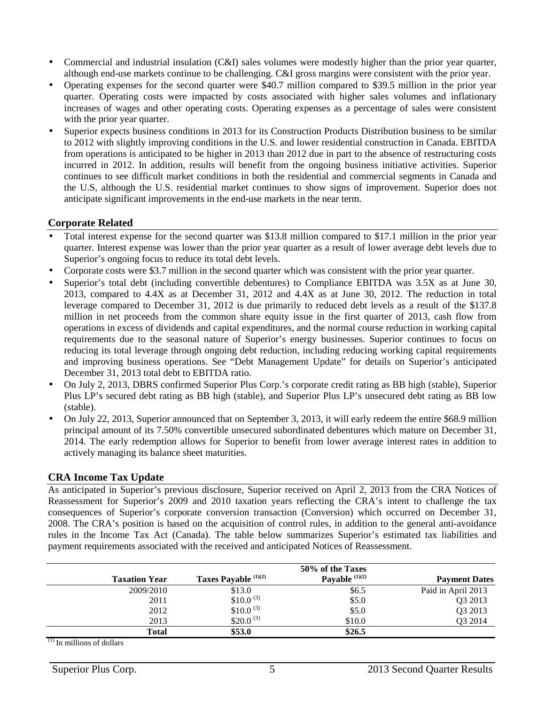- Commercial and industrial insulation (C&I) sales volumes were modestly higher than the prior year quarter, although end-use markets continue to be challenging. C&I gross margins were consistent with the prior year.
- Operating expenses for the second quarter were \$40.7 million compared to \$39.5 million in the prior year quarter. Operating costs were impacted by costs associated with higher sales volumes and inflationary increases of wages and other operating costs. Operating expenses as a percentage of sales were consistent with the prior year quarter.
- Superior expects business conditions in 2013 for its Construction Products Distribution business to be similar to 2012 with slightly improving conditions in the U.S. and lower residential construction in Canada. EBITDA from operations is anticipated to be higher in 2013 than 2012 due in part to the absence of restructuring costs incurred in 2012. In addition, results will benefit from the ongoing business initiative activities. Superior continues to see difficult market conditions in both the residential and commercial segments in Canada and the U.S, although the U.S. residential market continues to show signs of improvement. Superior does not anticipate significant improvements in the end-use markets in the near term.

# **Corporate Related**

- Total interest expense for the second quarter was \$13.8 million compared to \$17.1 million in the prior year quarter. Interest expense was lower than the prior year quarter as a result of lower average debt levels due to Superior's ongoing focus to reduce its total debt levels.
- Corporate costs were \$3.7 million in the second quarter which was consistent with the prior year quarter.
- Superior's total debt (including convertible debentures) to Compliance EBITDA was 3.5X as at June 30, 2013, compared to 4.4X as at December 31, 2012 and 4.4X as at June 30, 2012. The reduction in total leverage compared to December 31, 2012 is due primarily to reduced debt levels as a result of the \$137.8 million in net proceeds from the common share equity issue in the first quarter of 2013, cash flow from operations in excess of dividends and capital expenditures, and the normal course reduction in working capital requirements due to the seasonal nature of Superior's energy businesses. Superior continues to focus on reducing its total leverage through ongoing debt reduction, including reducing working capital requirements and improving business operations. See "Debt Management Update" for details on Superior's anticipated December 31, 2013 total debt to EBITDA ratio.
- On July 2, 2013, DBRS confirmed Superior Plus Corp.'s corporate credit rating as BB high (stable), Superior Plus LP's secured debt rating as BB high (stable), and Superior Plus LP's unsecured debt rating as BB low (stable).
- On July 22, 2013, Superior announced that on September 3, 2013, it will early redeem the entire \$68.9 million principal amount of its 7.50% convertible unsecured subordinated debentures which mature on December 31, 2014. The early redemption allows for Superior to benefit from lower average interest rates in addition to actively managing its balance sheet maturities.

# **CRA Income Tax Update**

As anticipated in Superior's previous disclosure, Superior received on April 2, 2013 from the CRA Notices of Reassessment for Superior's 2009 and 2010 taxation years reflecting the CRA's intent to challenge the tax consequences of Superior's corporate conversion transaction (Conversion) which occurred on December 31, 2008. The CRA's position is based on the acquisition of control rules, in addition to the general anti-avoidance rules in the Income Tax Act (Canada). The table below summarizes Superior's estimated tax liabilities and payment requirements associated with the received and anticipated Notices of Reassessment.

|                      |                        | 50% of the Taxes |                      |
|----------------------|------------------------|------------------|----------------------|
| <b>Taxation Year</b> | Taxes Payable $(1)(2)$ | Payable $(1)(2)$ | <b>Payment Dates</b> |
| 2009/2010            | \$13.0                 | \$6.5            | Paid in April 2013   |
| 2011                 | $$10.0^{(3)}$          | \$5.0            | Q3 2013              |
| 2012                 | \$10.0 <sup>(3)</sup>  | \$5.0            | Q3 2013              |
| 2013                 | \$20.0 <sup>(3)</sup>  | \$10.0           | Q3 2014              |
| <b>Total</b>         | \$53.0                 | \$26.5           |                      |

 $(1)$  In millions of dollars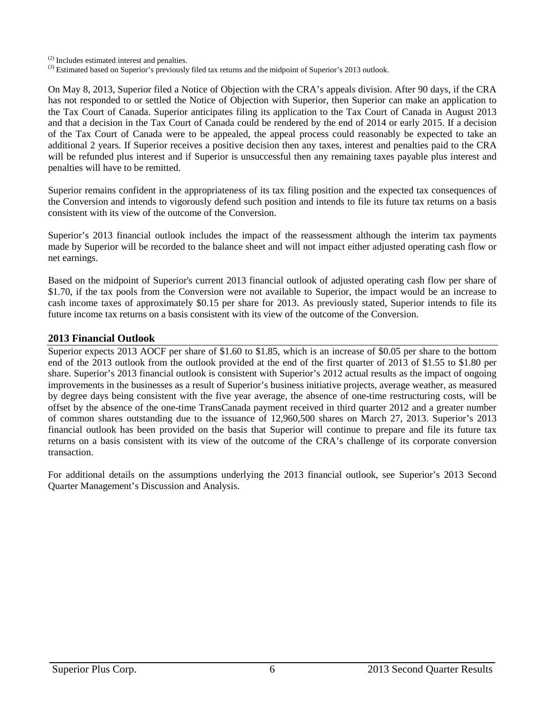(2) Includes estimated interest and penalties.

(3) Estimated based on Superior's previously filed tax returns and the midpoint of Superior's 2013 outlook.

On May 8, 2013, Superior filed a Notice of Objection with the CRA's appeals division. After 90 days, if the CRA has not responded to or settled the Notice of Objection with Superior, then Superior can make an application to the Tax Court of Canada. Superior anticipates filing its application to the Tax Court of Canada in August 2013 and that a decision in the Tax Court of Canada could be rendered by the end of 2014 or early 2015. If a decision of the Tax Court of Canada were to be appealed, the appeal process could reasonably be expected to take an additional 2 years. If Superior receives a positive decision then any taxes, interest and penalties paid to the CRA will be refunded plus interest and if Superior is unsuccessful then any remaining taxes payable plus interest and penalties will have to be remitted.

Superior remains confident in the appropriateness of its tax filing position and the expected tax consequences of the Conversion and intends to vigorously defend such position and intends to file its future tax returns on a basis consistent with its view of the outcome of the Conversion.

Superior's 2013 financial outlook includes the impact of the reassessment although the interim tax payments made by Superior will be recorded to the balance sheet and will not impact either adjusted operating cash flow or net earnings.

Based on the midpoint of Superior's current 2013 financial outlook of adjusted operating cash flow per share of \$1.70, if the tax pools from the Conversion were not available to Superior, the impact would be an increase to cash income taxes of approximately \$0.15 per share for 2013. As previously stated, Superior intends to file its future income tax returns on a basis consistent with its view of the outcome of the Conversion.

#### **2013 Financial Outlook**

Superior expects 2013 AOCF per share of \$1.60 to \$1.85, which is an increase of \$0.05 per share to the bottom end of the 2013 outlook from the outlook provided at the end of the first quarter of 2013 of \$1.55 to \$1.80 per share. Superior's 2013 financial outlook is consistent with Superior's 2012 actual results as the impact of ongoing improvements in the businesses as a result of Superior's business initiative projects, average weather, as measured by degree days being consistent with the five year average, the absence of one-time restructuring costs, will be offset by the absence of the one-time TransCanada payment received in third quarter 2012 and a greater number of common shares outstanding due to the issuance of 12,960,500 shares on March 27, 2013. Superior's 2013 financial outlook has been provided on the basis that Superior will continue to prepare and file its future tax returns on a basis consistent with its view of the outcome of the CRA's challenge of its corporate conversion transaction.

For additional details on the assumptions underlying the 2013 financial outlook, see Superior's 2013 Second Quarter Management's Discussion and Analysis.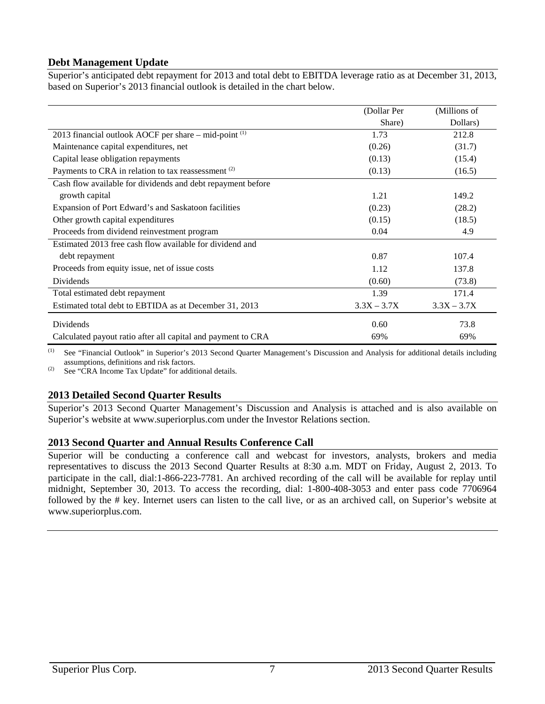# **Debt Management Update**

Superior's anticipated debt repayment for 2013 and total debt to EBITDA leverage ratio as at December 31, 2013, based on Superior's 2013 financial outlook is detailed in the chart below.

|                                                                | (Dollar Per   | (Millions of  |
|----------------------------------------------------------------|---------------|---------------|
|                                                                | Share)        | Dollars)      |
| 2013 financial outlook AOCF per share – mid-point $(1)$        | 1.73          | 212.8         |
| Maintenance capital expenditures, net                          | (0.26)        | (31.7)        |
| Capital lease obligation repayments                            | (0.13)        | (15.4)        |
| Payments to CRA in relation to tax reassessment <sup>(2)</sup> | (0.13)        | (16.5)        |
| Cash flow available for dividends and debt repayment before    |               |               |
| growth capital                                                 | 1.21          | 149.2         |
| Expansion of Port Edward's and Saskatoon facilities            | (0.23)        | (28.2)        |
| Other growth capital expenditures                              | (0.15)        | (18.5)        |
| Proceeds from dividend reinvestment program                    | 0.04          | 4.9           |
| Estimated 2013 free cash flow available for dividend and       |               |               |
| debt repayment                                                 | 0.87          | 107.4         |
| Proceeds from equity issue, net of issue costs                 | 1.12          | 137.8         |
| Dividends                                                      | (0.60)        | (73.8)        |
| Total estimated debt repayment                                 | 1.39          | 171.4         |
| Estimated total debt to EBTIDA as at December 31, 2013         | $3.3X - 3.7X$ | $3.3X - 3.7X$ |
| Dividends                                                      | 0.60          | 73.8          |
| Calculated payout ratio after all capital and payment to CRA   | 69%           | 69%           |

(1) See "Financial Outlook" in Superior's 2013 Second Quarter Management's Discussion and Analysis for additional details including assumptions, definitions and risk factors.

(2) See "CRA Income Tax Update" for additional details.

#### **2013 Detailed Second Quarter Results**

Superior's 2013 Second Quarter Management's Discussion and Analysis is attached and is also available on Superior's website at www.superiorplus.com under the Investor Relations section.

#### **2013 Second Quarter and Annual Results Conference Call**

Superior will be conducting a conference call and webcast for investors, analysts, brokers and media representatives to discuss the 2013 Second Quarter Results at 8:30 a.m. MDT on Friday, August 2, 2013. To participate in the call, dial:1-866-223-7781. An archived recording of the call will be available for replay until midnight, September 30, 2013. To access the recording, dial: 1-800-408-3053 and enter pass code 7706964 followed by the # key. Internet users can listen to the call live, or as an archived call, on Superior's website at www.superiorplus.com.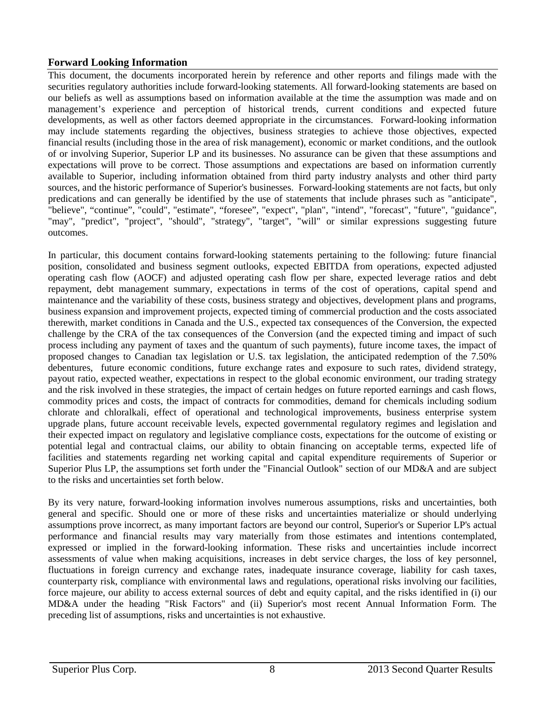# **Forward Looking Information**

This document, the documents incorporated herein by reference and other reports and filings made with the securities regulatory authorities include forward-looking statements. All forward-looking statements are based on our beliefs as well as assumptions based on information available at the time the assumption was made and on management's experience and perception of historical trends, current conditions and expected future developments, as well as other factors deemed appropriate in the circumstances. Forward-looking information may include statements regarding the objectives, business strategies to achieve those objectives, expected financial results (including those in the area of risk management), economic or market conditions, and the outlook of or involving Superior, Superior LP and its businesses. No assurance can be given that these assumptions and expectations will prove to be correct. Those assumptions and expectations are based on information currently available to Superior, including information obtained from third party industry analysts and other third party sources, and the historic performance of Superior's businesses. Forward-looking statements are not facts, but only predications and can generally be identified by the use of statements that include phrases such as "anticipate", "believe", "continue", "could", "estimate", "foresee", "expect", "plan", "intend", "forecast", "future", "guidance", "may", "predict", "project", "should", "strategy", "target", "will" or similar expressions suggesting future outcomes.

In particular, this document contains forward-looking statements pertaining to the following: future financial position, consolidated and business segment outlooks, expected EBITDA from operations, expected adjusted operating cash flow (AOCF) and adjusted operating cash flow per share, expected leverage ratios and debt repayment, debt management summary, expectations in terms of the cost of operations, capital spend and maintenance and the variability of these costs, business strategy and objectives, development plans and programs, business expansion and improvement projects, expected timing of commercial production and the costs associated therewith, market conditions in Canada and the U.S., expected tax consequences of the Conversion, the expected challenge by the CRA of the tax consequences of the Conversion (and the expected timing and impact of such process including any payment of taxes and the quantum of such payments), future income taxes, the impact of proposed changes to Canadian tax legislation or U.S. tax legislation, the anticipated redemption of the 7.50% debentures, future economic conditions, future exchange rates and exposure to such rates, dividend strategy, payout ratio, expected weather, expectations in respect to the global economic environment, our trading strategy and the risk involved in these strategies, the impact of certain hedges on future reported earnings and cash flows, commodity prices and costs, the impact of contracts for commodities, demand for chemicals including sodium chlorate and chloralkali, effect of operational and technological improvements, business enterprise system upgrade plans, future account receivable levels, expected governmental regulatory regimes and legislation and their expected impact on regulatory and legislative compliance costs, expectations for the outcome of existing or potential legal and contractual claims, our ability to obtain financing on acceptable terms, expected life of facilities and statements regarding net working capital and capital expenditure requirements of Superior or Superior Plus LP, the assumptions set forth under the "Financial Outlook" section of our MD&A and are subject to the risks and uncertainties set forth below.

By its very nature, forward-looking information involves numerous assumptions, risks and uncertainties, both general and specific. Should one or more of these risks and uncertainties materialize or should underlying assumptions prove incorrect, as many important factors are beyond our control, Superior's or Superior LP's actual performance and financial results may vary materially from those estimates and intentions contemplated, expressed or implied in the forward-looking information. These risks and uncertainties include incorrect assessments of value when making acquisitions, increases in debt service charges, the loss of key personnel, fluctuations in foreign currency and exchange rates, inadequate insurance coverage, liability for cash taxes, counterparty risk, compliance with environmental laws and regulations, operational risks involving our facilities, force majeure, our ability to access external sources of debt and equity capital, and the risks identified in (i) our MD&A under the heading "Risk Factors" and (ii) Superior's most recent Annual Information Form. The preceding list of assumptions, risks and uncertainties is not exhaustive.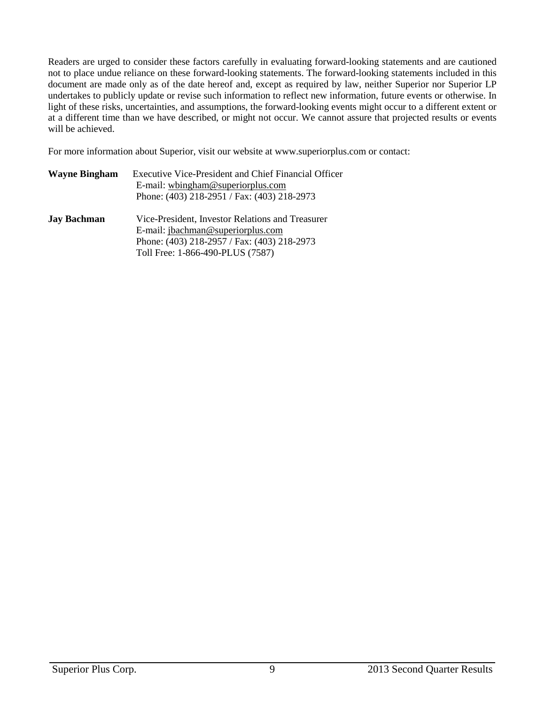Readers are urged to consider these factors carefully in evaluating forward-looking statements and are cautioned not to place undue reliance on these forward-looking statements. The forward-looking statements included in this document are made only as of the date hereof and, except as required by law, neither Superior nor Superior LP undertakes to publicly update or revise such information to reflect new information, future events or otherwise. In light of these risks, uncertainties, and assumptions, the forward-looking events might occur to a different extent or at a different time than we have described, or might not occur. We cannot assure that projected results or events will be achieved.

For more information about Superior, visit our website at www.superiorplus.com or contact:

| <b>Wayne Bingham</b> | <b>Executive Vice-President and Chief Financial Officer</b> |
|----------------------|-------------------------------------------------------------|
|                      | E-mail: wbingham@superiorplus.com                           |
|                      | Phone: (403) 218-2951 / Fax: (403) 218-2973                 |
| <b>Jay Bachman</b>   | Vice-President, Investor Relations and Treasurer            |
|                      | E-mail: jbachman@superiorplus.com                           |
|                      | Phone: (403) 218-2957 / Fax: (403) 218-2973                 |
|                      | Toll Free: 1-866-490-PLUS (7587)                            |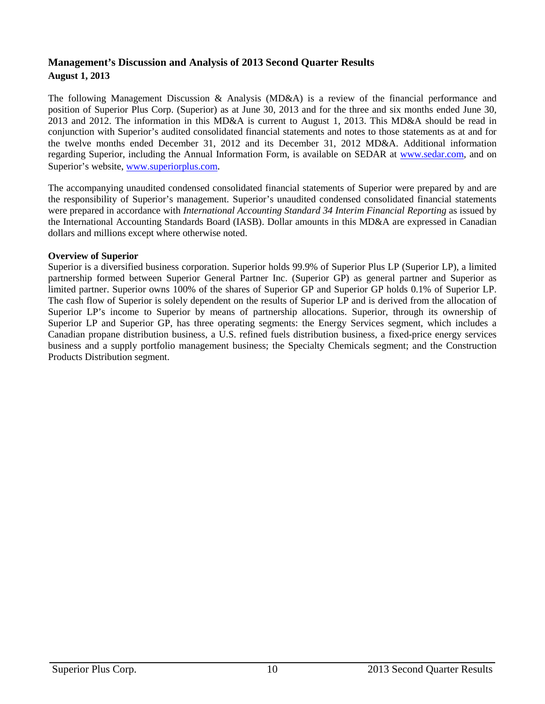# **Management's Discussion and Analysis of 2013 Second Quarter Results August 1, 2013**

The following Management Discussion & Analysis (MD&A) is a review of the financial performance and position of Superior Plus Corp. (Superior) as at June 30, 2013 and for the three and six months ended June 30, 2013 and 2012. The information in this MD&A is current to August 1, 2013. This MD&A should be read in conjunction with Superior's audited consolidated financial statements and notes to those statements as at and for the twelve months ended December 31, 2012 and its December 31, 2012 MD&A. Additional information regarding Superior, including the Annual Information Form, is available on SEDAR at www.sedar.com, and on Superior's website, www.superiorplus.com.

The accompanying unaudited condensed consolidated financial statements of Superior were prepared by and are the responsibility of Superior's management. Superior's unaudited condensed consolidated financial statements were prepared in accordance with *International Accounting Standard 34 Interim Financial Reporting* as issued by the International Accounting Standards Board (IASB). Dollar amounts in this MD&A are expressed in Canadian dollars and millions except where otherwise noted.

#### **Overview of Superior**

Superior is a diversified business corporation. Superior holds 99.9% of Superior Plus LP (Superior LP), a limited partnership formed between Superior General Partner Inc. (Superior GP) as general partner and Superior as limited partner. Superior owns 100% of the shares of Superior GP and Superior GP holds 0.1% of Superior LP. The cash flow of Superior is solely dependent on the results of Superior LP and is derived from the allocation of Superior LP's income to Superior by means of partnership allocations. Superior, through its ownership of Superior LP and Superior GP, has three operating segments: the Energy Services segment, which includes a Canadian propane distribution business, a U.S. refined fuels distribution business, a fixed-price energy services business and a supply portfolio management business; the Specialty Chemicals segment; and the Construction Products Distribution segment.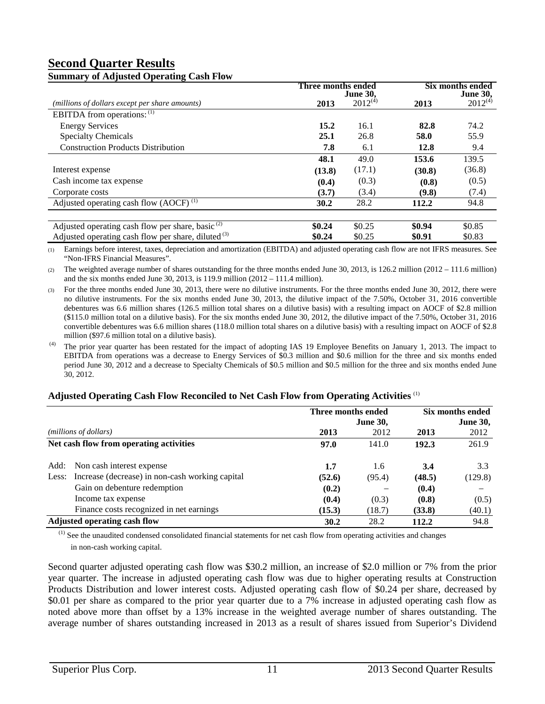### **Second Quarter Results Summary of Adjusted Operating Cash Flow**

| ິ                                                  | Three months ended | <b>June 30.</b> |        | Six months ended<br>June 30. |
|----------------------------------------------------|--------------------|-----------------|--------|------------------------------|
| (millions of dollars except per share amounts)     | 2013               | $2012^{(4)}$    | 2013   | $2012^{(4)}$                 |
| EBITDA from operations: (1)                        |                    |                 |        |                              |
| <b>Energy Services</b>                             | 15.2               | 16.1            | 82.8   | 74.2                         |
| <b>Specialty Chemicals</b>                         | 25.1               | 26.8            | 58.0   | 55.9                         |
| <b>Construction Products Distribution</b>          | 7.8                | 6.1             | 12.8   | 9.4                          |
|                                                    | 48.1               | 49.0            | 153.6  | 139.5                        |
| Interest expense                                   | (13.8)             | (17.1)          | (30.8) | (36.8)                       |
| Cash income tax expense                            | (0.4)              | (0.3)           | (0.8)  | (0.5)                        |
| Corporate costs                                    | (3.7)              | (3.4)           | (9.8)  | (7.4)                        |
| Adjusted operating cash flow (AOCF) <sup>(1)</sup> | 30.2               | 28.2            | 112.2  | 94.8                         |
|                                                    |                    |                 |        |                              |

| Adjusted operating cash flow per share, basic $(2)$   | \$0.24 | \$0.25 | \$0.94 | \$0.85 |
|-------------------------------------------------------|--------|--------|--------|--------|
| Adjusted operating cash flow per share, diluted $(3)$ | \$0.24 | \$0.25 | \$0.91 | \$0.83 |

(1) Earnings before interest, taxes, depreciation and amortization (EBITDA) and adjusted operating cash flow are not IFRS measures. See "Non-IFRS Financial Measures".

(2) The weighted average number of shares outstanding for the three months ended June 30, 2013, is  $126.2$  million  $(2012 - 111.6$  million) and the six months ended June 30, 2013, is 119.9 million (2012 – 111.4 million).

(3) For the three months ended June 30, 2013, there were no dilutive instruments. For the three months ended June 30, 2012, there were no dilutive instruments. For the six months ended June 30, 2013, the dilutive impact of the 7.50%, October 31, 2016 convertible debentures was 6.6 million shares (126.5 million total shares on a dilutive basis) with a resulting impact on AOCF of \$2.8 million (\$115.0 million total on a dilutive basis). For the six months ended June 30, 2012, the dilutive impact of the 7.50%, October 31, 2016 convertible debentures was 6.6 million shares (118.0 million total shares on a dilutive basis) with a resulting impact on AOCF of \$2.8 million (\$97.6 million total on a dilutive basis).

The prior year quarter has been restated for the impact of adopting IAS 19 Employee Benefits on January 1, 2013. The impact to EBITDA from operations was a decrease to Energy Services of \$0.3 million and \$0.6 million for the three and six months ended period June 30, 2012 and a decrease to Specialty Chemicals of \$0.5 million and \$0.5 million for the three and six months ended June 30, 2012.

#### **Adjusted Operating Cash Flow Reconciled to Net Cash Flow from Operating Activities** (1)

|       |                                                 | Three months ended |                 |        | Six months ended |
|-------|-------------------------------------------------|--------------------|-----------------|--------|------------------|
|       |                                                 |                    | <b>June 30,</b> |        | <b>June 30,</b>  |
|       | (millions of dollars)                           | 2013               | 2012            | 2013   | 2012             |
|       | Net cash flow from operating activities         | 97.0               | 141.0           | 192.3  | 261.9            |
| Add:  | Non cash interest expense                       | 1.7                | 1.6             | 3.4    | 3.3              |
| Less: | Increase (decrease) in non-cash working capital | (52.6)             | (95.4)          | (48.5) | (129.8)          |
|       | Gain on debenture redemption                    | (0.2)              |                 | (0.4)  |                  |
|       | Income tax expense                              | (0.4)              | (0.3)           | (0.8)  | (0.5)            |
|       | Finance costs recognized in net earnings        | (15.3)             | (18.7)          | (33.8) | (40.1)           |
|       | Adjusted operating cash flow                    | 30.2               | 28.2            | 112.2  | 94.8             |

 $<sup>(1)</sup>$  See the unaudited condensed consolidated financial statements for net cash flow from operating activities and changes</sup> in non-cash working capital.

Second quarter adjusted operating cash flow was \$30.2 million, an increase of \$2.0 million or 7% from the prior year quarter. The increase in adjusted operating cash flow was due to higher operating results at Construction Products Distribution and lower interest costs. Adjusted operating cash flow of \$0.24 per share, decreased by \$0.01 per share as compared to the prior year quarter due to a 7% increase in adjusted operating cash flow as noted above more than offset by a 13% increase in the weighted average number of shares outstanding. The average number of shares outstanding increased in 2013 as a result of shares issued from Superior's Dividend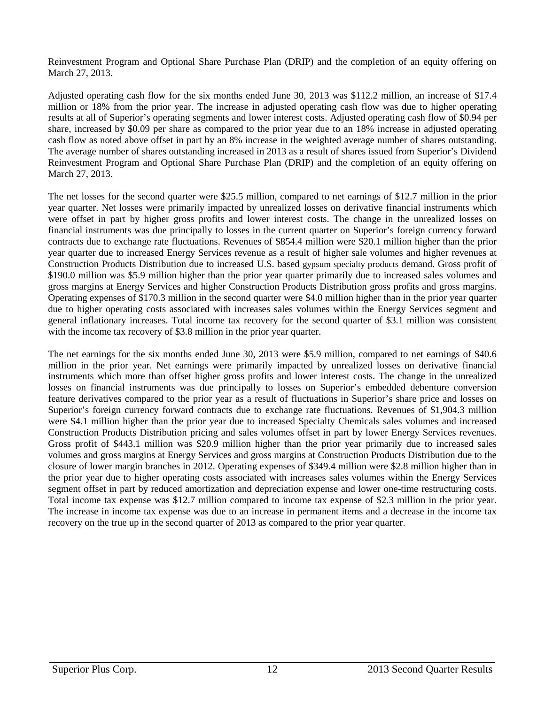Reinvestment Program and Optional Share Purchase Plan (DRIP) and the completion of an equity offering on March 27, 2013.

Adjusted operating cash flow for the six months ended June 30, 2013 was \$112.2 million, an increase of \$17.4 million or 18% from the prior year. The increase in adjusted operating cash flow was due to higher operating results at all of Superior's operating segments and lower interest costs. Adjusted operating cash flow of \$0.94 per share, increased by \$0.09 per share as compared to the prior year due to an 18% increase in adjusted operating cash flow as noted above offset in part by an 8% increase in the weighted average number of shares outstanding. The average number of shares outstanding increased in 2013 as a result of shares issued from Superior's Dividend Reinvestment Program and Optional Share Purchase Plan (DRIP) and the completion of an equity offering on March 27, 2013.

The net losses for the second quarter were \$25.5 million, compared to net earnings of \$12.7 million in the prior year quarter. Net losses were primarily impacted by unrealized losses on derivative financial instruments which were offset in part by higher gross profits and lower interest costs. The change in the unrealized losses on financial instruments was due principally to losses in the current quarter on Superior's foreign currency forward contracts due to exchange rate fluctuations. Revenues of \$854.4 million were \$20.1 million higher than the prior year quarter due to increased Energy Services revenue as a result of higher sale volumes and higher revenues at Construction Products Distribution due to increased U.S. based gypsum specialty products demand. Gross profit of \$190.0 million was \$5.9 million higher than the prior year quarter primarily due to increased sales volumes and gross margins at Energy Services and higher Construction Products Distribution gross profits and gross margins. Operating expenses of \$170.3 million in the second quarter were \$4.0 million higher than in the prior year quarter due to higher operating costs associated with increases sales volumes within the Energy Services segment and general inflationary increases. Total income tax recovery for the second quarter of \$3.1 million was consistent with the income tax recovery of \$3.8 million in the prior year quarter.

The net earnings for the six months ended June 30, 2013 were \$5.9 million, compared to net earnings of \$40.6 million in the prior year. Net earnings were primarily impacted by unrealized losses on derivative financial instruments which more than offset higher gross profits and lower interest costs. The change in the unrealized losses on financial instruments was due principally to losses on Superior's embedded debenture conversion feature derivatives compared to the prior year as a result of fluctuations in Superior's share price and losses on Superior's foreign currency forward contracts due to exchange rate fluctuations. Revenues of \$1,904.3 million were \$4.1 million higher than the prior year due to increased Specialty Chemicals sales volumes and increased Construction Products Distribution pricing and sales volumes offset in part by lower Energy Services revenues. Gross profit of \$443.1 million was \$20.9 million higher than the prior year primarily due to increased sales volumes and gross margins at Energy Services and gross margins at Construction Products Distribution due to the closure of lower margin branches in 2012. Operating expenses of \$349.4 million were \$2.8 million higher than in the prior year due to higher operating costs associated with increases sales volumes within the Energy Services segment offset in part by reduced amortization and depreciation expense and lower one-time restructuring costs. Total income tax expense was \$12.7 million compared to income tax expense of \$2.3 million in the prior year. The increase in income tax expense was due to an increase in permanent items and a decrease in the income tax recovery on the true up in the second quarter of 2013 as compared to the prior year quarter.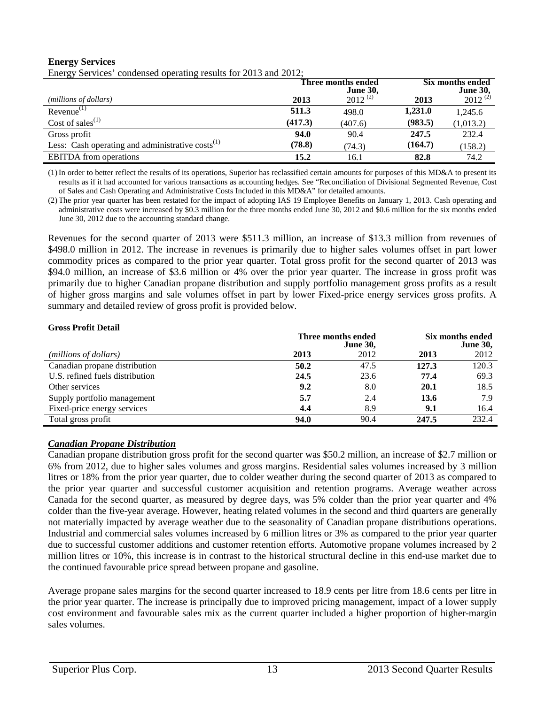| $\frac{1}{2}$ subsequently the contract of $\frac{1}{2}$ . The second second second $\frac{1}{2}$ | Three months ended |              | Six months ended<br><b>June 30,</b> |              |
|---------------------------------------------------------------------------------------------------|--------------------|--------------|-------------------------------------|--------------|
| (millions of dollars)                                                                             | 2013               | $2012^{(2)}$ | 2013                                | $2012^{(2)}$ |
| $Revenue$ <sup>(1)</sup>                                                                          | 511.3              | 498.0        | 1,231.0                             | 1,245.6      |
| Cost of sales <sup><math>(1)</math></sup>                                                         | (417.3)            | (407.6)      | (983.5)                             | (1,013.2)    |
| Gross profit                                                                                      | 94.0               | 90.4         | 247.5                               | 232.4        |
| Less: Cash operating and administrative $costs^{(1)}$                                             | (78.8)             | (74.3)       | (164.7)                             | (158.2)      |
| <b>EBITDA</b> from operations                                                                     | 15.2               | 16.1         | 82.8                                | 74.2         |

**Energy Services**  Energy Services' condensed operating results for 2013 and 2012;

(1)In order to better reflect the results of its operations, Superior has reclassified certain amounts for purposes of this MD&A to present its results as if it had accounted for various transactions as accounting hedges. See "Reconciliation of Divisional Segmented Revenue, Cost of Sales and Cash Operating and Administrative Costs Included in this MD&A" for detailed amounts.

(2) The prior year quarter has been restated for the impact of adopting IAS 19 Employee Benefits on January 1, 2013. Cash operating and administrative costs were increased by \$0.3 million for the three months ended June 30, 2012 and \$0.6 million for the six months ended June 30, 2012 due to the accounting standard change.

Revenues for the second quarter of 2013 were \$511.3 million, an increase of \$13.3 million from revenues of \$498.0 million in 2012. The increase in revenues is primarily due to higher sales volumes offset in part lower commodity prices as compared to the prior year quarter. Total gross profit for the second quarter of 2013 was \$94.0 million, an increase of \$3.6 million or 4% over the prior year quarter. The increase in gross profit was primarily due to higher Canadian propane distribution and supply portfolio management gross profits as a result of higher gross margins and sale volumes offset in part by lower Fixed-price energy services gross profits. A summary and detailed review of gross profit is provided below.

#### **Gross Profit Detail**

|                                 |      | Three months ended<br><b>June 30,</b> |             | Six months ended<br><b>June 30,</b> |
|---------------------------------|------|---------------------------------------|-------------|-------------------------------------|
| (millions of dollars)           | 2013 | 2012                                  | 2013        | 2012                                |
| Canadian propane distribution   | 50.2 | 47.5                                  | 127.3       | 120.3                               |
| U.S. refined fuels distribution | 24.5 | 23.6                                  | 77.4        | 69.3                                |
| Other services                  | 9.2  | 8.0                                   | <b>20.1</b> | 18.5                                |
| Supply portfolio management     | 5.7  | 2.4                                   | 13.6        | 7.9                                 |
| Fixed-price energy services     | 4.4  | 8.9                                   | 9.1         | 16.4                                |
| Total gross profit              | 94.0 | 90.4                                  | 247.5       | 232.4                               |

#### *Canadian Propane Distribution*

Canadian propane distribution gross profit for the second quarter was \$50.2 million, an increase of \$2.7 million or 6% from 2012, due to higher sales volumes and gross margins. Residential sales volumes increased by 3 million litres or 18% from the prior year quarter, due to colder weather during the second quarter of 2013 as compared to the prior year quarter and successful customer acquisition and retention programs. Average weather across Canada for the second quarter, as measured by degree days, was 5% colder than the prior year quarter and 4% colder than the five-year average. However, heating related volumes in the second and third quarters are generally not materially impacted by average weather due to the seasonality of Canadian propane distributions operations. Industrial and commercial sales volumes increased by 6 million litres or 3% as compared to the prior year quarter due to successful customer additions and customer retention efforts. Automotive propane volumes increased by 2 million litres or 10%, this increase is in contrast to the historical structural decline in this end-use market due to the continued favourable price spread between propane and gasoline.

Average propane sales margins for the second quarter increased to 18.9 cents per litre from 18.6 cents per litre in the prior year quarter. The increase is principally due to improved pricing management, impact of a lower supply cost environment and favourable sales mix as the current quarter included a higher proportion of higher-margin sales volumes.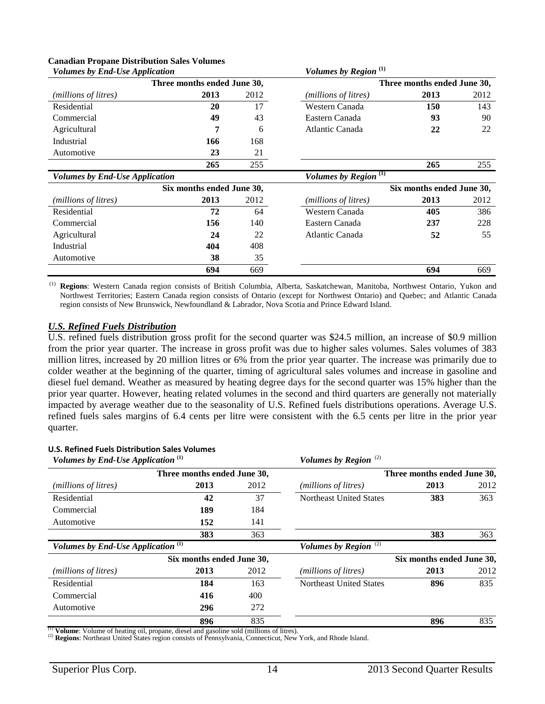| <b>Volumes by End-Use Application</b> |                           |      | Volumes by Region <sup>(1)</sup> |                             |      |
|---------------------------------------|---------------------------|------|----------------------------------|-----------------------------|------|
| Three months ended June 30,           |                           |      |                                  | Three months ended June 30, |      |
| (millions of litres)                  | 2013                      | 2012 | (millions of litres)             | 2013                        | 2012 |
| Residential                           | 20                        | 17   | Western Canada                   | 150                         | 143  |
| Commercial                            | 49                        | 43   | Eastern Canada                   | 93                          | 90   |
| Agricultural                          | 7                         | 6    | Atlantic Canada                  | 22                          | 22   |
| Industrial                            | 166                       | 168  |                                  |                             |      |
| Automotive                            | 23                        | 21   |                                  |                             |      |
|                                       | 265                       | 255  |                                  | 265                         | 255  |
| Volumes by End-Use Application        |                           |      | Volumes by Region <sup>(1)</sup> |                             |      |
|                                       | Six months ended June 30, |      |                                  | Six months ended June 30,   |      |
| (millions of litres)                  | 2013                      | 2012 | (millions of litres)             | 2013                        | 2012 |
| Residential                           | 72                        | 64   | Western Canada                   | 405                         | 386  |
| Commercial                            | 156                       | 140  | Eastern Canada                   | 237                         | 228  |
| Agricultural                          | 24                        | 22   | Atlantic Canada                  | 52                          | 55   |
| Industrial                            | 404                       | 408  |                                  |                             |      |
| Automotive                            | 38                        | 35   |                                  |                             |      |
|                                       | 694                       | 669  |                                  | 694                         | 669  |

# **Canadian Propane Distribution Sales Volumes**

(1) **Regions**: Western Canada region consists of British Columbia, Alberta, Saskatchewan, Manitoba, Northwest Ontario, Yukon and Northwest Territories; Eastern Canada region consists of Ontario (except for Northwest Ontario) and Quebec; and Atlantic Canada region consists of New Brunswick, Newfoundland & Labrador, Nova Scotia and Prince Edward Island.

#### *U.S. Refined Fuels Distribution*

U.S. refined fuels distribution gross profit for the second quarter was \$24.5 million, an increase of \$0.9 million from the prior year quarter. The increase in gross profit was due to higher sales volumes. Sales volumes of 383 million litres, increased by 20 million litres or 6% from the prior year quarter. The increase was primarily due to colder weather at the beginning of the quarter, timing of agricultural sales volumes and increase in gasoline and diesel fuel demand. Weather as measured by heating degree days for the second quarter was 15% higher than the prior year quarter. However, heating related volumes in the second and third quarters are generally not materially impacted by average weather due to the seasonality of U.S. Refined fuels distributions operations. Average U.S. refined fuels sales margins of 6.4 cents per litre were consistent with the 6.5 cents per litre in the prior year quarter.

#### **U.S. Refined Fuels Distribution Sales Volumes**

| Volumes by End-Use Application <sup>(1)</sup> |                             |      | Volumes by Region <sup>(2)</sup> |                             |      |
|-----------------------------------------------|-----------------------------|------|----------------------------------|-----------------------------|------|
|                                               | Three months ended June 30, |      |                                  | Three months ended June 30, |      |
| ( <i>millions of litres</i> )                 | 2013                        | 2012 | ( <i>millions of litres</i> )    | 2013                        | 2012 |
| Residential                                   | 42                          | 37   | <b>Northeast United States</b>   | 383                         | 363  |
| Commercial                                    | 189                         | 184  |                                  |                             |      |
| Automotive                                    | 152                         | 141  |                                  |                             |      |
|                                               | 383                         | 363  |                                  | 383                         | 363  |
| Volumes by End-Use Application <sup>(1)</sup> |                             |      | Volumes by Region $(2)$          |                             |      |
|                                               | Six months ended June 30,   |      |                                  | Six months ended June 30,   |      |
| ( <i>millions of litres</i> )                 | 2013                        | 2012 | (millions of litres)             | 2013                        | 2012 |
| Residential                                   | 184                         | 163  | <b>Northeast United States</b>   | 896                         | 835  |
| Commercial                                    | 416                         | 400  |                                  |                             |      |
| Automotive                                    | 296                         | 272  |                                  |                             |      |
|                                               | 896                         | 835  |                                  | 896                         | 835  |

(1) **Volume**: Volume of heating oil, propane, diesel and gasoline sold (millions of litres).

(2) **Regions**: Northeast United States region consists of Pennsylvania, Connecticut, New York, and Rhode Island.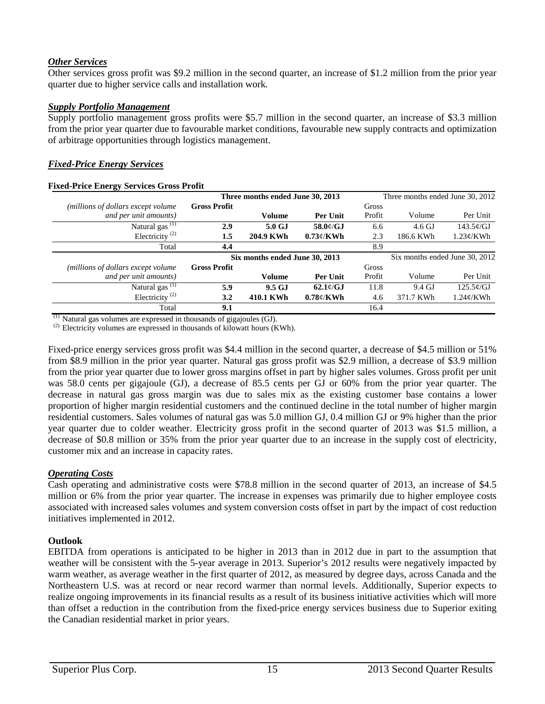#### *Other Services*

Other services gross profit was \$9.2 million in the second quarter, an increase of \$1.2 million from the prior year quarter due to higher service calls and installation work.

### *Supply Portfolio Management*

Supply portfolio management gross profits were \$5.7 million in the second quarter, an increase of \$3.3 million from the prior year quarter due to favourable market conditions, favourable new supply contracts and optimization of arbitrage opportunities through logistics management.

# *Fixed-Price Energy Services*

#### **Fixed-Price Energy Services Gross Profit**

|                                         | Three months ended June 30, 2013 |                                | Three months ended June 30, 2012 |        |                  |                                            |
|-----------------------------------------|----------------------------------|--------------------------------|----------------------------------|--------|------------------|--------------------------------------------|
| (millions of dollars except volume)     | <b>Gross Profit</b>              |                                |                                  | Gross  |                  |                                            |
| and per unit amounts)                   |                                  | Volume                         | Per Unit                         | Profit | Volume           | Per Unit                                   |
| Natural gas $(1)$                       | 2.9                              | 5.0 G.I                        | 58.0¢/GJ                         | 6.6    | $4.6 \text{ GJ}$ | $143.5\frac{\text{e}}{\text{GJ}}$          |
| Electricity <sup><math>(2)</math></sup> | 1.5                              | <b>204.9 KWh</b>               | $0.73 \times$ /KWh               | 2.3    | 186.6 KWh        | $1.23 \times$ /KWh                         |
| Total                                   | 4.4                              |                                |                                  | 8.9    |                  |                                            |
|                                         |                                  |                                |                                  |        |                  |                                            |
|                                         |                                  | Six months ended June 30, 2013 |                                  |        |                  |                                            |
| (millions of dollars except volume)     | <b>Gross Profit</b>              |                                |                                  | Gross  |                  |                                            |
| and per unit amounts)                   |                                  | Volume                         | Per Unit                         | Profit | Volume           | Six months ended June 30, 2012<br>Per Unit |
| Natural gas $(1)$                       | 5.9                              | 9.5 GJ                         | 62.1e/GJ                         | 11.8   | 9.4 GJ           | $125.5\frac{\text{e}}{G}$                  |
| Electricity <sup><math>(2)</math></sup> | 3.2                              | 410.1 KWh                      | $0.78$ ¢/KWh                     | 4.6    | 371.7 KWh        | $1.24 \times$ /KWh                         |

 $\overline{^{(1)}}$  Natural gas volumes are expressed in thousands of gigajoules (GJ).

 $^{(2)}$  Electricity volumes are expressed in thousands of kilowatt hours (KWh).

Fixed-price energy services gross profit was \$4.4 million in the second quarter, a decrease of \$4.5 million or 51% from \$8.9 million in the prior year quarter. Natural gas gross profit was \$2.9 million, a decrease of \$3.9 million from the prior year quarter due to lower gross margins offset in part by higher sales volumes. Gross profit per unit was 58.0 cents per gigajoule (GJ), a decrease of 85.5 cents per GJ or 60% from the prior year quarter. The decrease in natural gas gross margin was due to sales mix as the existing customer base contains a lower proportion of higher margin residential customers and the continued decline in the total number of higher margin residential customers. Sales volumes of natural gas was 5.0 million GJ, 0.4 million GJ or 9% higher than the prior year quarter due to colder weather. Electricity gross profit in the second quarter of 2013 was \$1.5 million, a decrease of \$0.8 million or 35% from the prior year quarter due to an increase in the supply cost of electricity, customer mix and an increase in capacity rates.

#### *Operating Costs*

Cash operating and administrative costs were \$78.8 million in the second quarter of 2013, an increase of \$4.5 million or 6% from the prior year quarter. The increase in expenses was primarily due to higher employee costs associated with increased sales volumes and system conversion costs offset in part by the impact of cost reduction initiatives implemented in 2012.

# **Outlook**

EBITDA from operations is anticipated to be higher in 2013 than in 2012 due in part to the assumption that weather will be consistent with the 5-year average in 2013. Superior's 2012 results were negatively impacted by warm weather, as average weather in the first quarter of 2012, as measured by degree days, across Canada and the Northeastern U.S. was at record or near record warmer than normal levels. Additionally, Superior expects to realize ongoing improvements in its financial results as a result of its business initiative activities which will more than offset a reduction in the contribution from the fixed-price energy services business due to Superior exiting the Canadian residential market in prior years.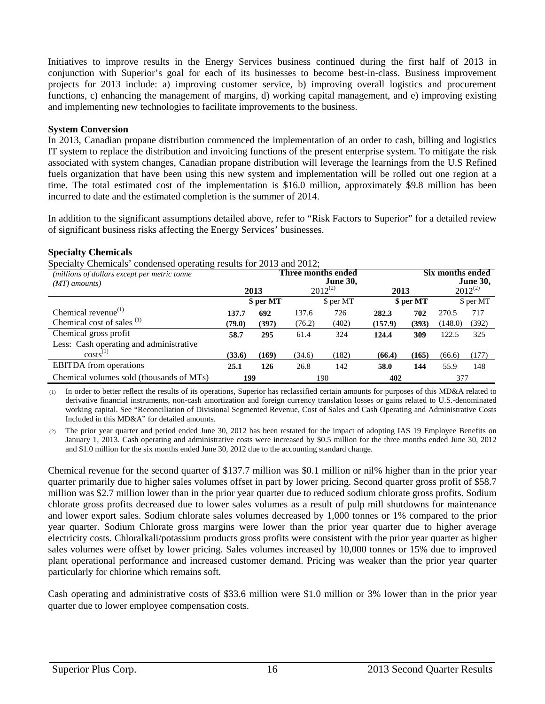Initiatives to improve results in the Energy Services business continued during the first half of 2013 in conjunction with Superior's goal for each of its businesses to become best-in-class. Business improvement projects for 2013 include: a) improving customer service, b) improving overall logistics and procurement functions, c) enhancing the management of margins, d) working capital management, and e) improving existing and implementing new technologies to facilitate improvements to the business.

#### **System Conversion**

In 2013, Canadian propane distribution commenced the implementation of an order to cash, billing and logistics IT system to replace the distribution and invoicing functions of the present enterprise system. To mitigate the risk associated with system changes, Canadian propane distribution will leverage the learnings from the U.S Refined fuels organization that have been using this new system and implementation will be rolled out one region at a time. The total estimated cost of the implementation is \$16.0 million, approximately \$9.8 million has been incurred to date and the estimated completion is the summer of 2014.

In addition to the significant assumptions detailed above, refer to "Risk Factors to Superior" for a detailed review of significant business risks affecting the Energy Services' businesses.

#### **Specialty Chemicals**

| $\beta$ specially Chemicals condensed operating results for 2015 and 2012,<br>(millions of dollars except per metric tonne)<br>$(MT)$ amounts) | Three months ended<br><b>June 30,</b> |           |           |              |           |       | Six months ended<br><b>June 30,</b> |       |  |
|------------------------------------------------------------------------------------------------------------------------------------------------|---------------------------------------|-----------|-----------|--------------|-----------|-------|-------------------------------------|-------|--|
|                                                                                                                                                |                                       | 2013      |           | $2012^{(2)}$ | 2013      |       | $2012^{(2)}$                        |       |  |
|                                                                                                                                                |                                       | \$ per MT | \$ per MT |              | \$ per MT |       | \$ per MT                           |       |  |
| Chemical revenue $(1)$                                                                                                                         | 137.7                                 | 692       | 137.6     | 726          | 282.3     | 702   | 270.5                               | 717   |  |
| Chemical cost of sales <sup>(1)</sup>                                                                                                          | (79.0)                                | (397)     | (76.2)    | (402)        | (157.9)   | (393) | (148.0)                             | (392) |  |
| Chemical gross profit                                                                                                                          | 58.7                                  | 295       | 61.4      | 324          | 124.4     | 309   | 122.5                               | 325   |  |
| Less: Cash operating and administrative                                                                                                        |                                       |           |           |              |           |       |                                     |       |  |
| $costs^{(1)}$                                                                                                                                  | (33.6)                                | (169)     | (34.6)    | (182)        | (66.4)    | (165) | (66.6)                              | (177) |  |
| <b>EBITDA</b> from operations                                                                                                                  | 25.1                                  | 126       | 26.8      | 142          | 58.0      | 144   | 55.9                                | 148   |  |
| Chemical volumes sold (thousands of MTs)                                                                                                       | 199                                   |           |           | 190          | 402       |       | 377                                 |       |  |

Specialty Chemicals' condensed operating results for 2013 and  $2012$ ;

(1) In order to better reflect the results of its operations, Superior has reclassified certain amounts for purposes of this MD&A related to derivative financial instruments, non-cash amortization and foreign currency translation losses or gains related to U.S.-denominated working capital. See "Reconciliation of Divisional Segmented Revenue, Cost of Sales and Cash Operating and Administrative Costs Included in this MD&A" for detailed amounts.

The prior year quarter and period ended June 30, 2012 has been restated for the impact of adopting IAS 19 Employee Benefits on January 1, 2013. Cash operating and administrative costs were increased by \$0.5 million for the three months ended June 30, 2012 and \$1.0 million for the six months ended June 30, 2012 due to the accounting standard change.

Chemical revenue for the second quarter of \$137.7 million was \$0.1 million or nil% higher than in the prior year quarter primarily due to higher sales volumes offset in part by lower pricing. Second quarter gross profit of \$58.7 million was \$2.7 million lower than in the prior year quarter due to reduced sodium chlorate gross profits. Sodium chlorate gross profits decreased due to lower sales volumes as a result of pulp mill shutdowns for maintenance and lower export sales. Sodium chlorate sales volumes decreased by 1,000 tonnes or 1% compared to the prior year quarter. Sodium Chlorate gross margins were lower than the prior year quarter due to higher average electricity costs. Chloralkali/potassium products gross profits were consistent with the prior year quarter as higher sales volumes were offset by lower pricing. Sales volumes increased by 10,000 tonnes or 15% due to improved plant operational performance and increased customer demand. Pricing was weaker than the prior year quarter particularly for chlorine which remains soft.

Cash operating and administrative costs of \$33.6 million were \$1.0 million or 3% lower than in the prior year quarter due to lower employee compensation costs.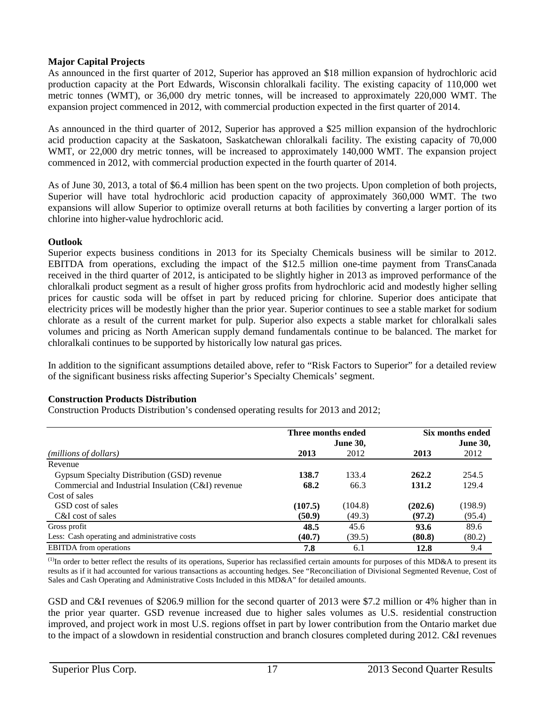#### **Major Capital Projects**

As announced in the first quarter of 2012, Superior has approved an \$18 million expansion of hydrochloric acid production capacity at the Port Edwards, Wisconsin chloralkali facility. The existing capacity of 110,000 wet metric tonnes (WMT), or 36,000 dry metric tonnes, will be increased to approximately 220,000 WMT. The expansion project commenced in 2012, with commercial production expected in the first quarter of 2014.

As announced in the third quarter of 2012, Superior has approved a \$25 million expansion of the hydrochloric acid production capacity at the Saskatoon, Saskatchewan chloralkali facility. The existing capacity of 70,000 WMT, or 22,000 dry metric tonnes, will be increased to approximately 140,000 WMT. The expansion project commenced in 2012, with commercial production expected in the fourth quarter of 2014.

As of June 30, 2013, a total of \$6.4 million has been spent on the two projects. Upon completion of both projects, Superior will have total hydrochloric acid production capacity of approximately 360,000 WMT. The two expansions will allow Superior to optimize overall returns at both facilities by converting a larger portion of its chlorine into higher-value hydrochloric acid.

#### **Outlook**

Superior expects business conditions in 2013 for its Specialty Chemicals business will be similar to 2012. EBITDA from operations, excluding the impact of the \$12.5 million one-time payment from TransCanada received in the third quarter of 2012, is anticipated to be slightly higher in 2013 as improved performance of the chloralkali product segment as a result of higher gross profits from hydrochloric acid and modestly higher selling prices for caustic soda will be offset in part by reduced pricing for chlorine. Superior does anticipate that electricity prices will be modestly higher than the prior year. Superior continues to see a stable market for sodium chlorate as a result of the current market for pulp. Superior also expects a stable market for chloralkali sales volumes and pricing as North American supply demand fundamentals continue to be balanced. The market for chloralkali continues to be supported by historically low natural gas prices.

In addition to the significant assumptions detailed above, refer to "Risk Factors to Superior" for a detailed review of the significant business risks affecting Superior's Specialty Chemicals' segment.

#### **Construction Products Distribution**

Construction Products Distribution's condensed operating results for 2013 and 2012;

|                                                    | Three months ended |                 |         | Six months ended |
|----------------------------------------------------|--------------------|-----------------|---------|------------------|
|                                                    |                    | <b>June 30,</b> |         | <b>June 30,</b>  |
| (millions of dollars)                              | 2013               | 2012            | 2013    | 2012             |
| Revenue                                            |                    |                 |         |                  |
| Gypsum Specialty Distribution (GSD) revenue        | 138.7              | 133.4           | 262.2   | 254.5            |
| Commercial and Industrial Insulation (C&I) revenue | 68.2               | 66.3            | 131.2   | 129.4            |
| Cost of sales                                      |                    |                 |         |                  |
| GSD cost of sales                                  | (107.5)            | (104.8)         | (202.6) | (198.9)          |
| C&I cost of sales                                  | (50.9)             | (49.3)          | (97.2)  | (95.4)           |
| Gross profit                                       | 48.5               | 45.6            | 93.6    | 89.6             |
| Less: Cash operating and administrative costs      | (40.7)             | (39.5)          | (80.8)  | (80.2)           |
| <b>EBITDA</b> from operations                      | 7.8                | 6.1             | 12.8    | 9.4              |

<sup>(1)</sup>In order to better reflect the results of its operations, Superior has reclassified certain amounts for purposes of this MD&A to present its results as if it had accounted for various transactions as accounting hedges. See "Reconciliation of Divisional Segmented Revenue, Cost of Sales and Cash Operating and Administrative Costs Included in this MD&A" for detailed amounts.

GSD and C&I revenues of \$206.9 million for the second quarter of 2013 were \$7.2 million or 4% higher than in the prior year quarter. GSD revenue increased due to higher sales volumes as U.S. residential construction improved, and project work in most U.S. regions offset in part by lower contribution from the Ontario market due to the impact of a slowdown in residential construction and branch closures completed during 2012. C&I revenues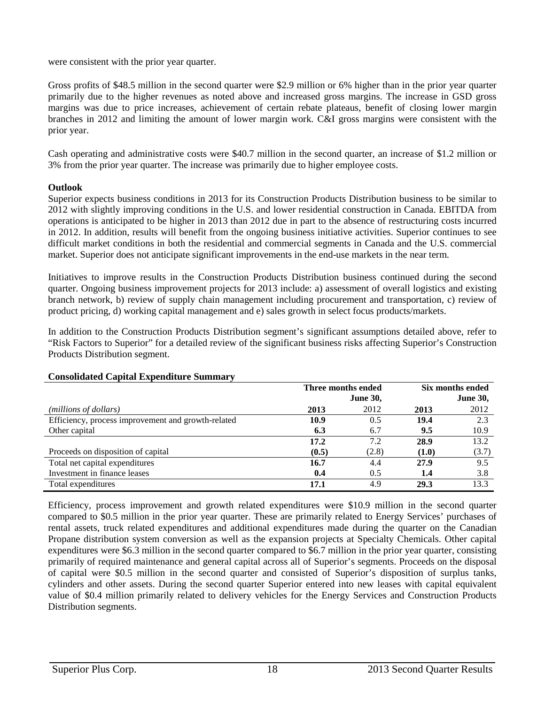were consistent with the prior year quarter.

Gross profits of \$48.5 million in the second quarter were \$2.9 million or 6% higher than in the prior year quarter primarily due to the higher revenues as noted above and increased gross margins. The increase in GSD gross margins was due to price increases, achievement of certain rebate plateaus, benefit of closing lower margin branches in 2012 and limiting the amount of lower margin work. C&I gross margins were consistent with the prior year.

Cash operating and administrative costs were \$40.7 million in the second quarter, an increase of \$1.2 million or 3% from the prior year quarter. The increase was primarily due to higher employee costs.

#### **Outlook**

Superior expects business conditions in 2013 for its Construction Products Distribution business to be similar to 2012 with slightly improving conditions in the U.S. and lower residential construction in Canada. EBITDA from operations is anticipated to be higher in 2013 than 2012 due in part to the absence of restructuring costs incurred in 2012. In addition, results will benefit from the ongoing business initiative activities. Superior continues to see difficult market conditions in both the residential and commercial segments in Canada and the U.S. commercial market. Superior does not anticipate significant improvements in the end-use markets in the near term.

Initiatives to improve results in the Construction Products Distribution business continued during the second quarter. Ongoing business improvement projects for 2013 include: a) assessment of overall logistics and existing branch network, b) review of supply chain management including procurement and transportation, c) review of product pricing, d) working capital management and e) sales growth in select focus products/markets.

In addition to the Construction Products Distribution segment's significant assumptions detailed above, refer to "Risk Factors to Superior" for a detailed review of the significant business risks affecting Superior's Construction Products Distribution segment.

| Consonautea Capital Lapenartal e Summal            |                    |                  |       |                 |
|----------------------------------------------------|--------------------|------------------|-------|-----------------|
|                                                    | Three months ended | Six months ended |       |                 |
|                                                    |                    | <b>June 30,</b>  |       | <b>June 30,</b> |
| (millions of dollars)                              | 2013               | 2012             | 2013  | 2012            |
| Efficiency, process improvement and growth-related | 10.9               | 0.5              | 19.4  | 2.3             |
| Other capital                                      | 6.3                | 6.7              | 9.5   | 10.9            |
|                                                    | 17.2               | 7.2              | 28.9  | 13.2            |
| Proceeds on disposition of capital                 | (0.5)              | (2.8)            | (1.0) | (3.7)           |
| Total net capital expenditures                     | 16.7               | 4.4              | 27.9  | 9.5             |
| Investment in finance leases                       | 0.4                | 0.5              | 1.4   | 3.8             |
| Total expenditures                                 | 17.1               | 4.9              | 29.3  | 13.3            |

#### **Consolidated Capital Expenditure Summary**

Efficiency, process improvement and growth related expenditures were \$10.9 million in the second quarter compared to \$0.5 million in the prior year quarter. These are primarily related to Energy Services' purchases of rental assets, truck related expenditures and additional expenditures made during the quarter on the Canadian Propane distribution system conversion as well as the expansion projects at Specialty Chemicals. Other capital expenditures were \$6.3 million in the second quarter compared to \$6.7 million in the prior year quarter, consisting primarily of required maintenance and general capital across all of Superior's segments. Proceeds on the disposal of capital were \$0.5 million in the second quarter and consisted of Superior's disposition of surplus tanks, cylinders and other assets. During the second quarter Superior entered into new leases with capital equivalent value of \$0.4 million primarily related to delivery vehicles for the Energy Services and Construction Products Distribution segments.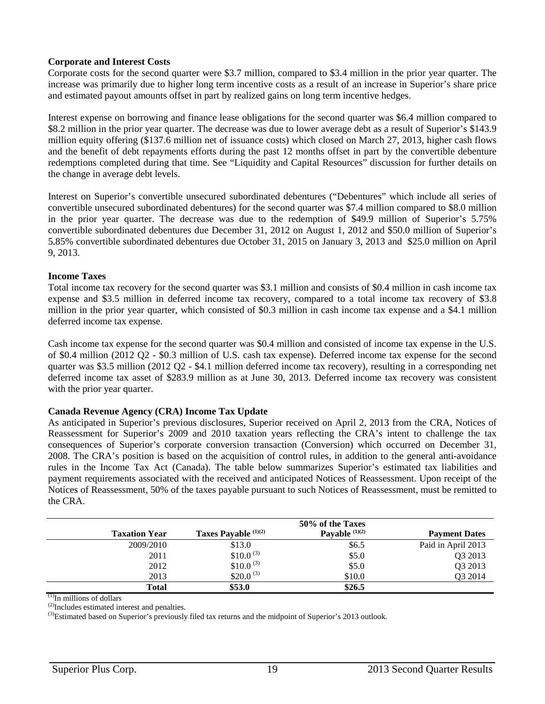#### **Corporate and Interest Costs**

Corporate costs for the second quarter were \$3.7 million, compared to \$3.4 million in the prior year quarter. The increase was primarily due to higher long term incentive costs as a result of an increase in Superior's share price and estimated payout amounts offset in part by realized gains on long term incentive hedges.

Interest expense on borrowing and finance lease obligations for the second quarter was \$6.4 million compared to \$8.2 million in the prior year quarter. The decrease was due to lower average debt as a result of Superior's \$143.9 million equity offering (\$137.6 million net of issuance costs) which closed on March 27, 2013, higher cash flows and the benefit of debt repayments efforts during the past 12 months offset in part by the convertible debenture redemptions completed during that time. See "Liquidity and Capital Resources" discussion for further details on the change in average debt levels.

Interest on Superior's convertible unsecured subordinated debentures ("Debentures" which include all series of convertible unsecured subordinated debentures) for the second quarter was \$7.4 million compared to \$8.0 million in the prior year quarter. The decrease was due to the redemption of \$49.9 million of Superior's 5.75% convertible subordinated debentures due December 31, 2012 on August 1, 2012 and \$50.0 million of Superior's 5.85% convertible subordinated debentures due October 31, 2015 on January 3, 2013 and \$25.0 million on April 9, 2013.

#### **Income Taxes**

Total income tax recovery for the second quarter was \$3.1 million and consists of \$0.4 million in cash income tax expense and \$3.5 million in deferred income tax recovery, compared to a total income tax recovery of \$3.8 million in the prior year quarter, which consisted of \$0.3 million in cash income tax expense and a \$4.1 million deferred income tax expense.

Cash income tax expense for the second quarter was \$0.4 million and consisted of income tax expense in the U.S. of \$0.4 million (2012 Q2 - \$0.3 million of U.S. cash tax expense). Deferred income tax expense for the second quarter was \$3.5 million (2012 Q2 - \$4.1 million deferred income tax recovery), resulting in a corresponding net deferred income tax asset of \$283.9 million as at June 30, 2013. Deferred income tax recovery was consistent with the prior year quarter.

#### **Canada Revenue Agency (CRA) Income Tax Update**

As anticipated in Superior's previous disclosures, Superior received on April 2, 2013 from the CRA, Notices of Reassessment for Superior's 2009 and 2010 taxation years reflecting the CRA's intent to challenge the tax consequences of Superior's corporate conversion transaction (Conversion) which occurred on December 31, 2008. The CRA's position is based on the acquisition of control rules, in addition to the general anti-avoidance rules in the Income Tax Act (Canada). The table below summarizes Superior's estimated tax liabilities and payment requirements associated with the received and anticipated Notices of Reassessment. Upon receipt of the Notices of Reassessment, 50% of the taxes payable pursuant to such Notices of Reassessment, must be remitted to the CRA.

|                      |                       | 50% of the Taxes |                      |
|----------------------|-----------------------|------------------|----------------------|
| <b>Taxation Year</b> | Taxes Payable (1)(2)  | Payable $(1)(2)$ | <b>Payment Dates</b> |
| 2009/2010            | \$13.0                | \$6.5            | Paid in April 2013   |
| 2011                 | \$10.0 <sup>(3)</sup> | \$5.0            | Q3 2013              |
| 2012                 | \$10.0 <sup>(3)</sup> | \$5.0            | Q3 2013              |
| 2013                 | \$20.0 <sup>(3)</sup> | \$10.0           | Q3 2014              |
| Total                | \$53.0                | \$26.5           |                      |

 $^{(1)}$ In millions of dollars

(2)Includes estimated interest and penalties.

<sup>(3)</sup>Estimated based on Superior's previously filed tax returns and the midpoint of Superior's 2013 outlook.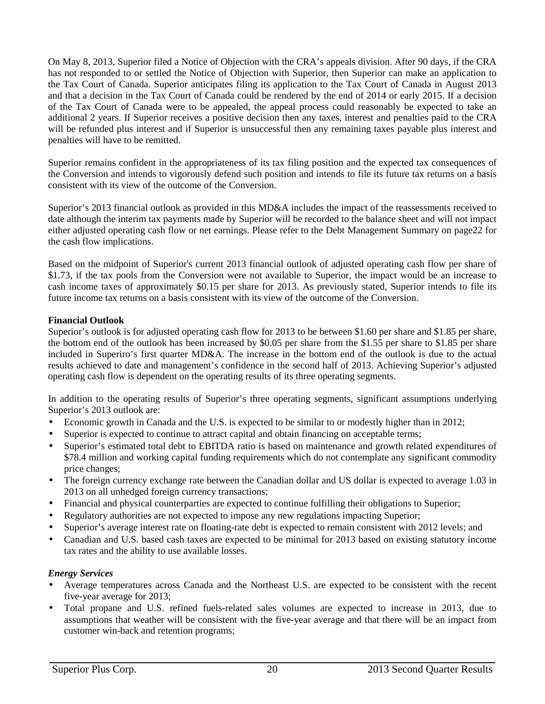On May 8, 2013, Superior filed a Notice of Objection with the CRA's appeals division. After 90 days, if the CRA has not responded to or settled the Notice of Objection with Superior, then Superior can make an application to the Tax Court of Canada. Superior anticipates filing its application to the Tax Court of Canada in August 2013 and that a decision in the Tax Court of Canada could be rendered by the end of 2014 or early 2015. If a decision of the Tax Court of Canada were to be appealed, the appeal process could reasonably be expected to take an additional 2 years. If Superior receives a positive decision then any taxes, interest and penalties paid to the CRA will be refunded plus interest and if Superior is unsuccessful then any remaining taxes payable plus interest and penalties will have to be remitted.

Superior remains confident in the appropriateness of its tax filing position and the expected tax consequences of the Conversion and intends to vigorously defend such position and intends to file its future tax returns on a basis consistent with its view of the outcome of the Conversion.

Superior's 2013 financial outlook as provided in this MD&A includes the impact of the reassessments received to date although the interim tax payments made by Superior will be recorded to the balance sheet and will not impact either adjusted operating cash flow or net earnings. Please refer to the Debt Management Summary on page22 for the cash flow implications.

Based on the midpoint of Superior's current 2013 financial outlook of adjusted operating cash flow per share of \$1.73, if the tax pools from the Conversion were not available to Superior, the impact would be an increase to cash income taxes of approximately \$0.15 per share for 2013. As previously stated, Superior intends to file its future income tax returns on a basis consistent with its view of the outcome of the Conversion.

### **Financial Outlook**

Superior's outlook is for adjusted operating cash flow for 2013 to be between \$1.60 per share and \$1.85 per share, the bottom end of the outlook has been increased by \$0.05 per share from the \$1.55 per share to \$1.85 per share included in Superiro's first quarter MD&A. The increase in the bottom end of the outlook is due to the actual results achieved to date and management's confidence in the second half of 2013. Achieving Superior's adjusted operating cash flow is dependent on the operating results of its three operating segments.

In addition to the operating results of Superior's three operating segments, significant assumptions underlying Superior's 2013 outlook are:

- Economic growth in Canada and the U.S. is expected to be similar to or modestly higher than in 2012;
- Superior is expected to continue to attract capital and obtain financing on acceptable terms;
- Superior's estimated total debt to EBITDA ratio is based on maintenance and growth related expenditures of \$78.4 million and working capital funding requirements which do not contemplate any significant commodity price changes;
- The foreign currency exchange rate between the Canadian dollar and US dollar is expected to average 1.03 in 2013 on all unhedged foreign currency transactions;
- Financial and physical counterparties are expected to continue fulfilling their obligations to Superior;
- Regulatory authorities are not expected to impose any new regulations impacting Superior;
- Superior's average interest rate on floating-rate debt is expected to remain consistent with 2012 levels; and
- Canadian and U.S. based cash taxes are expected to be minimal for 2013 based on existing statutory income tax rates and the ability to use available losses.

#### *Energy Services*

- Average temperatures across Canada and the Northeast U.S. are expected to be consistent with the recent five-year average for 2013;
- Total propane and U.S. refined fuels-related sales volumes are expected to increase in 2013, due to assumptions that weather will be consistent with the five-year average and that there will be an impact from customer win-back and retention programs;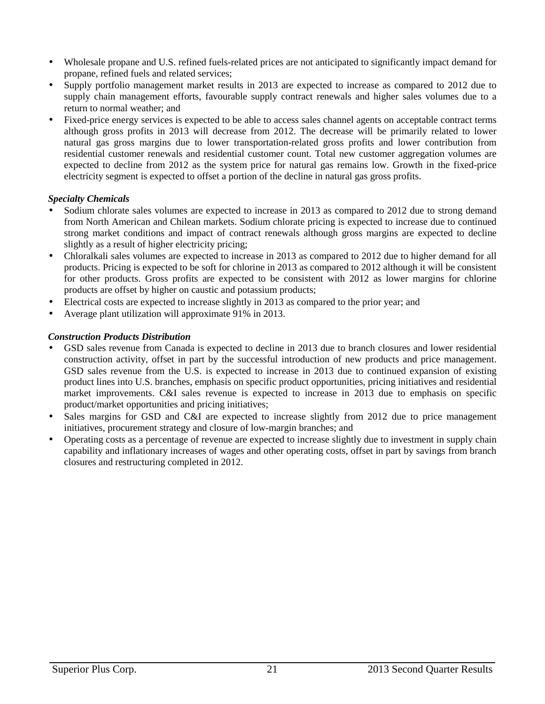- Wholesale propane and U.S. refined fuels-related prices are not anticipated to significantly impact demand for propane, refined fuels and related services;
- Supply portfolio management market results in 2013 are expected to increase as compared to 2012 due to supply chain management efforts, favourable supply contract renewals and higher sales volumes due to a return to normal weather; and
- Fixed-price energy services is expected to be able to access sales channel agents on acceptable contract terms although gross profits in 2013 will decrease from 2012. The decrease will be primarily related to lower natural gas gross margins due to lower transportation-related gross profits and lower contribution from residential customer renewals and residential customer count. Total new customer aggregation volumes are expected to decline from 2012 as the system price for natural gas remains low. Growth in the fixed-price electricity segment is expected to offset a portion of the decline in natural gas gross profits.

### *Specialty Chemicals*

- Sodium chlorate sales volumes are expected to increase in 2013 as compared to 2012 due to strong demand from North American and Chilean markets. Sodium chlorate pricing is expected to increase due to continued strong market conditions and impact of contract renewals although gross margins are expected to decline slightly as a result of higher electricity pricing;
- Chloralkali sales volumes are expected to increase in 2013 as compared to 2012 due to higher demand for all products. Pricing is expected to be soft for chlorine in 2013 as compared to 2012 although it will be consistent for other products. Gross profits are expected to be consistent with 2012 as lower margins for chlorine products are offset by higher on caustic and potassium products;
- Electrical costs are expected to increase slightly in 2013 as compared to the prior year; and
- Average plant utilization will approximate 91% in 2013.

### *Construction Products Distribution*

- GSD sales revenue from Canada is expected to decline in 2013 due to branch closures and lower residential construction activity, offset in part by the successful introduction of new products and price management. GSD sales revenue from the U.S. is expected to increase in 2013 due to continued expansion of existing product lines into U.S. branches, emphasis on specific product opportunities, pricing initiatives and residential market improvements. C&I sales revenue is expected to increase in 2013 due to emphasis on specific product/market opportunities and pricing initiatives;
- Sales margins for GSD and C&I are expected to increase slightly from 2012 due to price management initiatives, procurement strategy and closure of low-margin branches; and
- Operating costs as a percentage of revenue are expected to increase slightly due to investment in supply chain capability and inflationary increases of wages and other operating costs, offset in part by savings from branch closures and restructuring completed in 2012.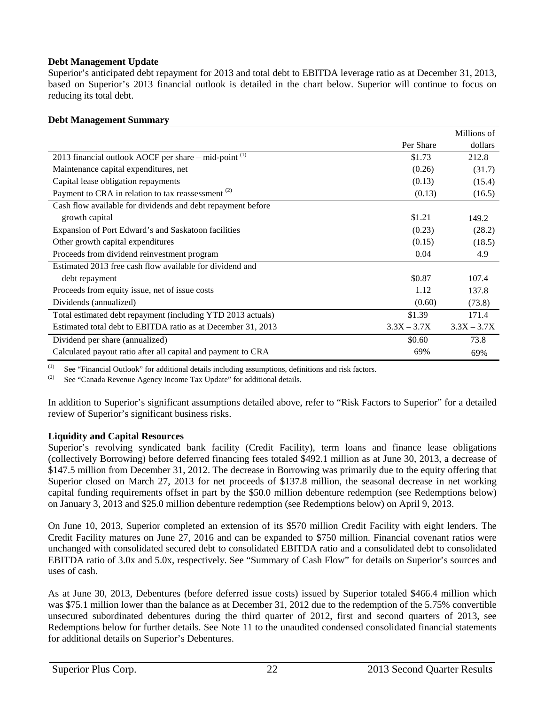#### **Debt Management Update**

Superior's anticipated debt repayment for 2013 and total debt to EBITDA leverage ratio as at December 31, 2013, based on Superior's 2013 financial outlook is detailed in the chart below. Superior will continue to focus on reducing its total debt.

#### **Debt Management Summary**

|                                                                  |               | Millions of   |
|------------------------------------------------------------------|---------------|---------------|
|                                                                  | Per Share     | dollars       |
| 2013 financial outlook AOCF per share – mid-point <sup>(1)</sup> | \$1.73        | 212.8         |
| Maintenance capital expenditures, net                            | (0.26)        | (31.7)        |
| Capital lease obligation repayments                              | (0.13)        | (15.4)        |
| Payment to CRA in relation to tax reassessment $^{(2)}$          | (0.13)        | (16.5)        |
| Cash flow available for dividends and debt repayment before      |               |               |
| growth capital                                                   | \$1.21        | 149.2         |
| Expansion of Port Edward's and Saskatoon facilities              | (0.23)        | (28.2)        |
| Other growth capital expenditures                                | (0.15)        | (18.5)        |
| Proceeds from dividend reinvestment program                      | 0.04          | 4.9           |
| Estimated 2013 free cash flow available for dividend and         |               |               |
| debt repayment                                                   | \$0.87        | 107.4         |
| Proceeds from equity issue, net of issue costs                   | 1.12          | 137.8         |
| Dividends (annualized)                                           | (0.60)        | (73.8)        |
| Total estimated debt repayment (including YTD 2013 actuals)      | \$1.39        | 171.4         |
| Estimated total debt to EBITDA ratio as at December 31, 2013     | $3.3X - 3.7X$ | $3.3X - 3.7X$ |
| Dividend per share (annualized)                                  | \$0.60        | 73.8          |
| Calculated payout ratio after all capital and payment to CRA     | 69%           | 69%           |

(1) See "Financial Outlook" for additional details including assumptions, definitions and risk factors.

See "Canada Revenue Agency Income Tax Update" for additional details.

In addition to Superior's significant assumptions detailed above, refer to "Risk Factors to Superior" for a detailed review of Superior's significant business risks.

#### **Liquidity and Capital Resources**

Superior's revolving syndicated bank facility (Credit Facility), term loans and finance lease obligations (collectively Borrowing) before deferred financing fees totaled \$492.1 million as at June 30, 2013, a decrease of \$147.5 million from December 31, 2012. The decrease in Borrowing was primarily due to the equity offering that Superior closed on March 27, 2013 for net proceeds of \$137.8 million, the seasonal decrease in net working capital funding requirements offset in part by the \$50.0 million debenture redemption (see Redemptions below) on January 3, 2013 and \$25.0 million debenture redemption (see Redemptions below) on April 9, 2013.

On June 10, 2013, Superior completed an extension of its \$570 million Credit Facility with eight lenders. The Credit Facility matures on June 27, 2016 and can be expanded to \$750 million. Financial covenant ratios were unchanged with consolidated secured debt to consolidated EBITDA ratio and a consolidated debt to consolidated EBITDA ratio of 3.0x and 5.0x, respectively. See "Summary of Cash Flow" for details on Superior's sources and uses of cash.

As at June 30, 2013, Debentures (before deferred issue costs) issued by Superior totaled \$466.4 million which was \$75.1 million lower than the balance as at December 31, 2012 due to the redemption of the 5.75% convertible unsecured subordinated debentures during the third quarter of 2012, first and second quarters of 2013, see Redemptions below for further details. See Note 11 to the unaudited condensed consolidated financial statements for additional details on Superior's Debentures.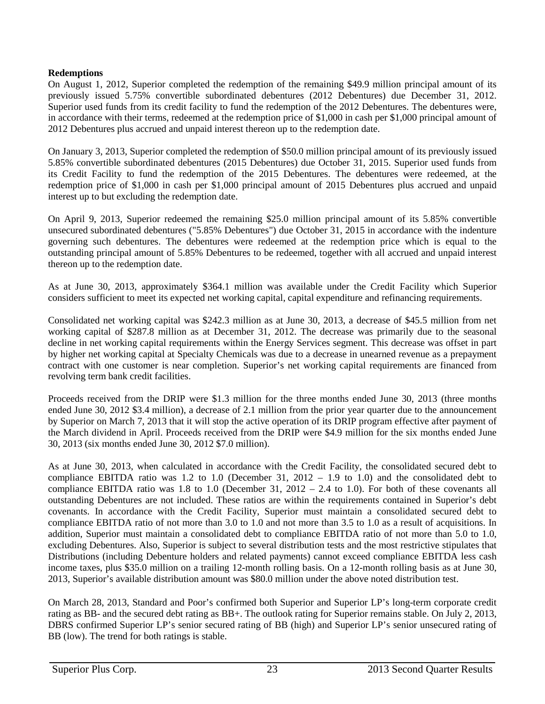## **Redemptions**

On August 1, 2012, Superior completed the redemption of the remaining \$49.9 million principal amount of its previously issued 5.75% convertible subordinated debentures (2012 Debentures) due December 31, 2012. Superior used funds from its credit facility to fund the redemption of the 2012 Debentures. The debentures were, in accordance with their terms, redeemed at the redemption price of \$1,000 in cash per \$1,000 principal amount of 2012 Debentures plus accrued and unpaid interest thereon up to the redemption date.

On January 3, 2013, Superior completed the redemption of \$50.0 million principal amount of its previously issued 5.85% convertible subordinated debentures (2015 Debentures) due October 31, 2015. Superior used funds from its Credit Facility to fund the redemption of the 2015 Debentures. The debentures were redeemed, at the redemption price of \$1,000 in cash per \$1,000 principal amount of 2015 Debentures plus accrued and unpaid interest up to but excluding the redemption date.

On April 9, 2013, Superior redeemed the remaining \$25.0 million principal amount of its 5.85% convertible unsecured subordinated debentures ("5.85% Debentures") due October 31, 2015 in accordance with the indenture governing such debentures. The debentures were redeemed at the redemption price which is equal to the outstanding principal amount of 5.85% Debentures to be redeemed, together with all accrued and unpaid interest thereon up to the redemption date.

As at June 30, 2013, approximately \$364.1 million was available under the Credit Facility which Superior considers sufficient to meet its expected net working capital, capital expenditure and refinancing requirements.

Consolidated net working capital was \$242.3 million as at June 30, 2013, a decrease of \$45.5 million from net working capital of \$287.8 million as at December 31, 2012. The decrease was primarily due to the seasonal decline in net working capital requirements within the Energy Services segment. This decrease was offset in part by higher net working capital at Specialty Chemicals was due to a decrease in unearned revenue as a prepayment contract with one customer is near completion. Superior's net working capital requirements are financed from revolving term bank credit facilities.

Proceeds received from the DRIP were \$1.3 million for the three months ended June 30, 2013 (three months ended June 30, 2012 \$3.4 million), a decrease of 2.1 million from the prior year quarter due to the announcement by Superior on March 7, 2013 that it will stop the active operation of its DRIP program effective after payment of the March dividend in April. Proceeds received from the DRIP were \$4.9 million for the six months ended June 30, 2013 (six months ended June 30, 2012 \$7.0 million).

As at June 30, 2013, when calculated in accordance with the Credit Facility, the consolidated secured debt to compliance EBITDA ratio was 1.2 to 1.0 (December 31,  $2012 - 1.9$  to 1.0) and the consolidated debt to compliance EBITDA ratio was 1.8 to 1.0 (December 31, 2012 – 2.4 to 1.0). For both of these covenants all outstanding Debentures are not included. These ratios are within the requirements contained in Superior's debt covenants. In accordance with the Credit Facility, Superior must maintain a consolidated secured debt to compliance EBITDA ratio of not more than 3.0 to 1.0 and not more than 3.5 to 1.0 as a result of acquisitions. In addition, Superior must maintain a consolidated debt to compliance EBITDA ratio of not more than 5.0 to 1.0, excluding Debentures. Also, Superior is subject to several distribution tests and the most restrictive stipulates that Distributions (including Debenture holders and related payments) cannot exceed compliance EBITDA less cash income taxes, plus \$35.0 million on a trailing 12-month rolling basis. On a 12-month rolling basis as at June 30, 2013, Superior's available distribution amount was \$80.0 million under the above noted distribution test.

On March 28, 2013, Standard and Poor's confirmed both Superior and Superior LP's long-term corporate credit rating as BB- and the secured debt rating as BB+. The outlook rating for Superior remains stable. On July 2, 2013, DBRS confirmed Superior LP's senior secured rating of BB (high) and Superior LP's senior unsecured rating of BB (low). The trend for both ratings is stable.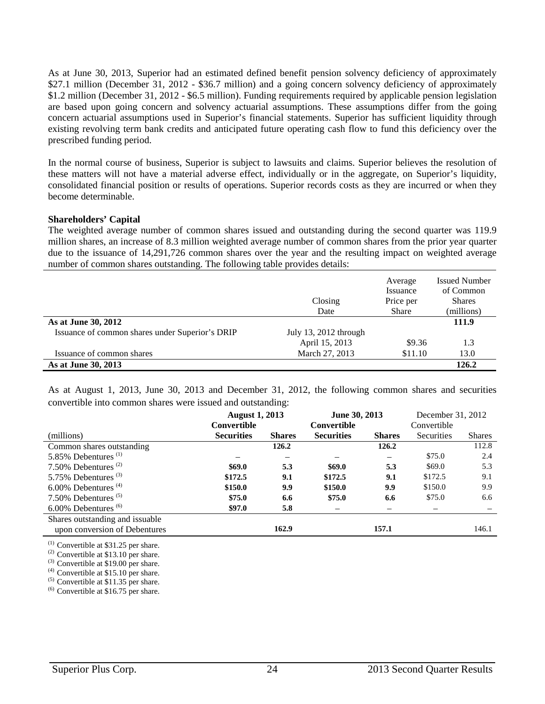As at June 30, 2013, Superior had an estimated defined benefit pension solvency deficiency of approximately \$27.1 million (December 31, 2012 - \$36.7 million) and a going concern solvency deficiency of approximately \$1.2 million (December 31, 2012 - \$6.5 million). Funding requirements required by applicable pension legislation are based upon going concern and solvency actuarial assumptions. These assumptions differ from the going concern actuarial assumptions used in Superior's financial statements. Superior has sufficient liquidity through existing revolving term bank credits and anticipated future operating cash flow to fund this deficiency over the prescribed funding period.

In the normal course of business, Superior is subject to lawsuits and claims. Superior believes the resolution of these matters will not have a material adverse effect, individually or in the aggregate, on Superior's liquidity, consolidated financial position or results of operations. Superior records costs as they are incurred or when they become determinable.

#### **Shareholders' Capital**

The weighted average number of common shares issued and outstanding during the second quarter was 119.9 million shares, an increase of 8.3 million weighted average number of common shares from the prior year quarter due to the issuance of 14,291,726 common shares over the year and the resulting impact on weighted average number of common shares outstanding. The following table provides details:

|                                                 | Closing<br>Date       | Average<br>Issuance<br>Price per<br><b>Share</b> | <b>Issued Number</b><br>of Common<br><b>Shares</b><br>(millions) |
|-------------------------------------------------|-----------------------|--------------------------------------------------|------------------------------------------------------------------|
| As at June 30, 2012                             |                       |                                                  | 111.9                                                            |
| Issuance of common shares under Superior's DRIP | July 13, 2012 through |                                                  |                                                                  |
|                                                 | April 15, 2013        | \$9.36                                           | 1.3                                                              |
| Issuance of common shares                       | March 27, 2013        | \$11.10                                          | 13.0                                                             |
| As at June 30, 2013                             |                       |                                                  | 126.2                                                            |

As at August 1, 2013, June 30, 2013 and December 31, 2012, the following common shares and securities convertible into common shares were issued and outstanding:

|                                                 | <b>August 1, 2013</b> |               | June 30, 2013     |               | December 31, 2012 |               |
|-------------------------------------------------|-----------------------|---------------|-------------------|---------------|-------------------|---------------|
|                                                 | Convertible           |               | Convertible       |               | Convertible       |               |
| (millions)                                      | <b>Securities</b>     | <b>Shares</b> | <b>Securities</b> | <b>Shares</b> | Securities        | <b>Shares</b> |
| Common shares outstanding                       |                       | 126.2         |                   | 126.2         |                   | 112.8         |
| 5.85% Debentures $(1)$                          |                       |               |                   |               | \$75.0            | 2.4           |
| 7.50% Debentures $(2)$                          | \$69.0                | 5.3           | \$69.0            | 5.3           | \$69.0            | 5.3           |
| 5.75% Debentures <sup>(3)</sup>                 | \$172.5               | 9.1           | \$172.5           | 9.1           | \$172.5           | 9.1           |
| $6.00\%$ Debentures <sup>(4)</sup>              | \$150.0               | 9.9           | \$150.0           | 9.9           | \$150.0           | 9.9           |
| 7.50% Debentures <sup>(5)</sup>                 | \$75.0                | 6.6           | \$75.0            | 6.6           | \$75.0            | 6.6           |
| $6.00\%$ Debentures <sup><math>(6)</math></sup> | \$97.0                | 5.8           |                   |               |                   |               |
| Shares outstanding and issuable                 |                       |               |                   |               |                   |               |
| upon conversion of Debentures                   |                       | 162.9         |                   | 157.1         |                   | 146.1         |

 $(1)$  Convertible at \$31.25 per share.

 $^{(2)}$  Convertible at \$13.10 per share.

 $^{(3)}$  Convertible at \$19.00 per share.

 $^{(4)}$  Convertible at \$15.10 per share.

 $(5)$  Convertible at \$11.35 per share.

 $(6)$  Convertible at \$16.75 per share.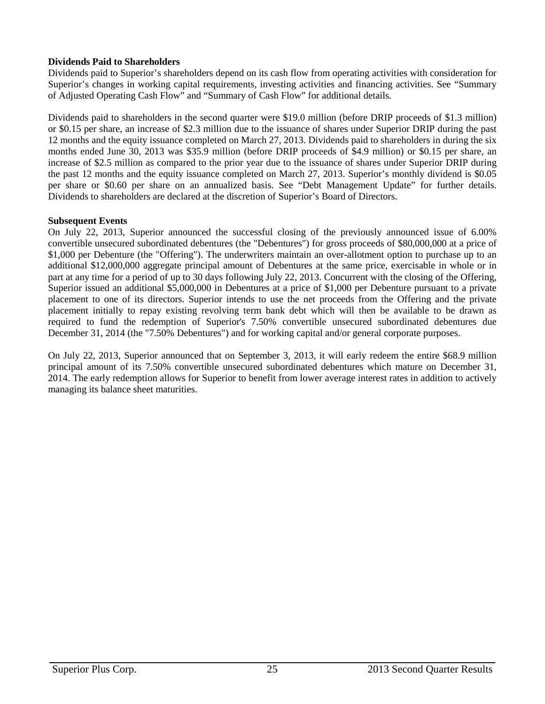#### **Dividends Paid to Shareholders**

Dividends paid to Superior's shareholders depend on its cash flow from operating activities with consideration for Superior's changes in working capital requirements, investing activities and financing activities. See "Summary of Adjusted Operating Cash Flow" and "Summary of Cash Flow" for additional details.

Dividends paid to shareholders in the second quarter were \$19.0 million (before DRIP proceeds of \$1.3 million) or \$0.15 per share, an increase of \$2.3 million due to the issuance of shares under Superior DRIP during the past 12 months and the equity issuance completed on March 27, 2013. Dividends paid to shareholders in during the six months ended June 30, 2013 was \$35.9 million (before DRIP proceeds of \$4.9 million) or \$0.15 per share, an increase of \$2.5 million as compared to the prior year due to the issuance of shares under Superior DRIP during the past 12 months and the equity issuance completed on March 27, 2013. Superior's monthly dividend is \$0.05 per share or \$0.60 per share on an annualized basis. See "Debt Management Update" for further details. Dividends to shareholders are declared at the discretion of Superior's Board of Directors.

#### **Subsequent Events**

On July 22, 2013, Superior announced the successful closing of the previously announced issue of 6.00% convertible unsecured subordinated debentures (the "Debentures") for gross proceeds of \$80,000,000 at a price of \$1,000 per Debenture (the "Offering"). The underwriters maintain an over-allotment option to purchase up to an additional \$12,000,000 aggregate principal amount of Debentures at the same price, exercisable in whole or in part at any time for a period of up to 30 days following July 22, 2013. Concurrent with the closing of the Offering, Superior issued an additional \$5,000,000 in Debentures at a price of \$1,000 per Debenture pursuant to a private placement to one of its directors. Superior intends to use the net proceeds from the Offering and the private placement initially to repay existing revolving term bank debt which will then be available to be drawn as required to fund the redemption of Superior's 7.50% convertible unsecured subordinated debentures due December 31, 2014 (the "7.50% Debentures") and for working capital and/or general corporate purposes.

On July 22, 2013, Superior announced that on September 3, 2013, it will early redeem the entire \$68.9 million principal amount of its 7.50% convertible unsecured subordinated debentures which mature on December 31, 2014. The early redemption allows for Superior to benefit from lower average interest rates in addition to actively managing its balance sheet maturities.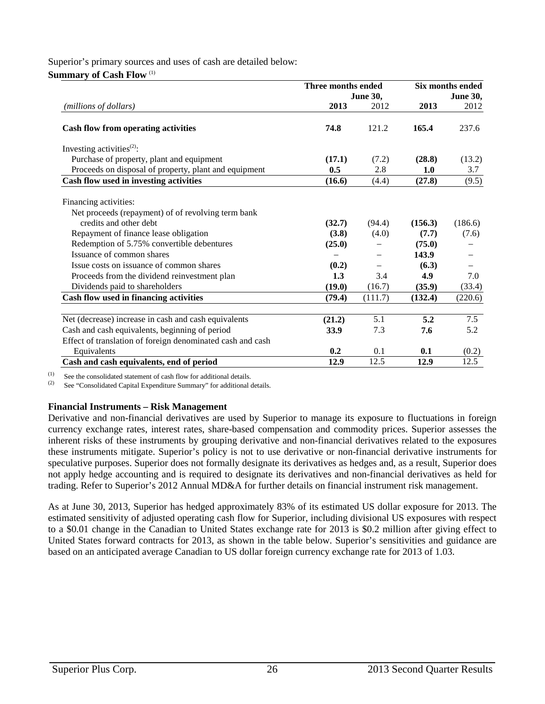Superior's primary sources and uses of cash are detailed below:

#### **Summary of Cash Flow** (1)

|                                                                             | Three months ended |                 | <b>Six months ended</b> |                 |  |
|-----------------------------------------------------------------------------|--------------------|-----------------|-------------------------|-----------------|--|
|                                                                             |                    | <b>June 30,</b> |                         | <b>June 30,</b> |  |
| (millions of dollars)                                                       | 2013               | 2012            | 2013                    | 2012            |  |
| Cash flow from operating activities                                         | 74.8               | 121.2           | 165.4                   | 237.6           |  |
| Investing activities <sup>(2)</sup> :                                       |                    |                 |                         |                 |  |
| Purchase of property, plant and equipment                                   | (17.1)             | (7.2)           | (28.8)                  | (13.2)          |  |
| Proceeds on disposal of property, plant and equipment                       | 0.5                | 2.8             | 1.0                     | 3.7             |  |
| Cash flow used in investing activities                                      | (16.6)             | (4.4)           | (27.8)                  | (9.5)           |  |
| Financing activities:<br>Net proceeds (repayment) of of revolving term bank |                    |                 |                         |                 |  |
| credits and other debt                                                      | (32.7)             | (94.4)          | (156.3)                 | (186.6)         |  |
| Repayment of finance lease obligation                                       | (3.8)              | (4.0)           | (7.7)                   | (7.6)           |  |
| Redemption of 5.75% convertible debentures                                  | (25.0)             |                 | (75.0)                  |                 |  |
| Issuance of common shares                                                   |                    |                 | 143.9                   |                 |  |
| Issue costs on issuance of common shares                                    | (0.2)              |                 | (6.3)                   |                 |  |
| Proceeds from the dividend reinvestment plan                                | 1.3                | 3.4             | 4.9                     | 7.0             |  |
| Dividends paid to shareholders                                              | (19.0)             | (16.7)          | (35.9)                  | (33.4)          |  |
| Cash flow used in financing activities                                      | (79.4)             | (111.7)         | (132.4)                 | (220.6)         |  |
|                                                                             |                    |                 |                         |                 |  |
| Net (decrease) increase in cash and cash equivalents                        | (21.2)             | 5.1             | 5.2                     | 7.5             |  |
| Cash and cash equivalents, beginning of period                              | 33.9               | 7.3             | 7.6                     | 5.2             |  |
| Effect of translation of foreign denominated cash and cash                  |                    |                 |                         |                 |  |
| Equivalents                                                                 | 0.2                | 0.1             | 0.1                     | (0.2)           |  |
| Cash and cash equivalents, end of period                                    | 12.9               | 12.5            | 12.9                    | 12.5            |  |

 $(1)$ (1) See the consolidated statement of cash flow for additional details.<br>(2) See "Consolidated Cenital Europeiium Summerry" for additional

See "Consolidated Capital Expenditure Summary" for additional details.

#### **Financial Instruments – Risk Management**

Derivative and non-financial derivatives are used by Superior to manage its exposure to fluctuations in foreign currency exchange rates, interest rates, share-based compensation and commodity prices. Superior assesses the inherent risks of these instruments by grouping derivative and non-financial derivatives related to the exposures these instruments mitigate. Superior's policy is not to use derivative or non-financial derivative instruments for speculative purposes. Superior does not formally designate its derivatives as hedges and, as a result, Superior does not apply hedge accounting and is required to designate its derivatives and non-financial derivatives as held for trading. Refer to Superior's 2012 Annual MD&A for further details on financial instrument risk management.

As at June 30, 2013, Superior has hedged approximately 83% of its estimated US dollar exposure for 2013. The estimated sensitivity of adjusted operating cash flow for Superior, including divisional US exposures with respect to a \$0.01 change in the Canadian to United States exchange rate for 2013 is \$0.2 million after giving effect to United States forward contracts for 2013, as shown in the table below. Superior's sensitivities and guidance are based on an anticipated average Canadian to US dollar foreign currency exchange rate for 2013 of 1.03.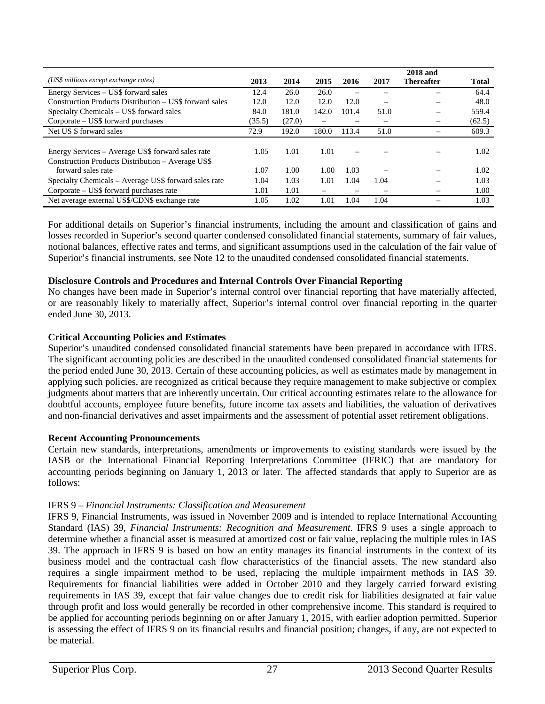|                                                         |        |        |                 |       |                          | <b>2018</b> and          |              |
|---------------------------------------------------------|--------|--------|-----------------|-------|--------------------------|--------------------------|--------------|
| (US\$ millions except exchange rates)                   | 2013   | 2014   | 2015            | 2016  | 2017                     | <b>Thereafter</b>        | <b>Total</b> |
| Energy Services – US\$ forward sales                    | 12.4   | 26.0   | 26.0            |       |                          |                          | 64.4         |
| Construction Products Distribution – US\$ forward sales | 12.0   | 12.0   | 12.0            | 12.0  | $\overline{\phantom{0}}$ |                          | 48.0         |
| Specialty Chemicals – US\$ forward sales                | 84.0   | 181.0  | 142.0           | 101.4 | 51.0                     |                          | 559.4        |
| Corporate – US\$ forward purchases                      | (35.5) | (27.0) | $\qquad \qquad$ |       | $\overline{\phantom{0}}$ | $\overline{\phantom{m}}$ | (62.5)       |
| Net US \$ forward sales                                 | 72.9   | 192.0  | 180.0           | 113.4 | 51.0                     |                          | 609.3        |
|                                                         |        |        |                 |       |                          |                          |              |
| Energy Services – Average US\$ forward sales rate       | 1.05   | 1.01   | 1.01            |       |                          |                          | 1.02         |
| Construction Products Distribution – Average US\$       |        |        |                 |       |                          |                          |              |
| forward sales rate                                      | 1.07   | 1.00   | 1.00            | 1.03  |                          |                          | 1.02         |
| Specialty Chemicals – Average US\$ forward sales rate   | 1.04   | 1.03   | 1.01            | 1.04  | 1.04                     |                          | 1.03         |
| Corporate – US\$ forward purchases rate                 | 1.01   | 1.01   | -               |       |                          |                          | 1.00         |
| Net average external US\$/CDN\$ exchange rate           | 1.05   | 1.02   | 1.01            | 1.04  | 1.04                     |                          | 1.03         |

For additional details on Superior's financial instruments, including the amount and classification of gains and losses recorded in Superior's second quarter condensed consolidated financial statements, summary of fair values, notional balances, effective rates and terms, and significant assumptions used in the calculation of the fair value of Superior's financial instruments, see Note 12 to the unaudited condensed consolidated financial statements.

#### **Disclosure Controls and Procedures and Internal Controls Over Financial Reporting**

No changes have been made in Superior's internal control over financial reporting that have materially affected, or are reasonably likely to materially affect, Superior's internal control over financial reporting in the quarter ended June 30, 2013.

#### **Critical Accounting Policies and Estimates**

Superior's unaudited condensed consolidated financial statements have been prepared in accordance with IFRS. The significant accounting policies are described in the unaudited condensed consolidated financial statements for the period ended June 30, 2013. Certain of these accounting policies, as well as estimates made by management in applying such policies, are recognized as critical because they require management to make subjective or complex judgments about matters that are inherently uncertain. Our critical accounting estimates relate to the allowance for doubtful accounts, employee future benefits, future income tax assets and liabilities, the valuation of derivatives and non-financial derivatives and asset impairments and the assessment of potential asset retirement obligations.

#### **Recent Accounting Pronouncements**

Certain new standards, interpretations, amendments or improvements to existing standards were issued by the IASB or the International Financial Reporting Interpretations Committee (IFRIC) that are mandatory for accounting periods beginning on January 1, 2013 or later. The affected standards that apply to Superior are as follows:

#### IFRS 9 – *Financial Instruments: Classification and Measurement*

IFRS 9, Financial Instruments, was issued in November 2009 and is intended to replace International Accounting Standard (IAS) 39*, Financial Instruments: Recognition and Measurement*. IFRS 9 uses a single approach to determine whether a financial asset is measured at amortized cost or fair value, replacing the multiple rules in IAS 39. The approach in IFRS 9 is based on how an entity manages its financial instruments in the context of its business model and the contractual cash flow characteristics of the financial assets. The new standard also requires a single impairment method to be used, replacing the multiple impairment methods in IAS 39. Requirements for financial liabilities were added in October 2010 and they largely carried forward existing requirements in IAS 39, except that fair value changes due to credit risk for liabilities designated at fair value through profit and loss would generally be recorded in other comprehensive income. This standard is required to be applied for accounting periods beginning on or after January 1, 2015, with earlier adoption permitted. Superior is assessing the effect of IFRS 9 on its financial results and financial position; changes, if any, are not expected to be material.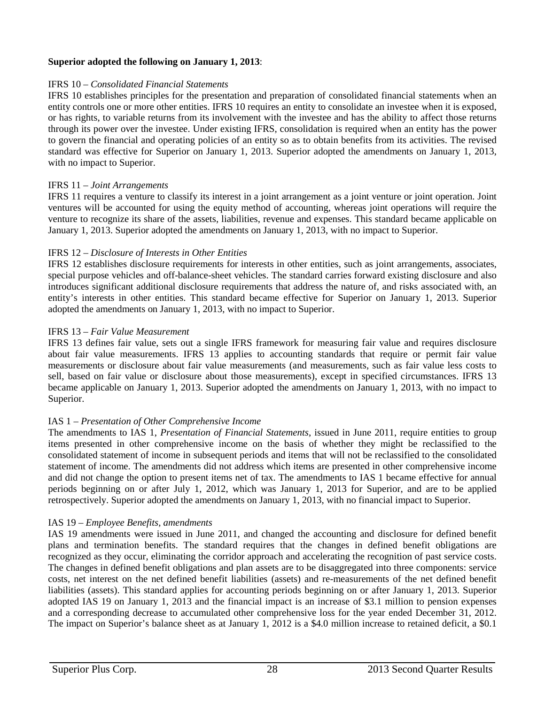## **Superior adopted the following on January 1, 2013**:

#### IFRS 10 – *Consolidated Financial Statements*

IFRS 10 establishes principles for the presentation and preparation of consolidated financial statements when an entity controls one or more other entities. IFRS 10 requires an entity to consolidate an investee when it is exposed, or has rights, to variable returns from its involvement with the investee and has the ability to affect those returns through its power over the investee. Under existing IFRS, consolidation is required when an entity has the power to govern the financial and operating policies of an entity so as to obtain benefits from its activities. The revised standard was effective for Superior on January 1, 2013. Superior adopted the amendments on January 1, 2013, with no impact to Superior.

#### IFRS 11 – *Joint Arrangements*

IFRS 11 requires a venture to classify its interest in a joint arrangement as a joint venture or joint operation. Joint ventures will be accounted for using the equity method of accounting, whereas joint operations will require the venture to recognize its share of the assets, liabilities, revenue and expenses. This standard became applicable on January 1, 2013. Superior adopted the amendments on January 1, 2013, with no impact to Superior.

#### IFRS 12 – *Disclosure of Interests in Other Entities*

IFRS 12 establishes disclosure requirements for interests in other entities, such as joint arrangements, associates, special purpose vehicles and off-balance-sheet vehicles. The standard carries forward existing disclosure and also introduces significant additional disclosure requirements that address the nature of, and risks associated with, an entity's interests in other entities. This standard became effective for Superior on January 1, 2013. Superior adopted the amendments on January 1, 2013, with no impact to Superior.

#### IFRS 13 *– Fair Value Measurement*

IFRS 13 defines fair value, sets out a single IFRS framework for measuring fair value and requires disclosure about fair value measurements. IFRS 13 applies to accounting standards that require or permit fair value measurements or disclosure about fair value measurements (and measurements, such as fair value less costs to sell, based on fair value or disclosure about those measurements), except in specified circumstances. IFRS 13 became applicable on January 1, 2013. Superior adopted the amendments on January 1, 2013, with no impact to Superior.

#### IAS 1 – *Presentation of Other Comprehensive Income*

The amendments to IAS 1, *Presentation of Financial Statements*, issued in June 2011, require entities to group items presented in other comprehensive income on the basis of whether they might be reclassified to the consolidated statement of income in subsequent periods and items that will not be reclassified to the consolidated statement of income. The amendments did not address which items are presented in other comprehensive income and did not change the option to present items net of tax. The amendments to IAS 1 became effective for annual periods beginning on or after July 1, 2012, which was January 1, 2013 for Superior, and are to be applied retrospectively. Superior adopted the amendments on January 1, 2013, with no financial impact to Superior.

#### IAS 19 – *Employee Benefits, amendments*

IAS 19 amendments were issued in June 2011, and changed the accounting and disclosure for defined benefit plans and termination benefits. The standard requires that the changes in defined benefit obligations are recognized as they occur, eliminating the corridor approach and accelerating the recognition of past service costs. The changes in defined benefit obligations and plan assets are to be disaggregated into three components: service costs, net interest on the net defined benefit liabilities (assets) and re-measurements of the net defined benefit liabilities (assets). This standard applies for accounting periods beginning on or after January 1, 2013. Superior adopted IAS 19 on January 1, 2013 and the financial impact is an increase of \$3.1 million to pension expenses and a corresponding decrease to accumulated other comprehensive loss for the year ended December 31, 2012. The impact on Superior's balance sheet as at January 1, 2012 is a \$4.0 million increase to retained deficit, a \$0.1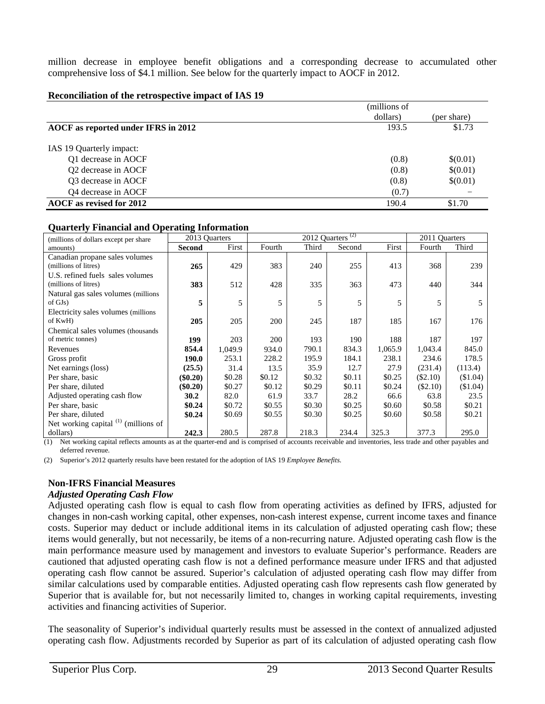million decrease in employee benefit obligations and a corresponding decrease to accumulated other comprehensive loss of \$4.1 million. See below for the quarterly impact to AOCF in 2012.

| Reconciliation of the retrospective impact of IAS 19 |              |             |
|------------------------------------------------------|--------------|-------------|
|                                                      | (millions of |             |
|                                                      | dollars)     | (per share) |
| AOCF as reported under IFRS in 2012                  | 193.5        | \$1.73      |
| IAS 19 Quarterly impact:                             |              |             |
| Q1 decrease in AOCF                                  | (0.8)        | \$(0.01)    |
| Q2 decrease in AOCF                                  | (0.8)        | \$(0.01)    |
| 03 decrease in AOCF                                  | (0.8)        | \$(0.01)    |
| Q4 decrease in AOCF                                  | (0.7)        |             |
| AOCF as revised for 2012                             | 190.4        | \$1.70      |

# **Reconciliation of the retrospective impact of IAS 19**

#### **Quarterly Financial and Operating Information**

| (millions of dollars except per share  |               | 2012 Quarters <sup>(2)</sup><br>2013 Quarters<br>2011 Ouarters |        |        |        |         |            |          |
|----------------------------------------|---------------|----------------------------------------------------------------|--------|--------|--------|---------|------------|----------|
| amounts)                               | <b>Second</b> | First                                                          | Fourth | Third  | Second | First   | Fourth     | Third    |
| Canadian propane sales volumes         |               |                                                                |        |        |        |         |            |          |
| (millions of litres)                   | 265           | 429                                                            | 383    | 240    | 255    | 413     | 368        | 239      |
| U.S. refined fuels sales volumes       |               |                                                                |        |        |        |         |            |          |
| (millions of litres)                   | 383           | 512                                                            | 428    | 335    | 363    | 473     | 440        | 344      |
| Natural gas sales volumes (millions)   |               |                                                                |        |        |        |         |            |          |
| of GJs)                                | 5             | 5                                                              | 5      | 5      | 5      | 5       | 5          | 5        |
| Electricity sales volumes (millions)   |               |                                                                |        |        |        |         |            |          |
| of KwH)                                | 205           | 205                                                            | 200    | 245    | 187    | 185     | 167        | 176      |
| Chemical sales volumes (thousands      |               |                                                                |        |        |        |         |            |          |
| of metric tonnes)                      | 199           | 203                                                            | 200    | 193    | 190    | 188     | 187        | 197      |
| Revenues                               | 854.4         | 1,049.9                                                        | 934.0  | 790.1  | 834.3  | 1,065.9 | 1,043.4    | 845.0    |
| Gross profit                           | 190.0         | 253.1                                                          | 228.2  | 195.9  | 184.1  | 238.1   | 234.6      | 178.5    |
| Net earnings (loss)                    | (25.5)        | 31.4                                                           | 13.5   | 35.9   | 12.7   | 27.9    | (231.4)    | (113.4)  |
| Per share, basic                       | $(\$0.20)$    | \$0.28                                                         | \$0.12 | \$0.32 | \$0.11 | \$0.25  | $(\$2.10)$ | (\$1.04) |
| Per share, diluted                     | $(\$0.20)$    | \$0.27                                                         | \$0.12 | \$0.29 | \$0.11 | \$0.24  | $(\$2.10)$ | (\$1.04) |
| Adjusted operating cash flow           | 30.2          | 82.0                                                           | 61.9   | 33.7   | 28.2   | 66.6    | 63.8       | 23.5     |
| Per share, basic                       | \$0.24        | \$0.72                                                         | \$0.55 | \$0.30 | \$0.25 | \$0.60  | \$0.58     | \$0.21   |
| Per share, diluted                     | \$0.24        | \$0.69                                                         | \$0.55 | \$0.30 | \$0.25 | \$0.60  | \$0.58     | \$0.21   |
| Net working capital $(1)$ (millions of |               |                                                                |        |        |        |         |            |          |
| dollars)                               | 242.3         | 280.5                                                          | 287.8  | 218.3  | 234.4  | 325.3   | 377.3      | 295.0    |

(1) Net working capital reflects amounts as at the quarter-end and is comprised of accounts receivable and inventories, less trade and other payables and deferred revenue.

(2) Superior's 2012 quarterly results have been restated for the adoption of IAS 19 *Employee Benefits*.

#### **Non-IFRS Financial Measures**

#### *Adjusted Operating Cash Flow*

Adjusted operating cash flow is equal to cash flow from operating activities as defined by IFRS, adjusted for changes in non-cash working capital, other expenses, non-cash interest expense, current income taxes and finance costs. Superior may deduct or include additional items in its calculation of adjusted operating cash flow; these items would generally, but not necessarily, be items of a non-recurring nature. Adjusted operating cash flow is the main performance measure used by management and investors to evaluate Superior's performance. Readers are cautioned that adjusted operating cash flow is not a defined performance measure under IFRS and that adjusted operating cash flow cannot be assured. Superior's calculation of adjusted operating cash flow may differ from similar calculations used by comparable entities. Adjusted operating cash flow represents cash flow generated by Superior that is available for, but not necessarily limited to, changes in working capital requirements, investing activities and financing activities of Superior.

The seasonality of Superior's individual quarterly results must be assessed in the context of annualized adjusted operating cash flow. Adjustments recorded by Superior as part of its calculation of adjusted operating cash flow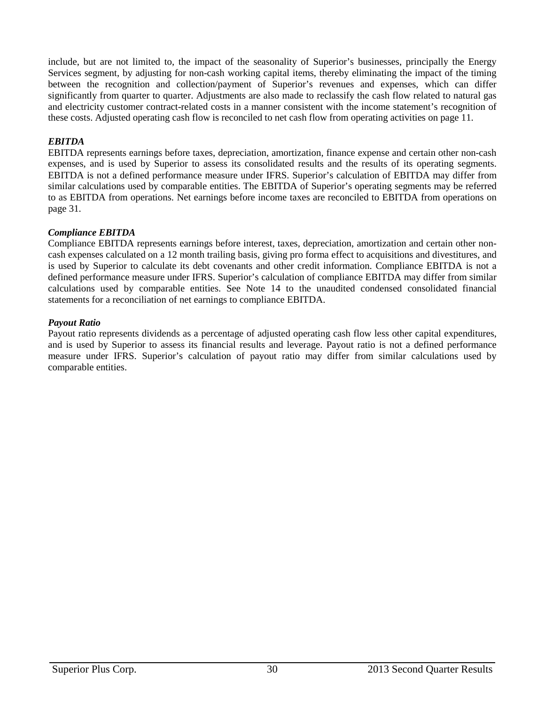include, but are not limited to, the impact of the seasonality of Superior's businesses, principally the Energy Services segment, by adjusting for non-cash working capital items, thereby eliminating the impact of the timing between the recognition and collection/payment of Superior's revenues and expenses, which can differ significantly from quarter to quarter. Adjustments are also made to reclassify the cash flow related to natural gas and electricity customer contract-related costs in a manner consistent with the income statement's recognition of these costs. Adjusted operating cash flow is reconciled to net cash flow from operating activities on page 11.

## *EBITDA*

EBITDA represents earnings before taxes, depreciation, amortization, finance expense and certain other non-cash expenses, and is used by Superior to assess its consolidated results and the results of its operating segments. EBITDA is not a defined performance measure under IFRS. Superior's calculation of EBITDA may differ from similar calculations used by comparable entities. The EBITDA of Superior's operating segments may be referred to as EBITDA from operations. Net earnings before income taxes are reconciled to EBITDA from operations on page 31.

### *Compliance EBITDA*

Compliance EBITDA represents earnings before interest, taxes, depreciation, amortization and certain other noncash expenses calculated on a 12 month trailing basis, giving pro forma effect to acquisitions and divestitures, and is used by Superior to calculate its debt covenants and other credit information. Compliance EBITDA is not a defined performance measure under IFRS. Superior's calculation of compliance EBITDA may differ from similar calculations used by comparable entities. See Note 14 to the unaudited condensed consolidated financial statements for a reconciliation of net earnings to compliance EBITDA.

#### *Payout Ratio*

Payout ratio represents dividends as a percentage of adjusted operating cash flow less other capital expenditures, and is used by Superior to assess its financial results and leverage. Payout ratio is not a defined performance measure under IFRS. Superior's calculation of payout ratio may differ from similar calculations used by comparable entities.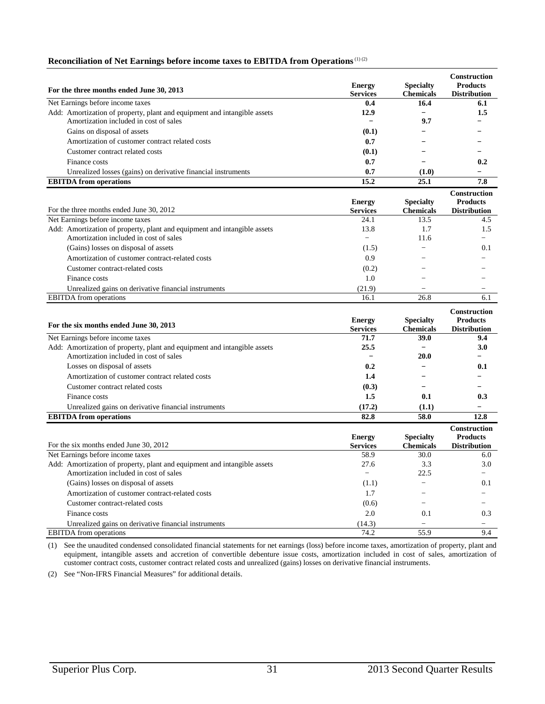#### **Reconciliation of Net Earnings before income taxes to EBITDA from Operations** (1) (2)

|                                                                          |                          |                          | <b>Construction</b>        |
|--------------------------------------------------------------------------|--------------------------|--------------------------|----------------------------|
| For the three months ended June 30, 2013                                 | <b>Energy</b>            | <b>Specialty</b>         | <b>Products</b>            |
| Net Earnings before income taxes                                         | <b>Services</b><br>0.4   | <b>Chemicals</b><br>16.4 | <b>Distribution</b><br>6.1 |
| Add: Amortization of property, plant and equipment and intangible assets | 12.9                     |                          | $1.5\,$                    |
| Amortization included in cost of sales                                   |                          | 9.7                      |                            |
| Gains on disposal of assets                                              | (0.1)                    |                          |                            |
| Amortization of customer contract related costs                          | 0.7                      |                          |                            |
| Customer contract related costs                                          | (0.1)                    |                          |                            |
| Finance costs                                                            | 0.7                      |                          | 0.2                        |
| Unrealized losses (gains) on derivative financial instruments            | 0.7                      | (1.0)                    |                            |
| <b>EBITDA</b> from operations                                            | 15.2                     | 25.1                     | 7.8                        |
|                                                                          |                          |                          | Construction               |
|                                                                          | <b>Energy</b>            | <b>Specialty</b>         | <b>Products</b>            |
| For the three months ended June 30, 2012                                 | <b>Services</b>          | <b>Chemicals</b>         | <b>Distribution</b>        |
| Net Earnings before income taxes                                         | 24.1                     | 13.5                     | 4.5                        |
| Add: Amortization of property, plant and equipment and intangible assets | 13.8                     | 1.7                      | 1.5                        |
| Amortization included in cost of sales                                   | $\equiv$                 | 11.6                     |                            |
| (Gains) losses on disposal of assets                                     | (1.5)                    |                          | 0.1                        |
| Amortization of customer contract-related costs                          | 0.9                      |                          |                            |
| Customer contract-related costs                                          | (0.2)                    |                          |                            |
| Finance costs                                                            | 1.0                      |                          |                            |
| Unrealized gains on derivative financial instruments                     | (21.9)                   |                          |                            |
| <b>EBITDA</b> from operations                                            | 16.1                     | 26.8                     | 6.1                        |
|                                                                          |                          |                          | <b>Construction</b>        |
|                                                                          | <b>Energy</b>            | <b>Specialty</b>         | <b>Products</b>            |
| For the six months ended June 30, 2013                                   | <b>Services</b>          | <b>Chemicals</b>         | <b>Distribution</b>        |
| Net Earnings before income taxes                                         | 71.7                     | 39.0                     | 9.4                        |
| Add: Amortization of property, plant and equipment and intangible assets | 25.5                     |                          | 3.0                        |
| Amortization included in cost of sales                                   | $\overline{\phantom{m}}$ | 20.0                     |                            |
| Losses on disposal of assets                                             | 0.2                      |                          | 0.1                        |
| Amortization of customer contract related costs                          | 1.4                      |                          |                            |
| Customer contract related costs                                          | (0.3)                    |                          |                            |
| Finance costs                                                            | 1.5                      | 0.1                      | 0.3                        |
| Unrealized gains on derivative financial instruments                     | (17.2)                   | (1.1)                    |                            |
| <b>EBITDA</b> from operations                                            | 82.8                     | 58.0                     | 12.8                       |
|                                                                          |                          |                          | <b>Construction</b>        |
|                                                                          | <b>Energy</b>            | <b>Specialty</b>         | <b>Products</b>            |
| For the six months ended June 30, 2012                                   | <b>Services</b>          | <b>Chemicals</b>         | <b>Distribution</b>        |
| Net Earnings before income taxes                                         | 58.9                     | 30.0                     | 6.0                        |
| Add: Amortization of property, plant and equipment and intangible assets | 27.6                     | 3.3                      | 3.0                        |
| Amortization included in cost of sales                                   | $\equiv$                 | 22.5                     |                            |
| (Gains) losses on disposal of assets                                     | (1.1)                    |                          | 0.1                        |
| Amortization of customer contract-related costs                          | 1.7                      |                          |                            |
| Customer contract-related costs                                          | (0.6)                    |                          |                            |
| Finance costs                                                            | 2.0                      | 0.1                      | 0.3                        |
| Unrealized gains on derivative financial instruments                     | (14.3)                   |                          |                            |
| <b>EBITDA</b> from operations                                            | 74.2                     | 55.9                     | 9.4                        |

(1) See the unaudited condensed consolidated financial statements for net earnings (loss) before income taxes, amortization of property, plant and equipment, intangible assets and accretion of convertible debenture issue costs, amortization included in cost of sales, amortization of customer contract costs, customer contract related costs and unrealized (gains) losses on derivative financial instruments.

(2) See "Non-IFRS Financial Measures" for additional details.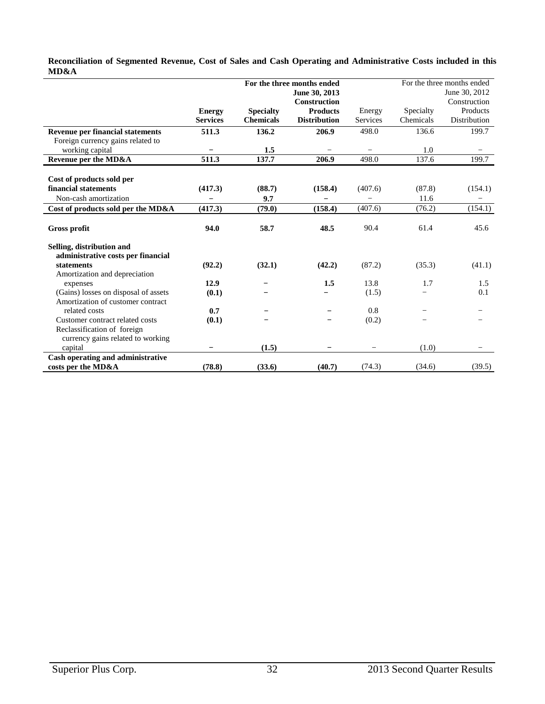#### **Reconciliation of Segmented Revenue, Cost of Sales and Cash Operating and Administrative Costs included in this MD&A**

|                                      |                 |                  | For the three months ended |                          |           | For the three months ended |
|--------------------------------------|-----------------|------------------|----------------------------|--------------------------|-----------|----------------------------|
|                                      |                 |                  | June 30, 2013              |                          |           | June 30, 2012              |
|                                      |                 |                  | <b>Construction</b>        |                          |           | Construction               |
|                                      | <b>Energy</b>   | <b>Specialty</b> | <b>Products</b>            | Energy                   | Specialty | Products                   |
|                                      | <b>Services</b> | <b>Chemicals</b> | <b>Distribution</b>        | <b>Services</b>          | Chemicals | Distribution               |
| Revenue per financial statements     | 511.3           | 136.2            | 206.9                      | 498.0                    | 136.6     | 199.7                      |
| Foreign currency gains related to    |                 |                  |                            |                          |           |                            |
| working capital                      |                 | 1.5              |                            | $\overline{\phantom{0}}$ | 1.0       |                            |
| Revenue per the MD&A                 | 511.3           | 137.7            | 206.9                      | 498.0                    | 137.6     | 199.7                      |
|                                      |                 |                  |                            |                          |           |                            |
| Cost of products sold per            |                 |                  |                            |                          |           |                            |
| financial statements                 | (417.3)         | (88.7)           | (158.4)                    | (407.6)                  | (87.8)    | (154.1)                    |
| Non-cash amortization                |                 | 9.7              |                            |                          | 11.6      |                            |
| Cost of products sold per the MD&A   | (417.3)         | (79.0)           | (158.4)                    | (407.6)                  | (76.2)    | (154.1)                    |
|                                      |                 |                  |                            |                          |           |                            |
| <b>Gross profit</b>                  | 94.0            | 58.7             | 48.5                       | 90.4                     | 61.4      | 45.6                       |
| Selling, distribution and            |                 |                  |                            |                          |           |                            |
| administrative costs per financial   |                 |                  |                            |                          |           |                            |
| statements                           | (92.2)          | (32.1)           | (42.2)                     | (87.2)                   | (35.3)    | (41.1)                     |
| Amortization and depreciation        |                 |                  |                            |                          |           |                            |
| expenses                             | 12.9            |                  | 1.5                        | 13.8                     | 1.7       | 1.5                        |
| (Gains) losses on disposal of assets | (0.1)           |                  |                            | (1.5)                    |           | 0.1                        |
| Amortization of customer contract    |                 |                  |                            |                          |           |                            |
| related costs                        | 0.7             |                  |                            | 0.8                      |           |                            |
| Customer contract related costs      | (0.1)           |                  |                            | (0.2)                    |           |                            |
| Reclassification of foreign          |                 |                  |                            |                          |           |                            |
| currency gains related to working    |                 |                  |                            |                          |           |                            |
| capital                              |                 | (1.5)            |                            |                          | (1.0)     |                            |
| Cash operating and administrative    |                 |                  |                            |                          |           |                            |
| costs per the MD&A                   | (78.8)          | (33.6)           | (40.7)                     | (74.3)                   | (34.6)    | (39.5)                     |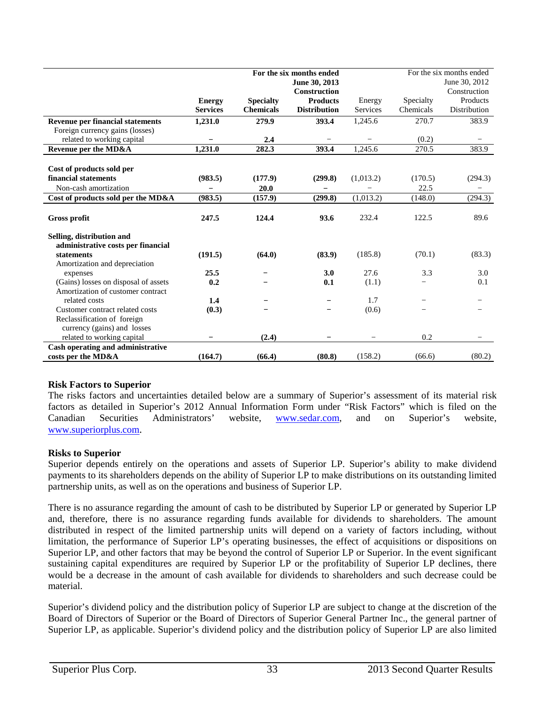|                                         | For the six months ended |                  |                     |           |           | For the six months ended |
|-----------------------------------------|--------------------------|------------------|---------------------|-----------|-----------|--------------------------|
|                                         |                          |                  | June 30, 2013       |           |           | June 30, 2012            |
|                                         |                          |                  | <b>Construction</b> |           |           | Construction             |
|                                         | <b>Energy</b>            | <b>Specialty</b> | <b>Products</b>     | Energy    | Specialty | Products                 |
|                                         | <b>Services</b>          | <b>Chemicals</b> | <b>Distribution</b> | Services  | Chemicals | Distribution             |
| <b>Revenue per financial statements</b> | 1,231.0                  | 279.9            | 393.4               | 1,245.6   | 270.7     | 383.9                    |
| Foreign currency gains (losses)         |                          |                  |                     |           |           |                          |
| related to working capital              |                          | 2.4              |                     |           | (0.2)     |                          |
| Revenue per the MD&A                    | 1,231.0                  | 282.3            | 393.4               | 1,245.6   | 270.5     | 383.9                    |
|                                         |                          |                  |                     |           |           |                          |
| Cost of products sold per               |                          |                  |                     |           |           |                          |
| financial statements                    | (983.5)                  | (177.9)          | (299.8)             | (1,013.2) | (170.5)   | (294.3)                  |
| Non-cash amortization                   |                          | 20.0             |                     |           | 22.5      |                          |
| Cost of products sold per the MD&A      | (983.5)                  | (157.9)          | (299.8)             | (1,013.2) | (148.0)   | (294.3)                  |
|                                         |                          |                  |                     |           |           |                          |
| <b>Gross profit</b>                     | 247.5                    | 124.4            | 93.6                | 232.4     | 122.5     | 89.6                     |
| Selling, distribution and               |                          |                  |                     |           |           |                          |
| administrative costs per financial      |                          |                  |                     |           |           |                          |
| statements                              | (191.5)                  | (64.0)           | (83.9)              | (185.8)   | (70.1)    | (83.3)                   |
| Amortization and depreciation           |                          |                  |                     |           |           |                          |
| expenses                                | 25.5                     |                  | 3.0                 | 27.6      | 3.3       | 3.0                      |
| (Gains) losses on disposal of assets    | 0.2                      |                  | 0.1                 | (1.1)     |           | 0.1                      |
| Amortization of customer contract       |                          |                  |                     |           |           |                          |
| related costs                           | 1.4                      |                  |                     | 1.7       |           |                          |
| Customer contract related costs         | (0.3)                    |                  |                     | (0.6)     |           |                          |
| Reclassification of foreign             |                          |                  |                     |           |           |                          |
| currency (gains) and losses             |                          |                  |                     |           |           |                          |
| related to working capital              |                          | (2.4)            |                     |           | 0.2       |                          |
| Cash operating and administrative       |                          |                  |                     |           |           |                          |
| costs per the MD&A                      | (164.7)                  | (66.4)           | (80.8)              | (158.2)   | (66.6)    | (80.2)                   |

#### **Risk Factors to Superior**

The risks factors and uncertainties detailed below are a summary of Superior's assessment of its material risk factors as detailed in Superior's 2012 Annual Information Form under "Risk Factors" which is filed on the Canadian Securities Administrators' website, www.sedar.com, and on Superior's website, www.superiorplus.com.

#### **Risks to Superior**

Superior depends entirely on the operations and assets of Superior LP. Superior's ability to make dividend payments to its shareholders depends on the ability of Superior LP to make distributions on its outstanding limited partnership units, as well as on the operations and business of Superior LP.

There is no assurance regarding the amount of cash to be distributed by Superior LP or generated by Superior LP and, therefore, there is no assurance regarding funds available for dividends to shareholders. The amount distributed in respect of the limited partnership units will depend on a variety of factors including, without limitation, the performance of Superior LP's operating businesses, the effect of acquisitions or dispositions on Superior LP, and other factors that may be beyond the control of Superior LP or Superior. In the event significant sustaining capital expenditures are required by Superior LP or the profitability of Superior LP declines, there would be a decrease in the amount of cash available for dividends to shareholders and such decrease could be material.

Superior's dividend policy and the distribution policy of Superior LP are subject to change at the discretion of the Board of Directors of Superior or the Board of Directors of Superior General Partner Inc., the general partner of Superior LP, as applicable. Superior's dividend policy and the distribution policy of Superior LP are also limited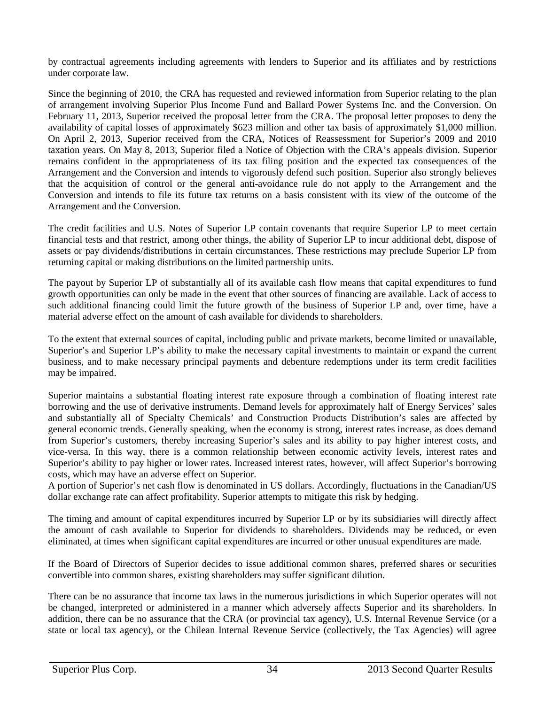by contractual agreements including agreements with lenders to Superior and its affiliates and by restrictions under corporate law.

Since the beginning of 2010, the CRA has requested and reviewed information from Superior relating to the plan of arrangement involving Superior Plus Income Fund and Ballard Power Systems Inc. and the Conversion. On February 11, 2013, Superior received the proposal letter from the CRA. The proposal letter proposes to deny the availability of capital losses of approximately \$623 million and other tax basis of approximately \$1,000 million. On April 2, 2013, Superior received from the CRA, Notices of Reassessment for Superior's 2009 and 2010 taxation years. On May 8, 2013, Superior filed a Notice of Objection with the CRA's appeals division. Superior remains confident in the appropriateness of its tax filing position and the expected tax consequences of the Arrangement and the Conversion and intends to vigorously defend such position. Superior also strongly believes that the acquisition of control or the general anti-avoidance rule do not apply to the Arrangement and the Conversion and intends to file its future tax returns on a basis consistent with its view of the outcome of the Arrangement and the Conversion.

The credit facilities and U.S. Notes of Superior LP contain covenants that require Superior LP to meet certain financial tests and that restrict, among other things, the ability of Superior LP to incur additional debt, dispose of assets or pay dividends/distributions in certain circumstances. These restrictions may preclude Superior LP from returning capital or making distributions on the limited partnership units.

The payout by Superior LP of substantially all of its available cash flow means that capital expenditures to fund growth opportunities can only be made in the event that other sources of financing are available. Lack of access to such additional financing could limit the future growth of the business of Superior LP and, over time, have a material adverse effect on the amount of cash available for dividends to shareholders.

To the extent that external sources of capital, including public and private markets, become limited or unavailable, Superior's and Superior LP's ability to make the necessary capital investments to maintain or expand the current business, and to make necessary principal payments and debenture redemptions under its term credit facilities may be impaired.

Superior maintains a substantial floating interest rate exposure through a combination of floating interest rate borrowing and the use of derivative instruments. Demand levels for approximately half of Energy Services' sales and substantially all of Specialty Chemicals' and Construction Products Distribution's sales are affected by general economic trends. Generally speaking, when the economy is strong, interest rates increase, as does demand from Superior's customers, thereby increasing Superior's sales and its ability to pay higher interest costs, and vice-versa. In this way, there is a common relationship between economic activity levels, interest rates and Superior's ability to pay higher or lower rates. Increased interest rates, however, will affect Superior's borrowing costs, which may have an adverse effect on Superior.

A portion of Superior's net cash flow is denominated in US dollars. Accordingly, fluctuations in the Canadian/US dollar exchange rate can affect profitability. Superior attempts to mitigate this risk by hedging.

The timing and amount of capital expenditures incurred by Superior LP or by its subsidiaries will directly affect the amount of cash available to Superior for dividends to shareholders. Dividends may be reduced, or even eliminated, at times when significant capital expenditures are incurred or other unusual expenditures are made.

If the Board of Directors of Superior decides to issue additional common shares, preferred shares or securities convertible into common shares, existing shareholders may suffer significant dilution.

There can be no assurance that income tax laws in the numerous jurisdictions in which Superior operates will not be changed, interpreted or administered in a manner which adversely affects Superior and its shareholders. In addition, there can be no assurance that the CRA (or provincial tax agency), U.S. Internal Revenue Service (or a state or local tax agency), or the Chilean Internal Revenue Service (collectively, the Tax Agencies) will agree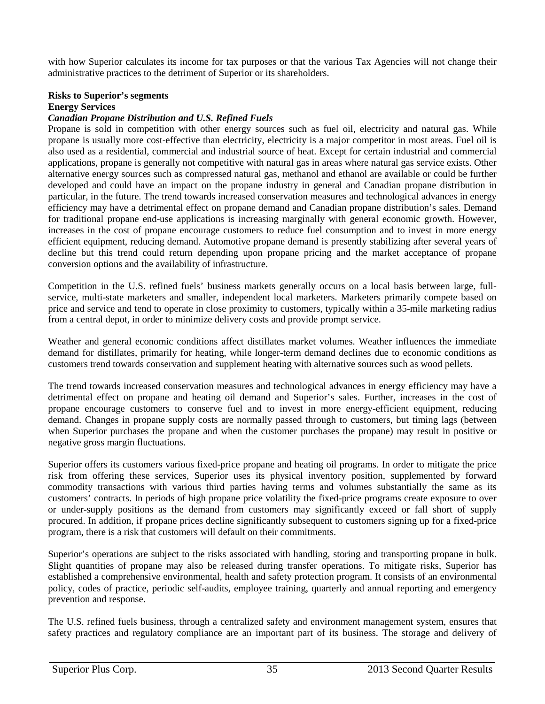with how Superior calculates its income for tax purposes or that the various Tax Agencies will not change their administrative practices to the detriment of Superior or its shareholders.

# **Risks to Superior's segments**

# **Energy Services**

#### *Canadian Propane Distribution and U.S. Refined Fuels*

Propane is sold in competition with other energy sources such as fuel oil, electricity and natural gas. While propane is usually more cost-effective than electricity, electricity is a major competitor in most areas. Fuel oil is also used as a residential, commercial and industrial source of heat. Except for certain industrial and commercial applications, propane is generally not competitive with natural gas in areas where natural gas service exists. Other alternative energy sources such as compressed natural gas, methanol and ethanol are available or could be further developed and could have an impact on the propane industry in general and Canadian propane distribution in particular, in the future. The trend towards increased conservation measures and technological advances in energy efficiency may have a detrimental effect on propane demand and Canadian propane distribution's sales. Demand for traditional propane end-use applications is increasing marginally with general economic growth. However, increases in the cost of propane encourage customers to reduce fuel consumption and to invest in more energy efficient equipment, reducing demand. Automotive propane demand is presently stabilizing after several years of decline but this trend could return depending upon propane pricing and the market acceptance of propane conversion options and the availability of infrastructure.

Competition in the U.S. refined fuels' business markets generally occurs on a local basis between large, fullservice, multi-state marketers and smaller, independent local marketers. Marketers primarily compete based on price and service and tend to operate in close proximity to customers, typically within a 35-mile marketing radius from a central depot, in order to minimize delivery costs and provide prompt service.

Weather and general economic conditions affect distillates market volumes. Weather influences the immediate demand for distillates, primarily for heating, while longer-term demand declines due to economic conditions as customers trend towards conservation and supplement heating with alternative sources such as wood pellets.

The trend towards increased conservation measures and technological advances in energy efficiency may have a detrimental effect on propane and heating oil demand and Superior's sales. Further, increases in the cost of propane encourage customers to conserve fuel and to invest in more energy-efficient equipment, reducing demand. Changes in propane supply costs are normally passed through to customers, but timing lags (between when Superior purchases the propane and when the customer purchases the propane) may result in positive or negative gross margin fluctuations.

Superior offers its customers various fixed-price propane and heating oil programs. In order to mitigate the price risk from offering these services, Superior uses its physical inventory position, supplemented by forward commodity transactions with various third parties having terms and volumes substantially the same as its customers' contracts. In periods of high propane price volatility the fixed-price programs create exposure to over or under-supply positions as the demand from customers may significantly exceed or fall short of supply procured. In addition, if propane prices decline significantly subsequent to customers signing up for a fixed-price program, there is a risk that customers will default on their commitments.

Superior's operations are subject to the risks associated with handling, storing and transporting propane in bulk. Slight quantities of propane may also be released during transfer operations. To mitigate risks, Superior has established a comprehensive environmental, health and safety protection program. It consists of an environmental policy, codes of practice, periodic self-audits, employee training, quarterly and annual reporting and emergency prevention and response.

The U.S. refined fuels business, through a centralized safety and environment management system, ensures that safety practices and regulatory compliance are an important part of its business. The storage and delivery of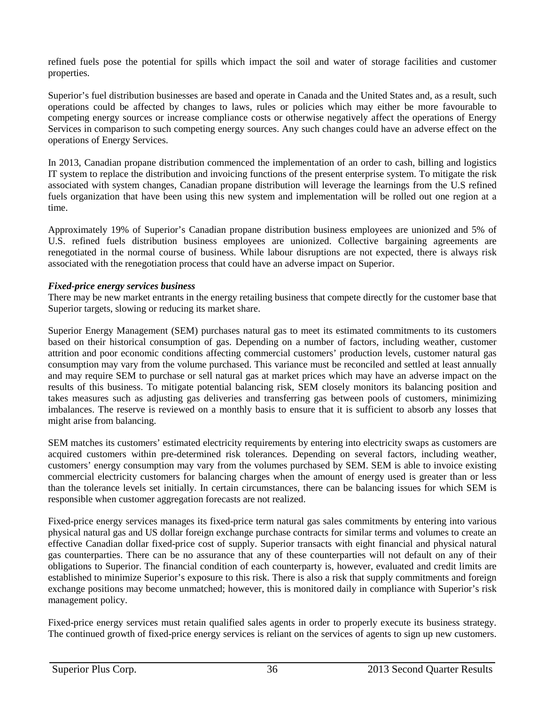refined fuels pose the potential for spills which impact the soil and water of storage facilities and customer properties.

Superior's fuel distribution businesses are based and operate in Canada and the United States and, as a result, such operations could be affected by changes to laws, rules or policies which may either be more favourable to competing energy sources or increase compliance costs or otherwise negatively affect the operations of Energy Services in comparison to such competing energy sources. Any such changes could have an adverse effect on the operations of Energy Services.

In 2013, Canadian propane distribution commenced the implementation of an order to cash, billing and logistics IT system to replace the distribution and invoicing functions of the present enterprise system. To mitigate the risk associated with system changes, Canadian propane distribution will leverage the learnings from the U.S refined fuels organization that have been using this new system and implementation will be rolled out one region at a time.

Approximately 19% of Superior's Canadian propane distribution business employees are unionized and 5% of U.S. refined fuels distribution business employees are unionized. Collective bargaining agreements are renegotiated in the normal course of business. While labour disruptions are not expected, there is always risk associated with the renegotiation process that could have an adverse impact on Superior.

### *Fixed-price energy services business*

There may be new market entrants in the energy retailing business that compete directly for the customer base that Superior targets, slowing or reducing its market share.

Superior Energy Management (SEM) purchases natural gas to meet its estimated commitments to its customers based on their historical consumption of gas. Depending on a number of factors, including weather, customer attrition and poor economic conditions affecting commercial customers' production levels, customer natural gas consumption may vary from the volume purchased. This variance must be reconciled and settled at least annually and may require SEM to purchase or sell natural gas at market prices which may have an adverse impact on the results of this business. To mitigate potential balancing risk, SEM closely monitors its balancing position and takes measures such as adjusting gas deliveries and transferring gas between pools of customers, minimizing imbalances. The reserve is reviewed on a monthly basis to ensure that it is sufficient to absorb any losses that might arise from balancing.

SEM matches its customers' estimated electricity requirements by entering into electricity swaps as customers are acquired customers within pre-determined risk tolerances. Depending on several factors, including weather, customers' energy consumption may vary from the volumes purchased by SEM. SEM is able to invoice existing commercial electricity customers for balancing charges when the amount of energy used is greater than or less than the tolerance levels set initially. In certain circumstances, there can be balancing issues for which SEM is responsible when customer aggregation forecasts are not realized.

Fixed-price energy services manages its fixed-price term natural gas sales commitments by entering into various physical natural gas and US dollar foreign exchange purchase contracts for similar terms and volumes to create an effective Canadian dollar fixed-price cost of supply. Superior transacts with eight financial and physical natural gas counterparties. There can be no assurance that any of these counterparties will not default on any of their obligations to Superior. The financial condition of each counterparty is, however, evaluated and credit limits are established to minimize Superior's exposure to this risk. There is also a risk that supply commitments and foreign exchange positions may become unmatched; however, this is monitored daily in compliance with Superior's risk management policy.

Fixed-price energy services must retain qualified sales agents in order to properly execute its business strategy. The continued growth of fixed-price energy services is reliant on the services of agents to sign up new customers.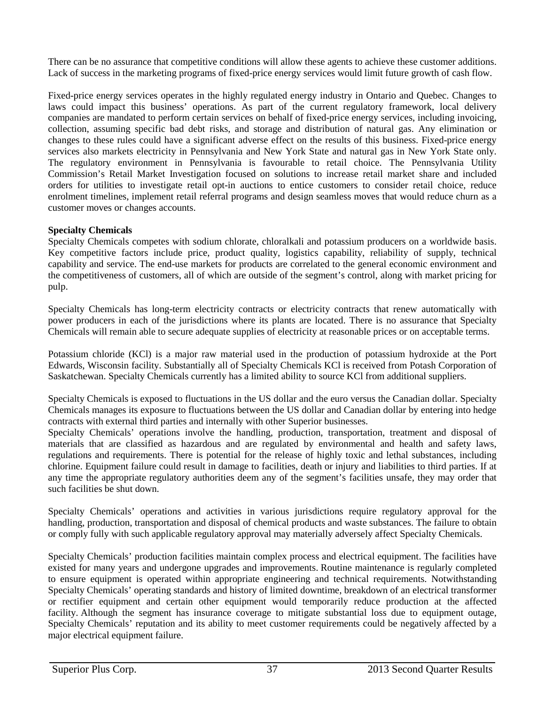There can be no assurance that competitive conditions will allow these agents to achieve these customer additions. Lack of success in the marketing programs of fixed-price energy services would limit future growth of cash flow.

Fixed-price energy services operates in the highly regulated energy industry in Ontario and Quebec. Changes to laws could impact this business' operations. As part of the current regulatory framework, local delivery companies are mandated to perform certain services on behalf of fixed-price energy services, including invoicing, collection, assuming specific bad debt risks, and storage and distribution of natural gas. Any elimination or changes to these rules could have a significant adverse effect on the results of this business. Fixed-price energy services also markets electricity in Pennsylvania and New York State and natural gas in New York State only. The regulatory environment in Pennsylvania is favourable to retail choice. The Pennsylvania Utility Commission's Retail Market Investigation focused on solutions to increase retail market share and included orders for utilities to investigate retail opt-in auctions to entice customers to consider retail choice, reduce enrolment timelines, implement retail referral programs and design seamless moves that would reduce churn as a customer moves or changes accounts.

### **Specialty Chemicals**

Specialty Chemicals competes with sodium chlorate, chloralkali and potassium producers on a worldwide basis. Key competitive factors include price, product quality, logistics capability, reliability of supply, technical capability and service. The end-use markets for products are correlated to the general economic environment and the competitiveness of customers, all of which are outside of the segment's control, along with market pricing for pulp.

Specialty Chemicals has long-term electricity contracts or electricity contracts that renew automatically with power producers in each of the jurisdictions where its plants are located. There is no assurance that Specialty Chemicals will remain able to secure adequate supplies of electricity at reasonable prices or on acceptable terms.

Potassium chloride (KCl) is a major raw material used in the production of potassium hydroxide at the Port Edwards, Wisconsin facility. Substantially all of Specialty Chemicals KCl is received from Potash Corporation of Saskatchewan. Specialty Chemicals currently has a limited ability to source KCl from additional suppliers.

Specialty Chemicals is exposed to fluctuations in the US dollar and the euro versus the Canadian dollar. Specialty Chemicals manages its exposure to fluctuations between the US dollar and Canadian dollar by entering into hedge contracts with external third parties and internally with other Superior businesses.

Specialty Chemicals' operations involve the handling, production, transportation, treatment and disposal of materials that are classified as hazardous and are regulated by environmental and health and safety laws, regulations and requirements. There is potential for the release of highly toxic and lethal substances, including chlorine. Equipment failure could result in damage to facilities, death or injury and liabilities to third parties. If at any time the appropriate regulatory authorities deem any of the segment's facilities unsafe, they may order that such facilities be shut down.

Specialty Chemicals' operations and activities in various jurisdictions require regulatory approval for the handling, production, transportation and disposal of chemical products and waste substances. The failure to obtain or comply fully with such applicable regulatory approval may materially adversely affect Specialty Chemicals.

Specialty Chemicals' production facilities maintain complex process and electrical equipment. The facilities have existed for many years and undergone upgrades and improvements. Routine maintenance is regularly completed to ensure equipment is operated within appropriate engineering and technical requirements. Notwithstanding Specialty Chemicals' operating standards and history of limited downtime, breakdown of an electrical transformer or rectifier equipment and certain other equipment would temporarily reduce production at the affected facility. Although the segment has insurance coverage to mitigate substantial loss due to equipment outage, Specialty Chemicals' reputation and its ability to meet customer requirements could be negatively affected by a major electrical equipment failure.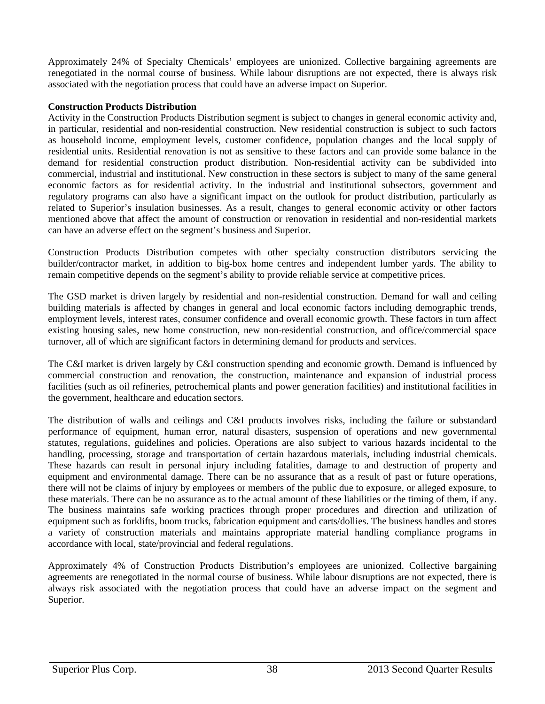Approximately 24% of Specialty Chemicals' employees are unionized. Collective bargaining agreements are renegotiated in the normal course of business. While labour disruptions are not expected, there is always risk associated with the negotiation process that could have an adverse impact on Superior.

#### **Construction Products Distribution**

Activity in the Construction Products Distribution segment is subject to changes in general economic activity and, in particular, residential and non-residential construction. New residential construction is subject to such factors as household income, employment levels, customer confidence, population changes and the local supply of residential units. Residential renovation is not as sensitive to these factors and can provide some balance in the demand for residential construction product distribution. Non-residential activity can be subdivided into commercial, industrial and institutional. New construction in these sectors is subject to many of the same general economic factors as for residential activity. In the industrial and institutional subsectors, government and regulatory programs can also have a significant impact on the outlook for product distribution, particularly as related to Superior's insulation businesses. As a result, changes to general economic activity or other factors mentioned above that affect the amount of construction or renovation in residential and non-residential markets can have an adverse effect on the segment's business and Superior.

Construction Products Distribution competes with other specialty construction distributors servicing the builder/contractor market, in addition to big-box home centres and independent lumber yards. The ability to remain competitive depends on the segment's ability to provide reliable service at competitive prices.

The GSD market is driven largely by residential and non-residential construction. Demand for wall and ceiling building materials is affected by changes in general and local economic factors including demographic trends, employment levels, interest rates, consumer confidence and overall economic growth. These factors in turn affect existing housing sales, new home construction, new non-residential construction, and office/commercial space turnover, all of which are significant factors in determining demand for products and services.

The C&I market is driven largely by C&I construction spending and economic growth. Demand is influenced by commercial construction and renovation, the construction, maintenance and expansion of industrial process facilities (such as oil refineries, petrochemical plants and power generation facilities) and institutional facilities in the government, healthcare and education sectors.

The distribution of walls and ceilings and C&I products involves risks, including the failure or substandard performance of equipment, human error, natural disasters, suspension of operations and new governmental statutes, regulations, guidelines and policies. Operations are also subject to various hazards incidental to the handling, processing, storage and transportation of certain hazardous materials, including industrial chemicals. These hazards can result in personal injury including fatalities, damage to and destruction of property and equipment and environmental damage. There can be no assurance that as a result of past or future operations, there will not be claims of injury by employees or members of the public due to exposure, or alleged exposure, to these materials. There can be no assurance as to the actual amount of these liabilities or the timing of them, if any. The business maintains safe working practices through proper procedures and direction and utilization of equipment such as forklifts, boom trucks, fabrication equipment and carts/dollies. The business handles and stores a variety of construction materials and maintains appropriate material handling compliance programs in accordance with local, state/provincial and federal regulations.

Approximately 4% of Construction Products Distribution's employees are unionized. Collective bargaining agreements are renegotiated in the normal course of business. While labour disruptions are not expected, there is always risk associated with the negotiation process that could have an adverse impact on the segment and Superior.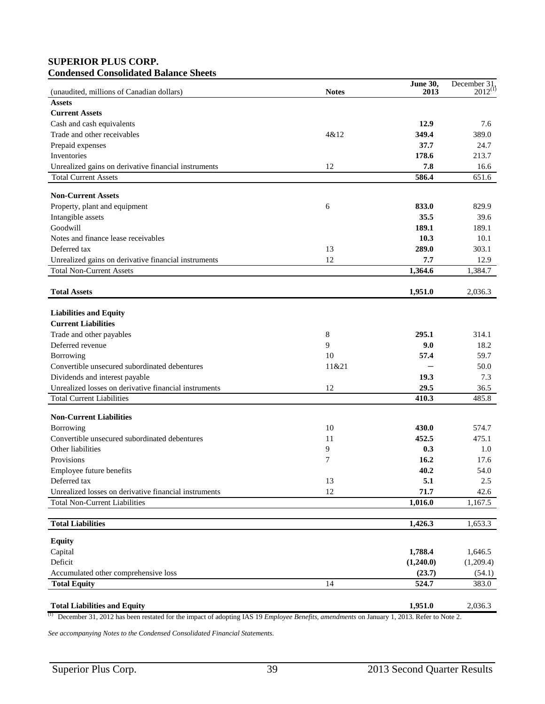#### **SUPERIOR PLUS CORP. Condensed Consolidated Balance Sheets**

| (unaudited, millions of Canadian dollars)                                               | <b>Notes</b> | June 30,<br>2013 | December 31<br>$2012^{(1)}$ |
|-----------------------------------------------------------------------------------------|--------------|------------------|-----------------------------|
| <b>Assets</b>                                                                           |              |                  |                             |
| <b>Current Assets</b>                                                                   |              |                  |                             |
| Cash and cash equivalents                                                               |              | 12.9             | 7.6                         |
| Trade and other receivables                                                             | 4&12         | 349.4            | 389.0                       |
| Prepaid expenses                                                                        |              | 37.7             | 24.7                        |
| Inventories                                                                             |              | 178.6            | 213.7                       |
| Unrealized gains on derivative financial instruments                                    | 12           | 7.8              | 16.6                        |
| <b>Total Current Assets</b>                                                             |              | 586.4            | 651.6                       |
| <b>Non-Current Assets</b>                                                               |              |                  |                             |
| Property, plant and equipment                                                           | 6            | 833.0            | 829.9                       |
| Intangible assets                                                                       |              | 35.5             | 39.6                        |
| Goodwill                                                                                |              | 189.1            | 189.1                       |
| Notes and finance lease receivables                                                     |              | 10.3             | 10.1                        |
| Deferred tax                                                                            | 13           | 289.0            | 303.1                       |
|                                                                                         | 12           | 7.7              | 12.9                        |
| Unrealized gains on derivative financial instruments<br><b>Total Non-Current Assets</b> |              |                  |                             |
|                                                                                         |              | 1,364.6          | 1,384.7                     |
| <b>Total Assets</b>                                                                     |              | 1,951.0          | 2,036.3                     |
| <b>Liabilities and Equity</b><br><b>Current Liabilities</b>                             |              |                  |                             |
| Trade and other payables                                                                | 8            | 295.1            | 314.1                       |
| Deferred revenue                                                                        | 9            | 9.0              | 18.2                        |
| Borrowing                                                                               | 10           | 57.4             | 59.7                        |
| Convertible unsecured subordinated debentures                                           | 11&21        |                  | 50.0                        |
| Dividends and interest payable                                                          |              | 19.3             | 7.3                         |
| Unrealized losses on derivative financial instruments                                   | 12           | 29.5             | 36.5                        |
| <b>Total Current Liabilities</b>                                                        |              | 410.3            | 485.8                       |
| <b>Non-Current Liabilities</b>                                                          |              |                  |                             |
| Borrowing                                                                               | 10           | 430.0            | 574.7                       |
| Convertible unsecured subordinated debentures                                           | 11           | 452.5            | 475.1                       |
| Other liabilities                                                                       | 9            | 0.3              | 1.0                         |
| Provisions                                                                              | 7            | 16.2             | 17.6                        |
| Employee future benefits                                                                |              | 40.2             | 54.0                        |
| Deferred tax                                                                            | 13           | 5.1              | 2.5                         |
| Unrealized losses on derivative financial instruments                                   | 12           | 71.7             | 42.6                        |
| <b>Total Non-Current Liabilities</b>                                                    |              | 1,016.0          | 1,167.5                     |
|                                                                                         |              |                  |                             |
| <b>Total Liabilities</b>                                                                |              | 1,426.3          | 1,653.3                     |
| <b>Equity</b>                                                                           |              |                  |                             |
| Capital                                                                                 |              | 1,788.4          | 1,646.5                     |
| Deficit                                                                                 |              | (1,240.0)        | (1,209.4)                   |
| Accumulated other comprehensive loss                                                    |              | (23.7)           | (54.1)                      |
| <b>Total Equity</b>                                                                     | 14           | 524.7            | 383.0                       |
| <b>Total Liabilities and Equity</b>                                                     |              | 1,951.0          | 2,036.3                     |

(1) December 31, 2012 has been restated for the impact of adopting IAS 19 *Employee Benefits, amendments* on January 1, 2013. Refer to Note 2.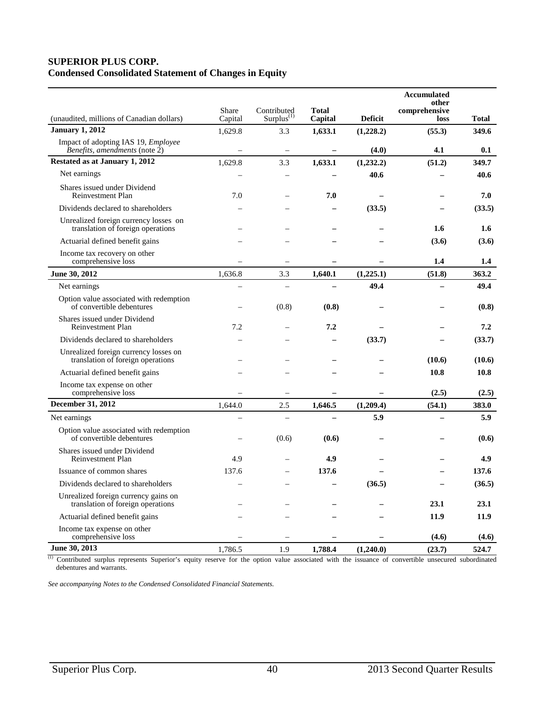#### **SUPERIOR PLUS CORP. Condensed Consolidated Statement of Changes in Equity**

| (unaudited, millions of Canadian dollars)                                  | Share<br>Capital | Contributed<br>$Surplus$ <sup>(1)</sup> | <b>Total</b><br>Capital  | <b>Deficit</b> | <b>Accumulated</b><br>other<br>comprehensive<br>loss | <b>Total</b> |
|----------------------------------------------------------------------------|------------------|-----------------------------------------|--------------------------|----------------|------------------------------------------------------|--------------|
| <b>January 1, 2012</b>                                                     | 1,629.8          | 3.3                                     | 1,633.1                  | (1,228.2)      | (55.3)                                               | 349.6        |
| Impact of adopting IAS 19, Employee<br>Benefits, amendments (note 2)       |                  |                                         |                          | (4.0)          | 4.1                                                  | 0.1          |
| Restated as at January 1, 2012                                             | 1,629.8          | 3.3                                     | 1,633.1                  | (1,232.2)      | (51.2)                                               | 349.7        |
| Net earnings                                                               |                  |                                         |                          | 40.6           |                                                      | 40.6         |
| Shares issued under Dividend<br><b>Reinvestment Plan</b>                   | 7.0              |                                         | 7.0                      |                |                                                      | 7.0          |
| Dividends declared to shareholders                                         |                  |                                         |                          | (33.5)         |                                                      | (33.5)       |
| Unrealized foreign currency losses on<br>translation of foreign operations |                  |                                         |                          |                | 1.6                                                  | 1.6          |
| Actuarial defined benefit gains                                            |                  |                                         |                          |                | (3.6)                                                | (3.6)        |
| Income tax recovery on other<br>comprehensive loss                         |                  |                                         |                          |                | 1.4                                                  | 1.4          |
| June 30, 2012                                                              | 1,636.8          | 3.3                                     | 1,640.1                  | (1,225.1)      | (51.8)                                               | 363.2        |
| Net earnings                                                               |                  |                                         |                          | 49.4           |                                                      | 49.4         |
| Option value associated with redemption<br>of convertible debentures       |                  | (0.8)                                   | (0.8)                    |                |                                                      | (0.8)        |
| Shares issued under Dividend<br>Reinvestment Plan                          | 7.2              |                                         | 7.2                      |                |                                                      | 7.2          |
| Dividends declared to shareholders                                         |                  |                                         |                          | (33.7)         |                                                      | (33.7)       |
| Unrealized foreign currency losses on<br>translation of foreign operations |                  |                                         |                          |                | (10.6)                                               | (10.6)       |
| Actuarial defined benefit gains                                            |                  |                                         |                          |                | 10.8                                                 | 10.8         |
| Income tax expense on other<br>comprehensive loss                          |                  |                                         |                          |                | (2.5)                                                | (2.5)        |
| December 31, 2012                                                          | 1,644.0          | 2.5                                     | 1,646.5                  | (1,209.4)      | (54.1)                                               | 383.0        |
| Net earnings                                                               | L.               | $\overline{\phantom{0}}$                | $\overline{\phantom{0}}$ | 5.9            | $\overline{\phantom{0}}$                             | 5.9          |
| Option value associated with redemption<br>of convertible debentures       |                  | (0.6)                                   | (0.6)                    |                |                                                      | (0.6)        |
| Shares issued under Dividend<br>Reinvestment Plan                          | 4.9              |                                         | 4.9                      |                |                                                      | 4.9          |
| Issuance of common shares                                                  | 137.6            |                                         | 137.6                    |                |                                                      | 137.6        |
| Dividends declared to shareholders                                         |                  |                                         |                          | (36.5)         |                                                      | (36.5)       |
| Unrealized foreign currency gains on<br>translation of foreign operations  |                  |                                         |                          |                | 23.1                                                 | 23.1         |
| Actuarial defined benefit gains                                            |                  |                                         |                          |                | 11.9                                                 | 11.9         |
| Income tax expense on other<br>comprehensive loss                          |                  |                                         |                          |                | (4.6)                                                | (4.6)        |
| June 30, 2013                                                              | 1,786.5          | 1.9                                     | 1,788.4                  | (1,240.0)      | (23.7)                                               | 524.7        |

(1) Contributed surplus represents Superior's equity reserve for the option value associated with the issuance of convertible unsecured subordinated debentures and warrants.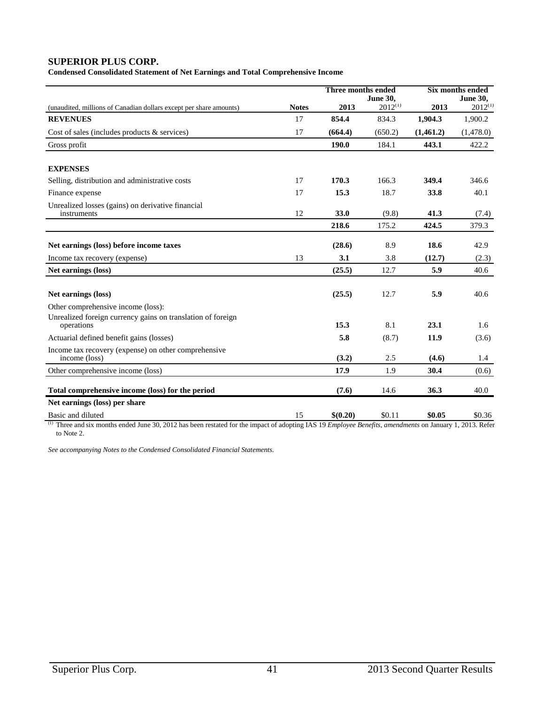#### **SUPERIOR PLUS CORP.**

**Condensed Consolidated Statement of Net Earnings and Total Comprehensive Income**

|                                                                                                                 |              | Three months ended | <b>June 30,</b> | Six months ended<br><b>June 30,</b> |              |
|-----------------------------------------------------------------------------------------------------------------|--------------|--------------------|-----------------|-------------------------------------|--------------|
| (unaudited, millions of Canadian dollars except per share amounts)                                              | <b>Notes</b> | 2013               | $2012^{(1)}$    | 2013                                | $2012^{(1)}$ |
| <b>REVENUES</b>                                                                                                 | 17           | 854.4              | 834.3           | 1,904.3                             | 1,900.2      |
| Cost of sales (includes products $\&$ services)                                                                 | 17           | (664.4)            | (650.2)         | (1,461.2)                           | (1,478.0)    |
| Gross profit                                                                                                    |              | 190.0              | 184.1           | 443.1                               | 422.2        |
| <b>EXPENSES</b>                                                                                                 |              |                    |                 |                                     |              |
| Selling, distribution and administrative costs                                                                  | 17           | 170.3              | 166.3           | 349.4                               | 346.6        |
| Finance expense                                                                                                 | 17           | 15.3               | 18.7            | 33.8                                | 40.1         |
| Unrealized losses (gains) on derivative financial<br>instruments                                                | 12           | 33.0               | (9.8)           | 41.3                                | (7.4)        |
|                                                                                                                 |              | 218.6              | 175.2           | 424.5                               | 379.3        |
| Net earnings (loss) before income taxes                                                                         |              | (28.6)             | 8.9             | 18.6                                | 42.9         |
| Income tax recovery (expense)                                                                                   | 13           | 3.1                | 3.8             | (12.7)                              | (2.3)        |
| Net earnings (loss)                                                                                             |              | (25.5)             | 12.7            | 5.9                                 | 40.6         |
| Net earnings (loss)                                                                                             |              | (25.5)             | 12.7            | 5.9                                 | 40.6         |
| Other comprehensive income (loss):<br>Unrealized foreign currency gains on translation of foreign<br>operations |              | 15.3               | 8.1             | 23.1                                | 1.6          |
| Actuarial defined benefit gains (losses)                                                                        |              | 5.8                | (8.7)           | 11.9                                | (3.6)        |
| Income tax recovery (expense) on other comprehensive<br>income (loss)                                           |              | (3.2)              | 2.5             | (4.6)                               | 1.4          |
| Other comprehensive income (loss)                                                                               |              | 17.9               | 1.9             | 30.4                                | (0.6)        |
| Total comprehensive income (loss) for the period                                                                |              | (7.6)              | 14.6            | 36.3                                | 40.0         |
| Net earnings (loss) per share                                                                                   |              |                    |                 |                                     |              |
| Basic and diluted                                                                                               | 15           | \$(0.20)           | \$0.11          | \$0.05                              | \$0.36       |

(1) Three and six months ended June 30, 2012 has been restated for the impact of adopting IAS 19 *Employee Benefits, amendments* on January 1, 2013. Refer to Note 2.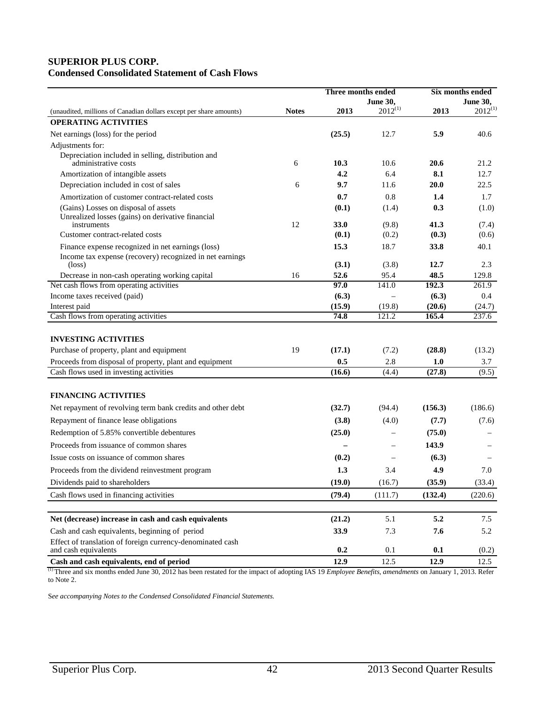#### **SUPERIOR PLUS CORP. Condensed Consolidated Statement of Cash Flows**

|                                                                                           |              | Three months ended |                 | Six months ended |                 |  |
|-------------------------------------------------------------------------------------------|--------------|--------------------|-----------------|------------------|-----------------|--|
|                                                                                           |              |                    | <b>June 30,</b> |                  | <b>June 30,</b> |  |
| (unaudited, millions of Canadian dollars except per share amounts)                        | <b>Notes</b> | 2013               | $2012^{(1)}$    | 2013             | $2012^{(1)}$    |  |
| <b>OPERATING ACTIVITIES</b>                                                               |              |                    |                 |                  |                 |  |
| Net earnings (loss) for the period                                                        |              | (25.5)             | 12.7            | 5.9              | 40.6            |  |
| Adjustments for:                                                                          |              |                    |                 |                  |                 |  |
| Depreciation included in selling, distribution and<br>administrative costs                | 6            | 10.3               | 10.6            | 20.6             | 21.2            |  |
| Amortization of intangible assets                                                         |              | 4.2                | 6.4             | 8.1              | 12.7            |  |
| Depreciation included in cost of sales                                                    | 6            | 9.7                | 11.6            | 20.0             | 22.5            |  |
| Amortization of customer contract-related costs                                           |              | 0.7                | 0.8             | 1.4              | 1.7             |  |
| (Gains) Losses on disposal of assets<br>Unrealized losses (gains) on derivative financial |              | (0.1)              | (1.4)           | 0.3              | (1.0)           |  |
| instruments<br>Customer contract-related costs                                            | 12           | 33.0<br>(0.1)      | (9.8)<br>(0.2)  | 41.3<br>(0.3)    | (7.4)<br>(0.6)  |  |
| Finance expense recognized in net earnings (loss)                                         |              | 15.3               | 18.7            | 33.8             | 40.1            |  |
| Income tax expense (recovery) recognized in net earnings                                  |              |                    |                 | 12.7             | 2.3             |  |
| $(\text{loss})$<br>Decrease in non-cash operating working capital                         | 16           | (3.1)<br>52.6      | (3.8)<br>95.4   | 48.5             | 129.8           |  |
| Net cash flows from operating activities                                                  |              | 97.0               | 141.0           | 192.3            | 261.9           |  |
| Income taxes received (paid)                                                              |              | (6.3)              | $\equiv$        | (6.3)            | 0.4             |  |
| Interest paid                                                                             |              | (15.9)             | (19.8)          | (20.6)           | (24.7)          |  |
| Cash flows from operating activities                                                      |              | 74.8               | 121.2           | 165.4            | 237.6           |  |
| <b>INVESTING ACTIVITIES</b>                                                               |              |                    |                 |                  |                 |  |
| Purchase of property, plant and equipment                                                 | 19           | (17.1)             | (7.2)           | (28.8)           | (13.2)          |  |
| Proceeds from disposal of property, plant and equipment                                   |              | 0.5                | 2.8             | 1.0              | 3.7             |  |
| Cash flows used in investing activities                                                   |              | (16.6)             | (4.4)           | (27.8)           | (9.5)           |  |
|                                                                                           |              |                    |                 |                  |                 |  |
| <b>FINANCING ACTIVITIES</b>                                                               |              |                    |                 |                  |                 |  |
| Net repayment of revolving term bank credits and other debt                               |              | (32.7)             | (94.4)          | (156.3)          | (186.6)         |  |
| Repayment of finance lease obligations                                                    |              | (3.8)              | (4.0)           | (7.7)            | (7.6)           |  |
| Redemption of 5.85% convertible debentures                                                |              | (25.0)             |                 | (75.0)           |                 |  |
| Proceeds from issuance of common shares                                                   |              |                    | $\equiv$        | 143.9            |                 |  |
| Issue costs on issuance of common shares                                                  |              | (0.2)              |                 | (6.3)            |                 |  |
| Proceeds from the dividend reinvestment program                                           |              | 1.3                | 3.4             | 4.9              | 7.0             |  |
| Dividends paid to shareholders                                                            |              | (19.0)             | (16.7)          | (35.9)           | (33.4)          |  |
| Cash flows used in financing activities                                                   |              | (79.4)             | (111.7)         | (132.4)          | (220.6)         |  |
|                                                                                           |              |                    |                 |                  |                 |  |
| Net (decrease) increase in cash and cash equivalents                                      |              | (21.2)             | 5.1             | 5.2              | 7.5             |  |
| Cash and cash equivalents, beginning of period                                            |              | 33.9               | 7.3             | 7.6              | 5.2             |  |
| Effect of translation of foreign currency-denominated cash<br>and cash equivalents        |              | 0.2                | 0.1             | 0.1              | (0.2)           |  |
| Cash and cash equivalents, end of period                                                  |              | 12.9               | 12.5            | 12.9             | 12.5            |  |

(1) Three and six months ended June 30, 2012 has been restated for the impact of adopting IAS 19 *Employee Benefits, amendments* on January 1, 2013. Refer to Note 2.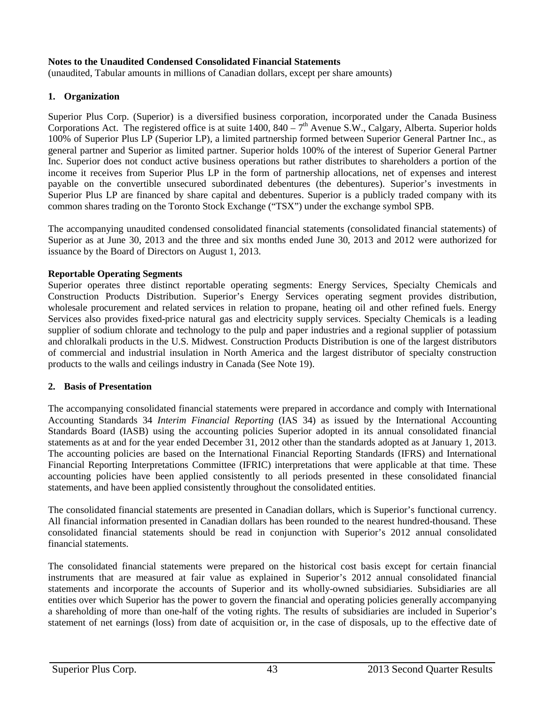#### **Notes to the Unaudited Condensed Consolidated Financial Statements**

(unaudited, Tabular amounts in millions of Canadian dollars, except per share amounts)

#### **1. Organization**

Superior Plus Corp. (Superior) is a diversified business corporation, incorporated under the Canada Business Corporations Act. The registered office is at suite  $1400$ ,  $840 - 7$ <sup>th</sup> Avenue S.W., Calgary, Alberta. Superior holds 100% of Superior Plus LP (Superior LP), a limited partnership formed between Superior General Partner Inc., as general partner and Superior as limited partner. Superior holds 100% of the interest of Superior General Partner Inc. Superior does not conduct active business operations but rather distributes to shareholders a portion of the income it receives from Superior Plus LP in the form of partnership allocations, net of expenses and interest payable on the convertible unsecured subordinated debentures (the debentures). Superior's investments in Superior Plus LP are financed by share capital and debentures. Superior is a publicly traded company with its common shares trading on the Toronto Stock Exchange ("TSX") under the exchange symbol SPB.

The accompanying unaudited condensed consolidated financial statements (consolidated financial statements) of Superior as at June 30, 2013 and the three and six months ended June 30, 2013 and 2012 were authorized for issuance by the Board of Directors on August 1, 2013.

### **Reportable Operating Segments**

Superior operates three distinct reportable operating segments: Energy Services, Specialty Chemicals and Construction Products Distribution. Superior's Energy Services operating segment provides distribution, wholesale procurement and related services in relation to propane, heating oil and other refined fuels. Energy Services also provides fixed-price natural gas and electricity supply services. Specialty Chemicals is a leading supplier of sodium chlorate and technology to the pulp and paper industries and a regional supplier of potassium and chloralkali products in the U.S. Midwest. Construction Products Distribution is one of the largest distributors of commercial and industrial insulation in North America and the largest distributor of specialty construction products to the walls and ceilings industry in Canada (See Note 19).

#### **2. Basis of Presentation**

The accompanying consolidated financial statements were prepared in accordance and comply with International Accounting Standards 34 *Interim Financial Reporting* (IAS 34) as issued by the International Accounting Standards Board (IASB) using the accounting policies Superior adopted in its annual consolidated financial statements as at and for the year ended December 31, 2012 other than the standards adopted as at January 1, 2013. The accounting policies are based on the International Financial Reporting Standards (IFRS) and International Financial Reporting Interpretations Committee (IFRIC) interpretations that were applicable at that time. These accounting policies have been applied consistently to all periods presented in these consolidated financial statements, and have been applied consistently throughout the consolidated entities.

The consolidated financial statements are presented in Canadian dollars, which is Superior's functional currency. All financial information presented in Canadian dollars has been rounded to the nearest hundred-thousand. These consolidated financial statements should be read in conjunction with Superior's 2012 annual consolidated financial statements.

The consolidated financial statements were prepared on the historical cost basis except for certain financial instruments that are measured at fair value as explained in Superior's 2012 annual consolidated financial statements and incorporate the accounts of Superior and its wholly-owned subsidiaries. Subsidiaries are all entities over which Superior has the power to govern the financial and operating policies generally accompanying a shareholding of more than one-half of the voting rights. The results of subsidiaries are included in Superior's statement of net earnings (loss) from date of acquisition or, in the case of disposals, up to the effective date of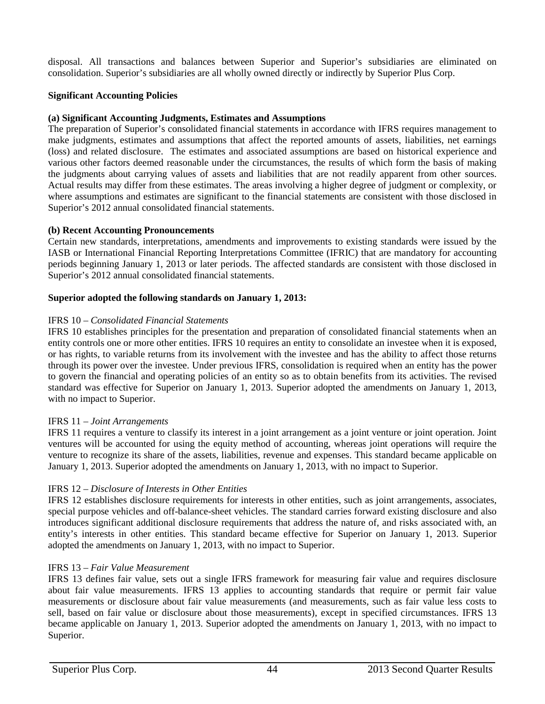disposal. All transactions and balances between Superior and Superior's subsidiaries are eliminated on consolidation. Superior's subsidiaries are all wholly owned directly or indirectly by Superior Plus Corp.

#### **Significant Accounting Policies**

#### **(a) Significant Accounting Judgments, Estimates and Assumptions**

The preparation of Superior's consolidated financial statements in accordance with IFRS requires management to make judgments, estimates and assumptions that affect the reported amounts of assets, liabilities, net earnings (loss) and related disclosure. The estimates and associated assumptions are based on historical experience and various other factors deemed reasonable under the circumstances, the results of which form the basis of making the judgments about carrying values of assets and liabilities that are not readily apparent from other sources. Actual results may differ from these estimates. The areas involving a higher degree of judgment or complexity, or where assumptions and estimates are significant to the financial statements are consistent with those disclosed in Superior's 2012 annual consolidated financial statements.

#### **(b) Recent Accounting Pronouncements**

Certain new standards, interpretations, amendments and improvements to existing standards were issued by the IASB or International Financial Reporting Interpretations Committee (IFRIC) that are mandatory for accounting periods beginning January 1, 2013 or later periods. The affected standards are consistent with those disclosed in Superior's 2012 annual consolidated financial statements.

### **Superior adopted the following standards on January 1, 2013:**

### IFRS 10 – *Consolidated Financial Statements*

IFRS 10 establishes principles for the presentation and preparation of consolidated financial statements when an entity controls one or more other entities. IFRS 10 requires an entity to consolidate an investee when it is exposed, or has rights, to variable returns from its involvement with the investee and has the ability to affect those returns through its power over the investee. Under previous IFRS, consolidation is required when an entity has the power to govern the financial and operating policies of an entity so as to obtain benefits from its activities. The revised standard was effective for Superior on January 1, 2013. Superior adopted the amendments on January 1, 2013, with no impact to Superior.

#### IFRS 11 – *Joint Arrangements*

IFRS 11 requires a venture to classify its interest in a joint arrangement as a joint venture or joint operation. Joint ventures will be accounted for using the equity method of accounting, whereas joint operations will require the venture to recognize its share of the assets, liabilities, revenue and expenses. This standard became applicable on January 1, 2013. Superior adopted the amendments on January 1, 2013, with no impact to Superior.

#### IFRS 12 – *Disclosure of Interests in Other Entities*

IFRS 12 establishes disclosure requirements for interests in other entities, such as joint arrangements, associates, special purpose vehicles and off-balance-sheet vehicles. The standard carries forward existing disclosure and also introduces significant additional disclosure requirements that address the nature of, and risks associated with, an entity's interests in other entities. This standard became effective for Superior on January 1, 2013. Superior adopted the amendments on January 1, 2013, with no impact to Superior.

#### IFRS 13 *– Fair Value Measurement*

IFRS 13 defines fair value, sets out a single IFRS framework for measuring fair value and requires disclosure about fair value measurements. IFRS 13 applies to accounting standards that require or permit fair value measurements or disclosure about fair value measurements (and measurements, such as fair value less costs to sell, based on fair value or disclosure about those measurements), except in specified circumstances. IFRS 13 became applicable on January 1, 2013. Superior adopted the amendments on January 1, 2013, with no impact to Superior.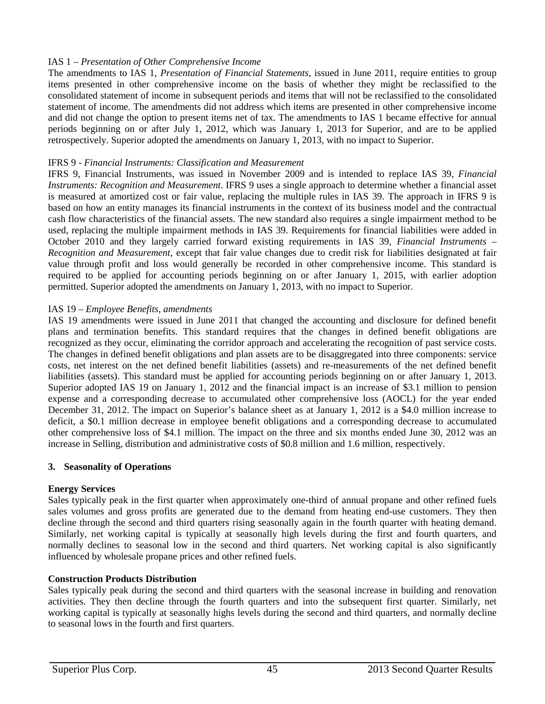### IAS 1 – *Presentation of Other Comprehensive Income*

The amendments to IAS 1, *Presentation of Financial Statements*, issued in June 2011, require entities to group items presented in other comprehensive income on the basis of whether they might be reclassified to the consolidated statement of income in subsequent periods and items that will not be reclassified to the consolidated statement of income. The amendments did not address which items are presented in other comprehensive income and did not change the option to present items net of tax. The amendments to IAS 1 became effective for annual periods beginning on or after July 1, 2012, which was January 1, 2013 for Superior, and are to be applied retrospectively. Superior adopted the amendments on January 1, 2013, with no impact to Superior.

#### IFRS 9 - *Financial Instruments: Classification and Measurement*

IFRS 9, Financial Instruments, was issued in November 2009 and is intended to replace IAS 39*, Financial Instruments: Recognition and Measurement*. IFRS 9 uses a single approach to determine whether a financial asset is measured at amortized cost or fair value, replacing the multiple rules in IAS 39. The approach in IFRS 9 is based on how an entity manages its financial instruments in the context of its business model and the contractual cash flow characteristics of the financial assets. The new standard also requires a single impairment method to be used, replacing the multiple impairment methods in IAS 39. Requirements for financial liabilities were added in October 2010 and they largely carried forward existing requirements in IAS 39, *Financial Instruments – Recognition and Measurement*, except that fair value changes due to credit risk for liabilities designated at fair value through profit and loss would generally be recorded in other comprehensive income. This standard is required to be applied for accounting periods beginning on or after January 1, 2015, with earlier adoption permitted. Superior adopted the amendments on January 1, 2013, with no impact to Superior.

#### IAS 19 – *Employee Benefits, amendments*

IAS 19 amendments were issued in June 2011 that changed the accounting and disclosure for defined benefit plans and termination benefits. This standard requires that the changes in defined benefit obligations are recognized as they occur, eliminating the corridor approach and accelerating the recognition of past service costs. The changes in defined benefit obligations and plan assets are to be disaggregated into three components: service costs, net interest on the net defined benefit liabilities (assets) and re-measurements of the net defined benefit liabilities (assets). This standard must be applied for accounting periods beginning on or after January 1, 2013. Superior adopted IAS 19 on January 1, 2012 and the financial impact is an increase of \$3.1 million to pension expense and a corresponding decrease to accumulated other comprehensive loss (AOCL) for the year ended December 31, 2012. The impact on Superior's balance sheet as at January 1, 2012 is a \$4.0 million increase to deficit, a \$0.1 million decrease in employee benefit obligations and a corresponding decrease to accumulated other comprehensive loss of \$4.1 million. The impact on the three and six months ended June 30, 2012 was an increase in Selling, distribution and administrative costs of \$0.8 million and 1.6 million, respectively.

# **3. Seasonality of Operations**

# **Energy Services**

Sales typically peak in the first quarter when approximately one-third of annual propane and other refined fuels sales volumes and gross profits are generated due to the demand from heating end-use customers. They then decline through the second and third quarters rising seasonally again in the fourth quarter with heating demand. Similarly, net working capital is typically at seasonally high levels during the first and fourth quarters, and normally declines to seasonal low in the second and third quarters. Net working capital is also significantly influenced by wholesale propane prices and other refined fuels.

# **Construction Products Distribution**

Sales typically peak during the second and third quarters with the seasonal increase in building and renovation activities. They then decline through the fourth quarters and into the subsequent first quarter. Similarly, net working capital is typically at seasonally highs levels during the second and third quarters, and normally decline to seasonal lows in the fourth and first quarters.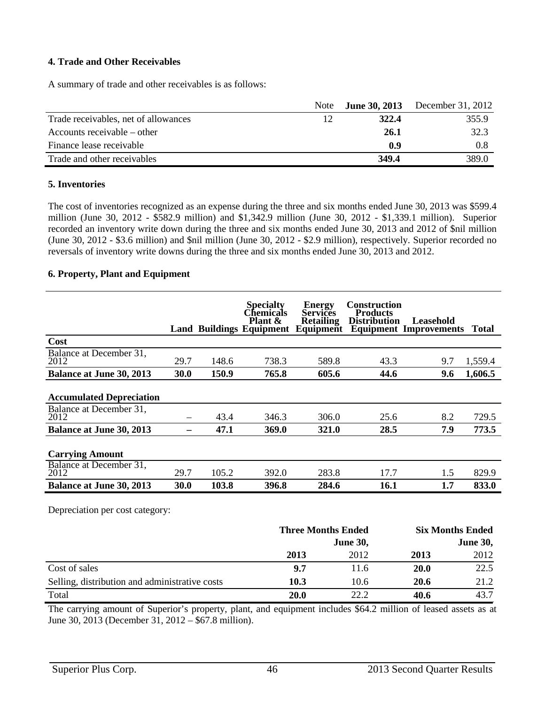#### **4. Trade and Other Receivables**

A summary of trade and other receivables is as follows:

|                                      | <b>Note</b> | <b>June 30, 2013</b> | December 31, 2012 |
|--------------------------------------|-------------|----------------------|-------------------|
| Trade receivables, net of allowances |             | 322.4                | 355.9             |
| Accounts receivable – other          |             | 26.1                 | 32.3              |
| Finance lease receivable             |             | 0.9                  | 0.8               |
| Trade and other receivables          |             | 349.4                | 389 O             |

#### **5. Inventories**

The cost of inventories recognized as an expense during the three and six months ended June 30, 2013 was \$599.4 million (June 30, 2012 - \$582.9 million) and \$1,342.9 million (June 30, 2012 - \$1,339.1 million). Superior recorded an inventory write down during the three and six months ended June 30, 2013 and 2012 of \$nil million (June 30, 2012 - \$3.6 million) and \$nil million (June 30, 2012 - \$2.9 million), respectively. Superior recorded no reversals of inventory write downs during the three and six months ended June 30, 2013 and 2012.

#### **6. Property, Plant and Equipment**

|                                 |             |       | <b>Specialty</b><br>Chemicals<br>Plant &<br>Land Buildings Equipment Equipment | <b>Energy</b><br><b>Services</b><br><b>Retailing</b> | <b>Construction</b><br><b>Products</b><br><b>Distribution</b> | Leasehold<br><b>Equipment Improvements Total</b> |         |
|---------------------------------|-------------|-------|--------------------------------------------------------------------------------|------------------------------------------------------|---------------------------------------------------------------|--------------------------------------------------|---------|
| Cost                            |             |       |                                                                                |                                                      |                                                               |                                                  |         |
| Balance at December 31,<br>2012 | 29.7        | 148.6 | 738.3                                                                          | 589.8                                                | 43.3                                                          | 9.7                                              | 1,559.4 |
| <b>Balance at June 30, 2013</b> | <b>30.0</b> | 150.9 | 765.8                                                                          | 605.6                                                | 44.6                                                          | 9.6                                              | 1,606.5 |
| <b>Accumulated Depreciation</b> |             |       |                                                                                |                                                      |                                                               |                                                  |         |
| Balance at December 31,<br>2012 | —           | 43.4  | 346.3                                                                          | 306.0                                                | 25.6                                                          | 8.2                                              | 729.5   |
| <b>Balance at June 30, 2013</b> |             | 47.1  | 369.0                                                                          | 321.0                                                | 28.5                                                          | 7.9                                              | 773.5   |
| <b>Carrying Amount</b>          |             |       |                                                                                |                                                      |                                                               |                                                  |         |
| Balance at December 31,<br>2012 | 29.7        | 105.2 | 392.0                                                                          | 283.8                                                | 17.7                                                          | 1.5                                              | 829.9   |
| <b>Balance at June 30, 2013</b> | 30.0        | 103.8 | 396.8                                                                          | 284.6                                                | 16.1                                                          | 1.7                                              | 833.0   |
| $\mathbf{r}$                    |             |       |                                                                                |                                                      |                                                               |                                                  |         |

Depreciation per cost category:

|                                                | <b>Three Months Ended</b> |                 | <b>Six Months Ended</b> |      |  |
|------------------------------------------------|---------------------------|-----------------|-------------------------|------|--|
|                                                |                           | <b>June 30,</b> | <b>June 30,</b>         |      |  |
|                                                | 2013                      | 2012            | 2013                    | 2012 |  |
| Cost of sales                                  | 9.7                       | 11.6            | 20.0                    | 22.5 |  |
| Selling, distribution and administrative costs | 10.3                      | 10.6            | 20.6                    | 21.2 |  |
| Total                                          | 20.0                      | 22.2            | 40.6                    | 43.7 |  |

The carrying amount of Superior's property, plant, and equipment includes \$64.2 million of leased assets as at June 30, 2013 (December 31, 2012 – \$67.8 million).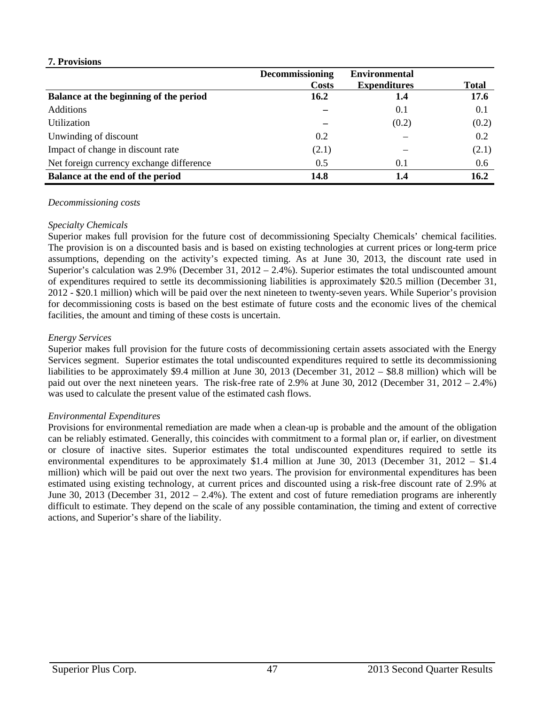#### **7. Provisions**

|                                          | Decommissioning | <b>Environmental</b> |              |
|------------------------------------------|-----------------|----------------------|--------------|
|                                          | Costs           | <b>Expenditures</b>  | <b>Total</b> |
| Balance at the beginning of the period   | <b>16.2</b>     | 1.4                  | 17.6         |
| <b>Additions</b>                         |                 | 0.1                  | 0.1          |
| <i>Utilization</i>                       |                 | (0.2)                | (0.2)        |
| Unwinding of discount                    | 0.2             |                      | 0.2          |
| Impact of change in discount rate        | (2.1)           |                      | (2.1)        |
| Net foreign currency exchange difference | 0.5             | 0.1                  | 0.6          |
| Balance at the end of the period         | 14.8            | 1.4                  | 16.2         |

#### *Decommissioning costs*

#### *Specialty Chemicals*

Superior makes full provision for the future cost of decommissioning Specialty Chemicals' chemical facilities. The provision is on a discounted basis and is based on existing technologies at current prices or long-term price assumptions, depending on the activity's expected timing. As at June 30, 2013, the discount rate used in Superior's calculation was 2.9% (December 31, 2012 – 2.4%). Superior estimates the total undiscounted amount of expenditures required to settle its decommissioning liabilities is approximately \$20.5 million (December 31, 2012 - \$20.1 million) which will be paid over the next nineteen to twenty-seven years. While Superior's provision for decommissioning costs is based on the best estimate of future costs and the economic lives of the chemical facilities, the amount and timing of these costs is uncertain.

#### *Energy Services*

Superior makes full provision for the future costs of decommissioning certain assets associated with the Energy Services segment. Superior estimates the total undiscounted expenditures required to settle its decommissioning liabilities to be approximately \$9.4 million at June 30, 2013 (December 31, 2012 – \$8.8 million) which will be paid out over the next nineteen years. The risk-free rate of 2.9% at June 30, 2012 (December 31, 2012 – 2.4%) was used to calculate the present value of the estimated cash flows.

#### *Environmental Expenditures*

Provisions for environmental remediation are made when a clean-up is probable and the amount of the obligation can be reliably estimated. Generally, this coincides with commitment to a formal plan or, if earlier, on divestment or closure of inactive sites. Superior estimates the total undiscounted expenditures required to settle its environmental expenditures to be approximately \$1.4 million at June 30, 2013 (December 31, 2012 – \$1.4 million) which will be paid out over the next two years. The provision for environmental expenditures has been estimated using existing technology, at current prices and discounted using a risk-free discount rate of 2.9% at June 30, 2013 (December 31, 2012 – 2.4%). The extent and cost of future remediation programs are inherently difficult to estimate. They depend on the scale of any possible contamination, the timing and extent of corrective actions, and Superior's share of the liability.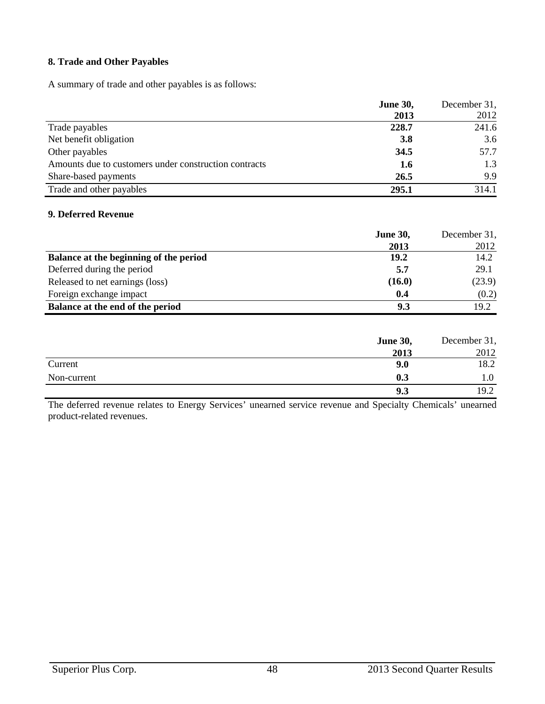# **8. Trade and Other Payables**

A summary of trade and other payables is as follows:

|                                                       | <b>June 30,</b> | December 31, |  |
|-------------------------------------------------------|-----------------|--------------|--|
|                                                       | 2013            | 2012         |  |
| Trade payables                                        | 228.7           | 241.6        |  |
| Net benefit obligation                                | 3.8             | 3.6          |  |
| Other payables                                        | 34.5            | 57.7         |  |
| Amounts due to customers under construction contracts | 1.6             | 1.3          |  |
| Share-based payments                                  | 26.5            | 9.9          |  |
| Trade and other payables                              | 295.1           | 314.1        |  |

# **9. Deferred Revenue**

|                                        | <b>June 30,</b> | December 31, |
|----------------------------------------|-----------------|--------------|
|                                        | 2013            | 2012         |
| Balance at the beginning of the period | 19.2            | 14.2         |
| Deferred during the period             | 5.7             | 29.1         |
| Released to net earnings (loss)        | (16.0)          | (23.9)       |
| Foreign exchange impact                | 0.4             | (0.2)        |
| Balance at the end of the period       | 9.3             | 19.2         |

|             | December 31,<br><b>June 30,</b> |      |
|-------------|---------------------------------|------|
|             | 2013                            | 2012 |
| Current     | 9.0                             | 18.2 |
| Non-current | 0.3                             | 0.1  |
|             | 9.3                             | 9.2  |

The deferred revenue relates to Energy Services' unearned service revenue and Specialty Chemicals' unearned product-related revenues.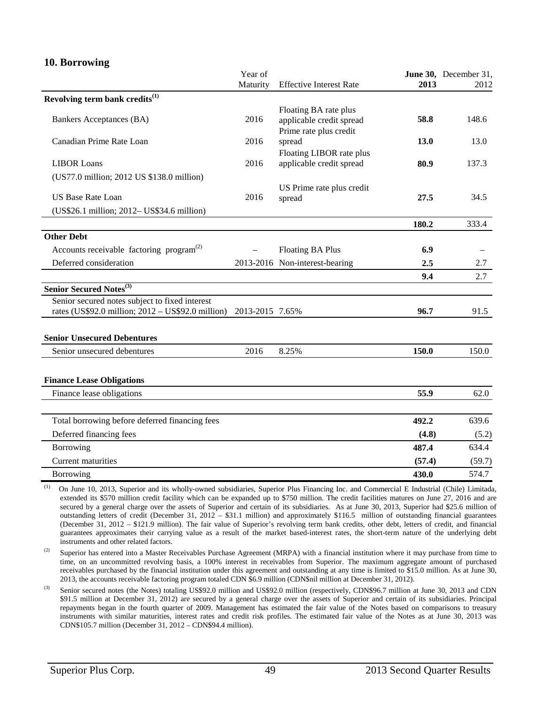#### **10. Borrowing**

|                                                                                       | Year of         |                                  |        | June 30, December 31,                 |
|---------------------------------------------------------------------------------------|-----------------|----------------------------------|--------|---------------------------------------|
|                                                                                       | Maturity        | <b>Effective Interest Rate</b>   | 2013   | 2012                                  |
| Revolving term bank credits <sup>(1)</sup>                                            |                 |                                  |        |                                       |
|                                                                                       |                 | Floating BA rate plus            |        |                                       |
| <b>Bankers Acceptances (BA)</b>                                                       | 2016            | applicable credit spread         | 58.8   | 148.6                                 |
| Canadian Prime Rate Loan                                                              | 2016            | Prime rate plus credit<br>spread | 13.0   | 13.0                                  |
|                                                                                       |                 | Floating LIBOR rate plus         |        |                                       |
| <b>LIBOR</b> Loans                                                                    | 2016            | applicable credit spread         | 80.9   | 137.3                                 |
| (US77.0 million; 2012 US \$138.0 million)                                             |                 |                                  |        |                                       |
|                                                                                       |                 | US Prime rate plus credit        |        |                                       |
| <b>US Base Rate Loan</b>                                                              | 2016            | spread                           | 27.5   | 34.5                                  |
| (US\$26.1 million; 2012- US\$34.6 million)                                            |                 |                                  |        |                                       |
|                                                                                       |                 |                                  | 180.2  | 333.4                                 |
| <b>Other Debt</b>                                                                     |                 |                                  |        |                                       |
| Accounts receivable factoring program <sup>(2)</sup>                                  |                 | <b>Floating BA Plus</b>          | 6.9    |                                       |
| Deferred consideration                                                                |                 | 2013-2016 Non-interest-bearing   | 2.5    | 2.7                                   |
|                                                                                       |                 |                                  | 9.4    | 2.7                                   |
| <b>Senior Secured Notes</b> <sup>(3)</sup>                                            |                 |                                  |        |                                       |
| Senior secured notes subject to fixed interest                                        |                 |                                  |        |                                       |
| rates (US\$92.0 million; $2012 - US$92.0$ million)                                    | 2013-2015 7.65% |                                  | 96.7   | 91.5                                  |
|                                                                                       |                 |                                  |        |                                       |
| <b>Senior Unsecured Debentures</b>                                                    |                 |                                  |        |                                       |
| Senior unsecured debentures                                                           | 2016            | 8.25%                            | 150.0  | 150.0                                 |
|                                                                                       |                 |                                  |        |                                       |
| <b>Finance Lease Obligations</b>                                                      |                 |                                  |        |                                       |
| Finance lease obligations                                                             |                 |                                  | 55.9   | 62.0                                  |
|                                                                                       |                 |                                  |        |                                       |
| Total borrowing before deferred financing fees                                        |                 |                                  | 492.2  | 639.6                                 |
| Deferred financing fees                                                               |                 |                                  | (4.8)  | (5.2)                                 |
| Borrowing                                                                             |                 |                                  | 487.4  | 634.4                                 |
| <b>Current maturities</b>                                                             |                 |                                  | (57.4) | (59.7)                                |
| Borrowing                                                                             |                 |                                  | 430.0  | 574.7                                 |
| $\frac{1}{2}$ Or Leve 10, 2012, Secondary and its relative count relativities. Second |                 |                                  |        | to the model and at 2010 they minuted |

 On June 10, 2013, Superior and its wholly-owned subsidiaries, Superior Plus Financing Inc. and Commercial E Industrial (Chile) Limitada, extended its \$570 million credit facility which can be expanded up to \$750 million. The credit facilities matures on June 27, 2016 and are secured by a general charge over the assets of Superior and certain of its subsidiaries. As at June 30, 2013, Superior had \$25.6 million of outstanding letters of credit (December 31, 2012 – \$31.1 million) and approximately \$116.5 million of outstanding financial guarantees (December 31, 2012 – \$121.9 million). The fair value of Superior's revolving term bank credits, other debt, letters of credit, and financial guarantees approximates their carrying value as a result of the market based-interest rates, the short-term nature of the underlying debt instruments and other related factors.

<sup>(2)</sup> Superior has entered into a Master Receivables Purchase Agreement (MRPA) with a financial institution where it may purchase from time to time, on an uncommitted revolving basis, a 100% interest in receivables from Superior. The maximum aggregate amount of purchased receivables purchased by the financial institution under this agreement and outstanding at any time is limited to \$15.0 million. As at June 30, 2013, the accounts receivable factoring program totaled CDN \$6.9 million (CDN\$nil million at December 31, 2012).

<sup>(3)</sup> Senior secured notes (the Notes) totaling US\$92.0 million and US\$92.0 million (respectively, CDN\$96.7 million at June 30, 2013 and CDN \$91.5 million at December 31, 2012) are secured by a general charge over the assets of Superior and certain of its subsidiaries. Principal repayments began in the fourth quarter of 2009. Management has estimated the fair value of the Notes based on comparisons to treasury instruments with similar maturities, interest rates and credit risk profiles. The estimated fair value of the Notes as at June 30, 2013 was CDN\$105.7 million (December 31, 2012 – CDN\$94.4 million).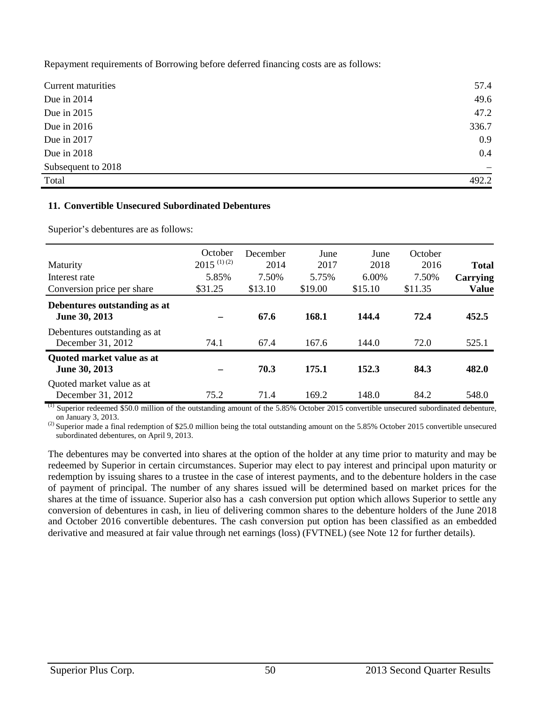Repayment requirements of Borrowing before deferred financing costs are as follows:

| Current maturities | 57.4  |
|--------------------|-------|
| Due in 2014        | 49.6  |
| Due in $2015$      | 47.2  |
| Due in $2016$      | 336.7 |
| Due in 2017        | 0.9   |
| Due in 2018        | 0.4   |
| Subsequent to 2018 |       |
| Total              | 492.2 |

### **11. Convertible Unsecured Subordinated Debentures**

Superior's debentures are as follows:

| Maturity                                          | October<br>$2015^{(1)(2)}$ | December<br>2014 | June<br>2017 | June<br>2018 | October<br>2016 | <b>Total</b> |
|---------------------------------------------------|----------------------------|------------------|--------------|--------------|-----------------|--------------|
| Interest rate                                     | 5.85%                      | 7.50%            | 5.75%        | 6.00%        | 7.50%           | Carrying     |
| Conversion price per share                        | \$31.25                    | \$13.10          | \$19.00      | \$15.10      | \$11.35         | <b>Value</b> |
| Debentures outstanding as at<br>June 30, 2013     |                            | 67.6             | 168.1        | 144.4        | 72.4            | 452.5        |
| Debentures outstanding as at<br>December 31, 2012 | 74.1                       | 67.4             | 167.6        | 144.0        | 72.0            | 525.1        |
| Quoted market value as at<br>June 30, 2013        |                            | 70.3             | 175.1        | 152.3        | 84.3            | 482.0        |
| Quoted market value as at<br>December 31, 2012    | 75.2                       | 71.4             | 169.2        | 148.0        | 84.2            | 548.0        |

 $<sup>(1)</sup>$  Superior redeemed \$50.0 million of the outstanding amount of the 5.85% October 2015 convertible unsecured subordinated debenture,</sup> on January 3, 2013.

<sup>(2)</sup> Superior made a final redemption of \$25.0 million being the total outstanding amount on the 5.85% October 2015 convertible unsecured subordinated debentures, on April 9, 2013.

The debentures may be converted into shares at the option of the holder at any time prior to maturity and may be redeemed by Superior in certain circumstances. Superior may elect to pay interest and principal upon maturity or redemption by issuing shares to a trustee in the case of interest payments, and to the debenture holders in the case of payment of principal. The number of any shares issued will be determined based on market prices for the shares at the time of issuance. Superior also has a cash conversion put option which allows Superior to settle any conversion of debentures in cash, in lieu of delivering common shares to the debenture holders of the June 2018 and October 2016 convertible debentures. The cash conversion put option has been classified as an embedded derivative and measured at fair value through net earnings (loss) (FVTNEL) (see Note 12 for further details).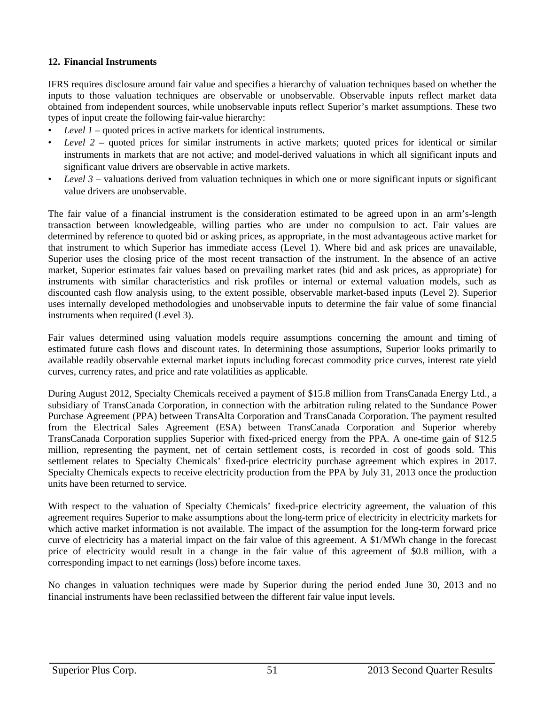### **12. Financial Instruments**

IFRS requires disclosure around fair value and specifies a hierarchy of valuation techniques based on whether the inputs to those valuation techniques are observable or unobservable. Observable inputs reflect market data obtained from independent sources, while unobservable inputs reflect Superior's market assumptions. These two types of input create the following fair-value hierarchy:

- *Level 1* quoted prices in active markets for identical instruments.
- *Level 2* quoted prices for similar instruments in active markets; quoted prices for identical or similar instruments in markets that are not active; and model-derived valuations in which all significant inputs and significant value drivers are observable in active markets.
- *Level 3* valuations derived from valuation techniques in which one or more significant inputs or significant value drivers are unobservable.

The fair value of a financial instrument is the consideration estimated to be agreed upon in an arm's-length transaction between knowledgeable, willing parties who are under no compulsion to act. Fair values are determined by reference to quoted bid or asking prices, as appropriate, in the most advantageous active market for that instrument to which Superior has immediate access (Level 1). Where bid and ask prices are unavailable, Superior uses the closing price of the most recent transaction of the instrument. In the absence of an active market, Superior estimates fair values based on prevailing market rates (bid and ask prices, as appropriate) for instruments with similar characteristics and risk profiles or internal or external valuation models, such as discounted cash flow analysis using, to the extent possible, observable market-based inputs (Level 2). Superior uses internally developed methodologies and unobservable inputs to determine the fair value of some financial instruments when required (Level 3).

Fair values determined using valuation models require assumptions concerning the amount and timing of estimated future cash flows and discount rates. In determining those assumptions, Superior looks primarily to available readily observable external market inputs including forecast commodity price curves, interest rate yield curves, currency rates, and price and rate volatilities as applicable.

During August 2012, Specialty Chemicals received a payment of \$15.8 million from TransCanada Energy Ltd., a subsidiary of TransCanada Corporation, in connection with the arbitration ruling related to the Sundance Power Purchase Agreement (PPA) between TransAlta Corporation and TransCanada Corporation. The payment resulted from the Electrical Sales Agreement (ESA) between TransCanada Corporation and Superior whereby TransCanada Corporation supplies Superior with fixed-priced energy from the PPA. A one-time gain of \$12.5 million, representing the payment, net of certain settlement costs, is recorded in cost of goods sold. This settlement relates to Specialty Chemicals' fixed-price electricity purchase agreement which expires in 2017. Specialty Chemicals expects to receive electricity production from the PPA by July 31, 2013 once the production units have been returned to service.

With respect to the valuation of Specialty Chemicals' fixed-price electricity agreement, the valuation of this agreement requires Superior to make assumptions about the long-term price of electricity in electricity markets for which active market information is not available. The impact of the assumption for the long-term forward price curve of electricity has a material impact on the fair value of this agreement. A \$1/MWh change in the forecast price of electricity would result in a change in the fair value of this agreement of \$0.8 million, with a corresponding impact to net earnings (loss) before income taxes.

No changes in valuation techniques were made by Superior during the period ended June 30, 2013 and no financial instruments have been reclassified between the different fair value input levels.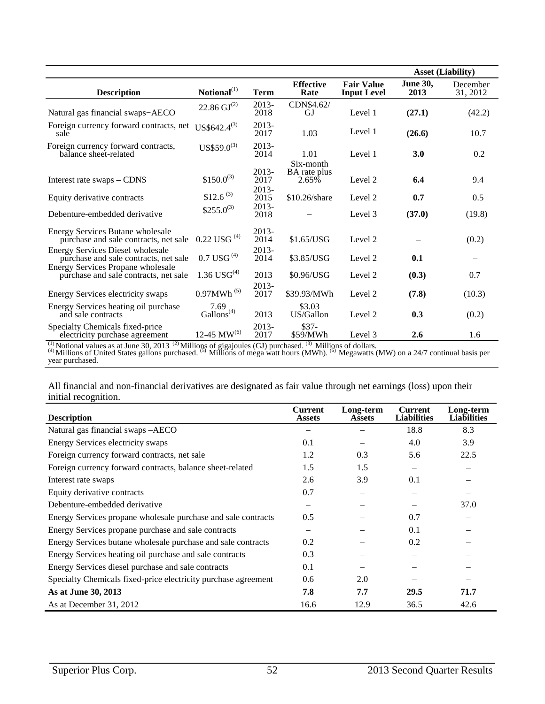|                                                                                  |                                        |               |                                    |                                         |                         | <b>Asset (Liability)</b> |  |  |
|----------------------------------------------------------------------------------|----------------------------------------|---------------|------------------------------------|-----------------------------------------|-------------------------|--------------------------|--|--|
| <b>Description</b>                                                               | Notional <sup>(1)</sup>                | <b>Term</b>   | <b>Effective</b><br>Rate           | <b>Fair Value</b><br><b>Input Level</b> | <b>June 30,</b><br>2013 | December<br>31, 2012     |  |  |
| Natural gas financial swaps-AECO                                                 | 22.86 $GI^{(2)}$                       | 2013-<br>2018 | CDN\$4.62/<br>GJ                   | Level 1                                 | (27.1)                  | (42.2)                   |  |  |
| Foreign currency forward contracts, net<br>sale                                  | $US$642.4^{(3)}$                       | 2013-<br>2017 | 1.03                               | Level 1                                 | (26.6)                  | 10.7                     |  |  |
| Foreign currency forward contracts,<br>balance sheet-related                     | $US$59.0^{(3)}$                        | 2013-<br>2014 | 1.01                               | Level 1                                 | 3.0                     | 0.2                      |  |  |
| Interest rate swaps – CDN\$                                                      | $$150.0^{(3)}$                         | 2013-<br>2017 | Six-month<br>BA rate plus<br>2.65% | Level 2                                 | 6.4                     | 9.4                      |  |  |
| Equity derivative contracts                                                      | \$12.6 <sup>(3)</sup>                  | 2013-<br>2015 | \$10.26/share                      | Level 2                                 | 0.7                     | 0.5                      |  |  |
| Debenture-embedded derivative                                                    | $$255.0^{(3)}$                         | 2013-<br>2018 |                                    | Level 3                                 | (37.0)                  | (19.8)                   |  |  |
| Energy Services Butane wholesale<br>purchase and sale contracts, net sale        | $0.22$ USG <sup>(4)</sup>              | 2013-<br>2014 | \$1.65/USG                         | Level 2                                 |                         | (0.2)                    |  |  |
| <b>Energy Services Diesel wholesale</b><br>purchase and sale contracts, net sale | $0.7$ USG <sup>(4)</sup>               | 2013-<br>2014 | \$3.85/USG                         | Level 2                                 | 0.1                     |                          |  |  |
| Energy Services Propane wholesale<br>purchase and sale contracts, net sale       | $1.36$ USG <sup>(4)</sup>              | 2013          | \$0.96/USG                         | Level 2                                 | (0.3)                   | 0.7                      |  |  |
| Energy Services electricity swaps                                                | $0.97$ MWh <sup><math>(5)</math></sup> | 2013-<br>2017 | \$39.93/MWh                        | Level 2                                 | (7.8)                   | (10.3)                   |  |  |
| Energy Services heating oil purchase<br>and sale contracts                       | 7.69<br>Gallons <sup>(4)</sup>         | 2013          | \$3.03<br>US/Gallon                | Level 2                                 | 0.3                     | (0.2)                    |  |  |
| Specialty Chemicals fixed-price<br>electricity purchase agreement                | 12-45 $MW^{(6)}$                       | 2013-<br>2017 | $$37-$<br>\$59/MWh                 | Level 3                                 | 2.6                     | 1.6                      |  |  |

<sup>(1)</sup> Notional values as at June 30, 2013<sup>(2)</sup> Millions of gigajoules (GJ) purchased. <sup>(3)</sup> Millions of dollars.<br><sup>(4)</sup> Millions of United States gallons purchased. <sup>(5)</sup> Millions of mega watt hours (MWh). <sup>(6)</sup> Megawatts year purchased.

All financial and non-financial derivatives are designated as fair value through net earnings (loss) upon their initial recognition.

| <b>Description</b>                                             | <b>Current</b><br><b>Assets</b> | Long-term<br><b>Assets</b> | <b>Current</b><br><b>Liabilities</b> | Long-term<br><b>Liabilities</b> |
|----------------------------------------------------------------|---------------------------------|----------------------------|--------------------------------------|---------------------------------|
| Natural gas financial swaps -AECO                              |                                 |                            | 18.8                                 | 8.3                             |
| Energy Services electricity swaps                              | 0.1                             |                            | 4.0                                  | 3.9                             |
| Foreign currency forward contracts, net sale                   | 1.2                             | 0.3                        | 5.6                                  | 22.5                            |
| Foreign currency forward contracts, balance sheet-related      | 1.5                             | 1.5                        |                                      |                                 |
| Interest rate swaps                                            | 2.6                             | 3.9                        | 0.1                                  |                                 |
| Equity derivative contracts                                    | 0.7                             | -                          |                                      |                                 |
| Debenture-embedded derivative                                  |                                 |                            |                                      | 37.0                            |
| Energy Services propane wholesale purchase and sale contracts  | 0.5                             |                            | 0.7                                  |                                 |
| Energy Services propane purchase and sale contracts            | $\overline{\phantom{0}}$        |                            | 0.1                                  |                                 |
| Energy Services butane wholesale purchase and sale contracts   | 0.2                             |                            | 0.2                                  |                                 |
| Energy Services heating oil purchase and sale contracts        | 0.3                             |                            |                                      |                                 |
| Energy Services diesel purchase and sale contracts             | 0.1                             |                            |                                      |                                 |
| Specialty Chemicals fixed-price electricity purchase agreement | 0.6                             | 2.0                        |                                      |                                 |
| As at June 30, 2013                                            | 7.8                             | 7.7                        | 29.5                                 | 71.7                            |
| As at December 31, 2012                                        | 16.6                            | 12.9                       | 36.5                                 | 42.6                            |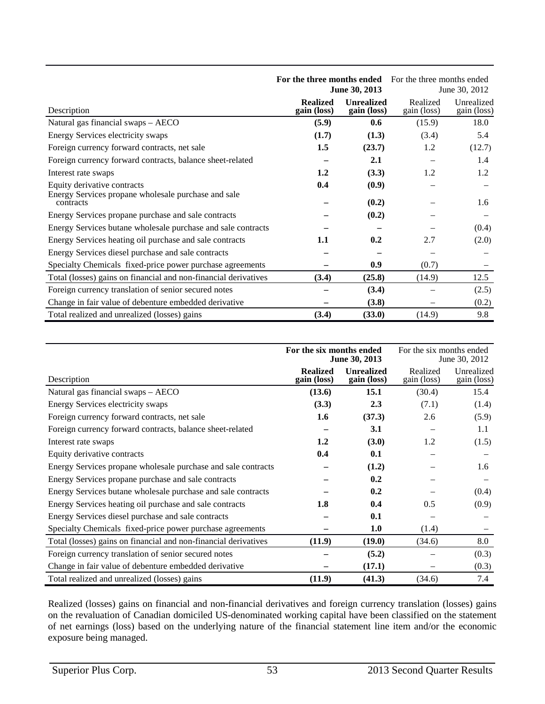|                                                                  | For the three months ended     |                                  | For the three months ended |                           |  |
|------------------------------------------------------------------|--------------------------------|----------------------------------|----------------------------|---------------------------|--|
|                                                                  |                                | June 30, 2013                    | June 30, 2012              |                           |  |
| Description                                                      | <b>Realized</b><br>gain (loss) | <b>Unrealized</b><br>gain (loss) | Realized<br>gain (loss)    | Unrealized<br>gain (loss) |  |
| Natural gas financial swaps - AECO                               | (5.9)                          | 0.6                              | (15.9)                     | 18.0                      |  |
| Energy Services electricity swaps                                | (1.7)                          | (1.3)                            | (3.4)                      | 5.4                       |  |
| Foreign currency forward contracts, net sale                     | 1.5                            | (23.7)                           | 1.2                        | (12.7)                    |  |
| Foreign currency forward contracts, balance sheet-related        |                                | 2.1                              |                            | 1.4                       |  |
| Interest rate swaps                                              | 1.2                            | (3.3)                            | 1.2                        | 1.2                       |  |
| Equity derivative contracts                                      | 0.4                            | (0.9)                            |                            |                           |  |
| Energy Services propane wholesale purchase and sale<br>contracts |                                | (0.2)                            |                            | 1.6                       |  |
| Energy Services propane purchase and sale contracts              |                                | (0.2)                            |                            |                           |  |
| Energy Services butane wholesale purchase and sale contracts     |                                |                                  |                            | (0.4)                     |  |
| Energy Services heating oil purchase and sale contracts          | 1.1                            | 0.2                              | 2.7                        | (2.0)                     |  |
| Energy Services diesel purchase and sale contracts               |                                |                                  |                            |                           |  |
| Specialty Chemicals fixed-price power purchase agreements        |                                | 0.9                              | (0.7)                      |                           |  |
| Total (losses) gains on financial and non-financial derivatives  | (3.4)                          | (25.8)                           | (14.9)                     | 12.5                      |  |
| Foreign currency translation of senior secured notes             |                                | (3.4)                            |                            | (2.5)                     |  |
| Change in fair value of debenture embedded derivative            |                                | (3.8)                            |                            | (0.2)                     |  |
| Total realized and unrealized (losses) gains                     | (3.4)                          | (33.0)                           | (14.9)                     | 9.8                       |  |

|                                                                 | For the six months ended<br>June 30, 2013 |                                  | For the six months ended<br>June 30, 2012 |                           |
|-----------------------------------------------------------------|-------------------------------------------|----------------------------------|-------------------------------------------|---------------------------|
| Description                                                     | <b>Realized</b><br>gain (loss)            | <b>Unrealized</b><br>gain (loss) | Realized<br>gain (loss)                   | Unrealized<br>gain (loss) |
| Natural gas financial swaps - AECO                              | (13.6)                                    | 15.1                             | (30.4)                                    | 15.4                      |
| Energy Services electricity swaps                               | (3.3)                                     | 2.3                              | (7.1)                                     | (1.4)                     |
| Foreign currency forward contracts, net sale                    | 1.6                                       | (37.3)                           | 2.6                                       | (5.9)                     |
| Foreign currency forward contracts, balance sheet-related       |                                           | 3.1                              |                                           | 1.1                       |
| Interest rate swaps                                             | 1.2                                       | (3.0)                            | 1.2                                       | (1.5)                     |
| Equity derivative contracts                                     | 0.4                                       | 0.1                              |                                           |                           |
| Energy Services propane wholesale purchase and sale contracts   |                                           | (1.2)                            |                                           | 1.6                       |
| Energy Services propane purchase and sale contracts             |                                           | 0.2                              |                                           |                           |
| Energy Services butane wholesale purchase and sale contracts    |                                           | 0.2                              |                                           | (0.4)                     |
| Energy Services heating oil purchase and sale contracts         | 1.8                                       | 0.4                              | 0.5                                       | (0.9)                     |
| Energy Services diesel purchase and sale contracts              |                                           | 0.1                              |                                           |                           |
| Specialty Chemicals fixed-price power purchase agreements       |                                           | 1.0                              | (1.4)                                     |                           |
| Total (losses) gains on financial and non-financial derivatives | (11.9)                                    | (19.0)                           | (34.6)                                    | 8.0                       |
| Foreign currency translation of senior secured notes            |                                           | (5.2)                            |                                           | (0.3)                     |
| Change in fair value of debenture embedded derivative           |                                           | (17.1)                           |                                           | (0.3)                     |
| Total realized and unrealized (losses) gains                    | (11.9)                                    | (41.3)                           | (34.6)                                    | 7.4                       |

Realized (losses) gains on financial and non-financial derivatives and foreign currency translation (losses) gains on the revaluation of Canadian domiciled US-denominated working capital have been classified on the statement of net earnings (loss) based on the underlying nature of the financial statement line item and/or the economic exposure being managed.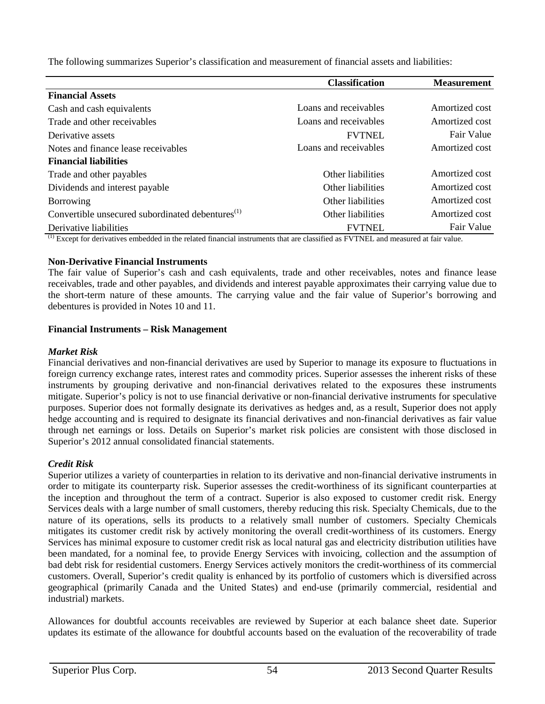The following summarizes Superior's classification and measurement of financial assets and liabilities:

|                                                              | <b>Classification</b> | <b>Measurement</b> |
|--------------------------------------------------------------|-----------------------|--------------------|
| <b>Financial Assets</b>                                      |                       |                    |
| Cash and cash equivalents                                    | Loans and receivables | Amortized cost     |
| Trade and other receivables                                  | Loans and receivables | Amortized cost     |
| Derivative assets                                            | <b>FVTNEL</b>         | Fair Value         |
| Notes and finance lease receivables                          | Loans and receivables | Amortized cost     |
| <b>Financial liabilities</b>                                 |                       |                    |
| Trade and other payables                                     | Other liabilities     | Amortized cost     |
| Dividends and interest payable                               | Other liabilities     | Amortized cost     |
| Borrowing                                                    | Other liabilities     | Amortized cost     |
| Convertible unsecured subordinated debentures <sup>(1)</sup> | Other liabilities     | Amortized cost     |
| Derivative liabilities                                       | <b>FVTNEL</b>         | Fair Value         |

 $\overline{p}$  Except for derivatives embedded in the related financial instruments that are classified as FVTNEL and measured at fair value.

# **Non-Derivative Financial Instruments**

The fair value of Superior's cash and cash equivalents, trade and other receivables, notes and finance lease receivables, trade and other payables, and dividends and interest payable approximates their carrying value due to the short-term nature of these amounts. The carrying value and the fair value of Superior's borrowing and debentures is provided in Notes 10 and 11.

### **Financial Instruments – Risk Management**

#### *Market Risk*

Financial derivatives and non-financial derivatives are used by Superior to manage its exposure to fluctuations in foreign currency exchange rates, interest rates and commodity prices. Superior assesses the inherent risks of these instruments by grouping derivative and non-financial derivatives related to the exposures these instruments mitigate. Superior's policy is not to use financial derivative or non-financial derivative instruments for speculative purposes. Superior does not formally designate its derivatives as hedges and, as a result, Superior does not apply hedge accounting and is required to designate its financial derivatives and non-financial derivatives as fair value through net earnings or loss. Details on Superior's market risk policies are consistent with those disclosed in Superior's 2012 annual consolidated financial statements.

# *Credit Risk*

Superior utilizes a variety of counterparties in relation to its derivative and non-financial derivative instruments in order to mitigate its counterparty risk. Superior assesses the credit-worthiness of its significant counterparties at the inception and throughout the term of a contract. Superior is also exposed to customer credit risk. Energy Services deals with a large number of small customers, thereby reducing this risk. Specialty Chemicals, due to the nature of its operations, sells its products to a relatively small number of customers. Specialty Chemicals mitigates its customer credit risk by actively monitoring the overall credit-worthiness of its customers. Energy Services has minimal exposure to customer credit risk as local natural gas and electricity distribution utilities have been mandated, for a nominal fee, to provide Energy Services with invoicing, collection and the assumption of bad debt risk for residential customers. Energy Services actively monitors the credit-worthiness of its commercial customers. Overall, Superior's credit quality is enhanced by its portfolio of customers which is diversified across geographical (primarily Canada and the United States) and end-use (primarily commercial, residential and industrial) markets.

Allowances for doubtful accounts receivables are reviewed by Superior at each balance sheet date. Superior updates its estimate of the allowance for doubtful accounts based on the evaluation of the recoverability of trade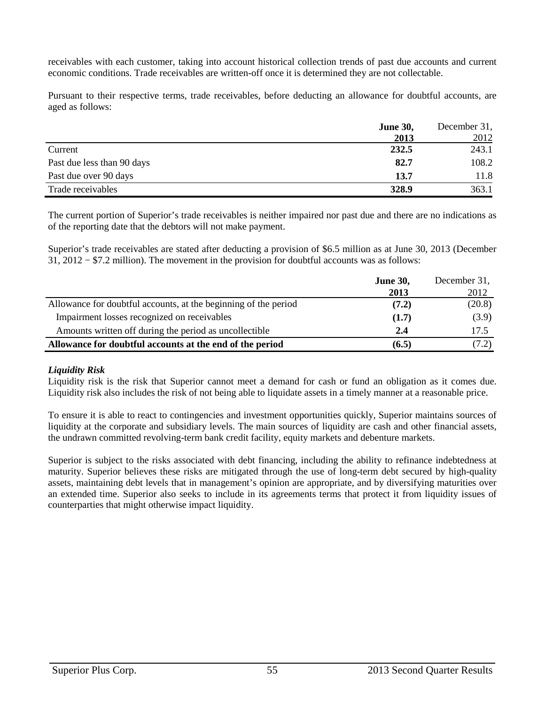receivables with each customer, taking into account historical collection trends of past due accounts and current economic conditions. Trade receivables are written-off once it is determined they are not collectable.

Pursuant to their respective terms, trade receivables, before deducting an allowance for doubtful accounts, are aged as follows:

|                            | <b>June 30,</b> | December 31, |
|----------------------------|-----------------|--------------|
|                            | 2013            | 2012         |
| Current                    | 232.5           | 243.1        |
| Past due less than 90 days | 82.7            | 108.2        |
| Past due over 90 days      | 13.7            | 11.8         |
| Trade receivables          | 328.9           | 363.1        |

The current portion of Superior's trade receivables is neither impaired nor past due and there are no indications as of the reporting date that the debtors will not make payment.

Superior's trade receivables are stated after deducting a provision of \$6.5 million as at June 30, 2013 (December 31, 2012 − \$7.2 million). The movement in the provision for doubtful accounts was as follows:

|                                                                 | <b>June 30,</b> | December 31, |
|-----------------------------------------------------------------|-----------------|--------------|
|                                                                 | 2013            | 2012         |
| Allowance for doubtful accounts, at the beginning of the period | (7.2)           | (20.8)       |
| Impairment losses recognized on receivables                     | (1.7)           | (3.9)        |
| Amounts written off during the period as uncollectible          | 2.4             | 17.5         |
| Allowance for doubtful accounts at the end of the period        | (6.5)           | (7.2)        |

#### *Liquidity Risk*

Liquidity risk is the risk that Superior cannot meet a demand for cash or fund an obligation as it comes due. Liquidity risk also includes the risk of not being able to liquidate assets in a timely manner at a reasonable price.

To ensure it is able to react to contingencies and investment opportunities quickly, Superior maintains sources of liquidity at the corporate and subsidiary levels. The main sources of liquidity are cash and other financial assets, the undrawn committed revolving-term bank credit facility, equity markets and debenture markets.

Superior is subject to the risks associated with debt financing, including the ability to refinance indebtedness at maturity. Superior believes these risks are mitigated through the use of long-term debt secured by high-quality assets, maintaining debt levels that in management's opinion are appropriate, and by diversifying maturities over an extended time. Superior also seeks to include in its agreements terms that protect it from liquidity issues of counterparties that might otherwise impact liquidity.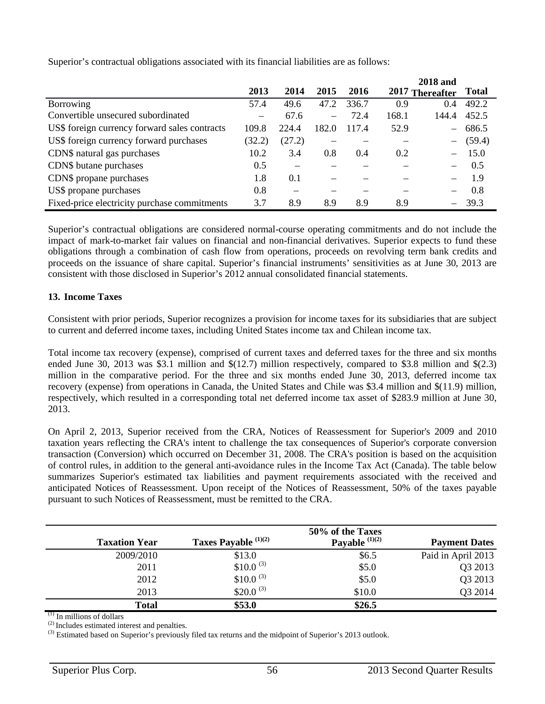|                                               |                          |        |       |       |                 | <b>2018</b> and                 |              |
|-----------------------------------------------|--------------------------|--------|-------|-------|-----------------|---------------------------------|--------------|
|                                               | 2013                     | 2014   | 2015  | 2016  | 2017 Thereafter |                                 | <b>Total</b> |
| Borrowing                                     | 57.4                     | 49.6   | 47.2  | 336.7 | 0.9             | 0.4                             | 492.2        |
| Convertible unsecured subordinated            | $\overline{\phantom{m}}$ | 67.6   |       | 72.4  | 168.1           | 144.4                           | 452.5        |
| US\$ foreign currency forward sales contracts | 109.8                    | 224.4  | 182.0 | 117.4 | 52.9            | $-$                             | 686.5        |
| US\$ foreign currency forward purchases       | (32.2)                   | (27.2) |       |       |                 | $\hspace{0.1mm}-\hspace{0.1mm}$ | (59.4)       |
| CDN\$ natural gas purchases                   | 10.2                     | 3.4    | 0.8   | 0.4   | 0.2             |                                 | 15.0         |
| CDN\$ butane purchases                        | 0.5                      |        |       |       |                 | $\overline{\phantom{0}}$        | 0.5          |
| CDN\$ propane purchases                       | 1.8                      | 0.1    |       |       |                 |                                 | 1.9          |
| US\$ propane purchases                        | 0.8                      |        |       |       |                 |                                 | 0.8          |
| Fixed-price electricity purchase commitments  | 3.7                      | 8.9    | 8.9   | 8.9   | 8.9             |                                 | 39.3         |

Superior's contractual obligations associated with its financial liabilities are as follows:

Superior's contractual obligations are considered normal-course operating commitments and do not include the impact of mark-to-market fair values on financial and non-financial derivatives. Superior expects to fund these obligations through a combination of cash flow from operations, proceeds on revolving term bank credits and proceeds on the issuance of share capital. Superior's financial instruments' sensitivities as at June 30, 2013 are consistent with those disclosed in Superior's 2012 annual consolidated financial statements.

#### **13. Income Taxes**

Consistent with prior periods, Superior recognizes a provision for income taxes for its subsidiaries that are subject to current and deferred income taxes, including United States income tax and Chilean income tax.

Total income tax recovery (expense), comprised of current taxes and deferred taxes for the three and six months ended June 30, 2013 was \$3.1 million and \$(12.7) million respectively, compared to \$3.8 million and \$(2.3) million in the comparative period. For the three and six months ended June 30, 2013, deferred income tax recovery (expense) from operations in Canada, the United States and Chile was \$3.4 million and \$(11.9) million, respectively, which resulted in a corresponding total net deferred income tax asset of \$283.9 million at June 30, 2013.

On April 2, 2013, Superior received from the CRA, Notices of Reassessment for Superior's 2009 and 2010 taxation years reflecting the CRA's intent to challenge the tax consequences of Superior's corporate conversion transaction (Conversion) which occurred on December 31, 2008. The CRA's position is based on the acquisition of control rules, in addition to the general anti-avoidance rules in the Income Tax Act (Canada). The table below summarizes Superior's estimated tax liabilities and payment requirements associated with the received and anticipated Notices of Reassessment. Upon receipt of the Notices of Reassessment, 50% of the taxes payable pursuant to such Notices of Reassessment, must be remitted to the CRA.

|                      |                       | 50% of the Taxes    |                      |
|----------------------|-----------------------|---------------------|----------------------|
| <b>Taxation Year</b> | Taxes Payable (1)(2)  | Payable $^{(1)(2)}$ | <b>Payment Dates</b> |
| 2009/2010            | \$13.0                | \$6.5               | Paid in April 2013   |
| 2011                 | \$10.0 <sup>(3)</sup> | \$5.0               | Q3 2013              |
| 2012                 | \$10.0 <sup>(3)</sup> | \$5.0               | Q3 2013              |
| 2013                 | \$20.0 $^{(3)}$       | \$10.0              | Q3 2014              |
| <b>Total</b>         | \$53.0                | \$26.5              |                      |

(1) In millions of dollars

(2) Includes estimated interest and penalties.

 $<sup>(3)</sup>$  Estimated based on Superior's previously filed tax returns and the midpoint of Superior's 2013 outlook.</sup>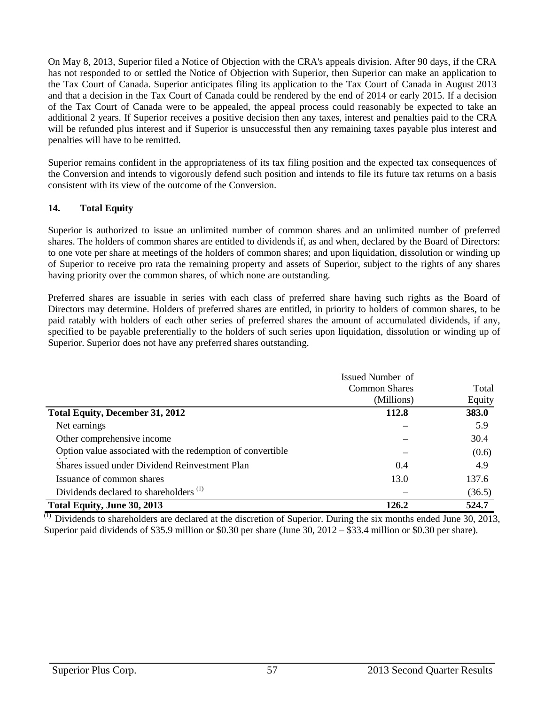On May 8, 2013, Superior filed a Notice of Objection with the CRA's appeals division. After 90 days, if the CRA has not responded to or settled the Notice of Objection with Superior, then Superior can make an application to the Tax Court of Canada. Superior anticipates filing its application to the Tax Court of Canada in August 2013 and that a decision in the Tax Court of Canada could be rendered by the end of 2014 or early 2015. If a decision of the Tax Court of Canada were to be appealed, the appeal process could reasonably be expected to take an additional 2 years. If Superior receives a positive decision then any taxes, interest and penalties paid to the CRA will be refunded plus interest and if Superior is unsuccessful then any remaining taxes payable plus interest and penalties will have to be remitted.

Superior remains confident in the appropriateness of its tax filing position and the expected tax consequences of the Conversion and intends to vigorously defend such position and intends to file its future tax returns on a basis consistent with its view of the outcome of the Conversion.

# **14. Total Equity**

Superior is authorized to issue an unlimited number of common shares and an unlimited number of preferred shares. The holders of common shares are entitled to dividends if, as and when, declared by the Board of Directors: to one vote per share at meetings of the holders of common shares; and upon liquidation, dissolution or winding up of Superior to receive pro rata the remaining property and assets of Superior, subject to the rights of any shares having priority over the common shares, of which none are outstanding.

Preferred shares are issuable in series with each class of preferred share having such rights as the Board of Directors may determine. Holders of preferred shares are entitled, in priority to holders of common shares, to be paid ratably with holders of each other series of preferred shares the amount of accumulated dividends, if any, specified to be payable preferentially to the holders of such series upon liquidation, dissolution or winding up of Superior. Superior does not have any preferred shares outstanding.

|                                                            | Issued Number of     |        |
|------------------------------------------------------------|----------------------|--------|
|                                                            | <b>Common Shares</b> | Total  |
|                                                            | (Millions)           | Equity |
| <b>Total Equity, December 31, 2012</b>                     | 112.8                | 383.0  |
| Net earnings                                               |                      | 5.9    |
| Other comprehensive income                                 |                      | 30.4   |
| Option value associated with the redemption of convertible |                      | (0.6)  |
| Shares issued under Dividend Reinvestment Plan             | 0.4                  | 4.9    |
| Issuance of common shares                                  | 13.0                 | 137.6  |
| Dividends declared to shareholders <sup>(1)</sup>          |                      | (36.5) |
| Total Equity, June 30, 2013                                | 126.2                | 524.7  |

 $\overline{^{(1)}}$  Dividends to shareholders are declared at the discretion of Superior. During the six months ended June 30, 2013, Superior paid dividends of \$35.9 million or \$0.30 per share (June 30, 2012 – \$33.4 million or \$0.30 per share).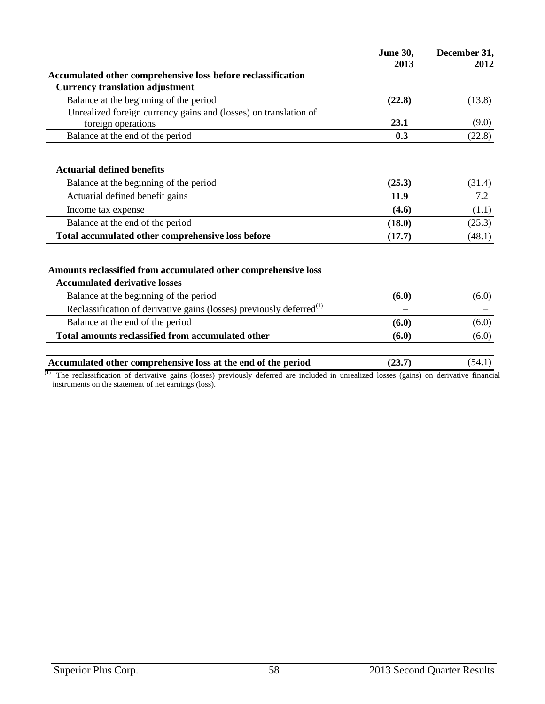|                                                                                  | <b>June 30,</b><br>2013 | December 31,<br>2012 |
|----------------------------------------------------------------------------------|-------------------------|----------------------|
| Accumulated other comprehensive loss before reclassification                     |                         |                      |
| <b>Currency translation adjustment</b>                                           |                         |                      |
| Balance at the beginning of the period                                           | (22.8)                  | (13.8)               |
| Unrealized foreign currency gains and (losses) on translation of                 |                         |                      |
| foreign operations                                                               | 23.1                    | (9.0)                |
| Balance at the end of the period                                                 | 0.3                     | (22.8)               |
| <b>Actuarial defined benefits</b>                                                |                         |                      |
| Balance at the beginning of the period                                           | (25.3)                  | (31.4)               |
| Actuarial defined benefit gains                                                  | 11.9                    | 7.2                  |
| Income tax expense                                                               | (4.6)                   | (1.1)                |
| Balance at the end of the period                                                 | (18.0)                  | (25.3)               |
| Total accumulated other comprehensive loss before                                | (17.7)                  | (48.1)               |
| Amounts reclassified from accumulated other comprehensive loss                   |                         |                      |
| <b>Accumulated derivative losses</b>                                             |                         |                      |
| Balance at the beginning of the period                                           | (6.0)                   | (6.0)                |
| Reclassification of derivative gains (losses) previously deferred <sup>(1)</sup> |                         |                      |
| Balance at the end of the period                                                 | (6.0)                   | (6.0)                |
| Total amounts reclassified from accumulated other                                | (6.0)                   | (6.0)                |
| Accumulated other comprehensive loss at the end of the period                    | (23.7)                  | (54.1)               |

 $^{(1)}$  The reclassification of derivative gains (losses) previously deferred are included in unrealized losses (gains) on derivative financial instruments on the statement of net earnings (loss).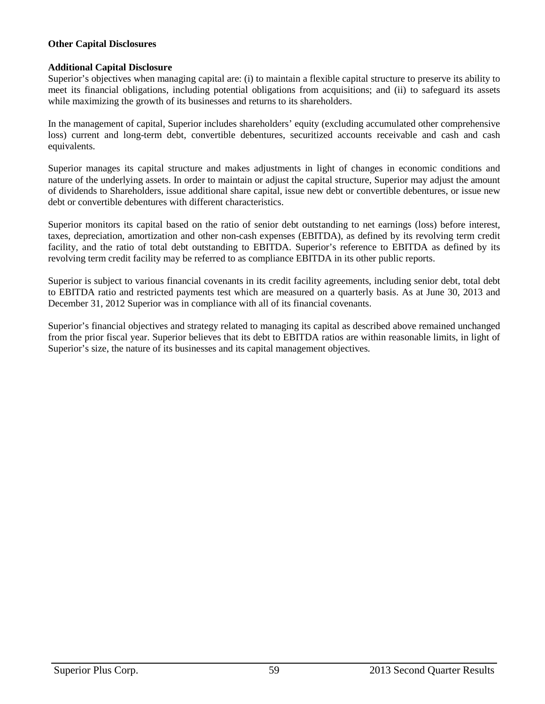#### **Other Capital Disclosures**

#### **Additional Capital Disclosure**

Superior's objectives when managing capital are: (i) to maintain a flexible capital structure to preserve its ability to meet its financial obligations, including potential obligations from acquisitions; and (ii) to safeguard its assets while maximizing the growth of its businesses and returns to its shareholders.

In the management of capital, Superior includes shareholders' equity (excluding accumulated other comprehensive loss) current and long-term debt, convertible debentures, securitized accounts receivable and cash and cash equivalents.

Superior manages its capital structure and makes adjustments in light of changes in economic conditions and nature of the underlying assets. In order to maintain or adjust the capital structure, Superior may adjust the amount of dividends to Shareholders, issue additional share capital, issue new debt or convertible debentures, or issue new debt or convertible debentures with different characteristics.

Superior monitors its capital based on the ratio of senior debt outstanding to net earnings (loss) before interest, taxes, depreciation, amortization and other non-cash expenses (EBITDA), as defined by its revolving term credit facility, and the ratio of total debt outstanding to EBITDA. Superior's reference to EBITDA as defined by its revolving term credit facility may be referred to as compliance EBITDA in its other public reports.

Superior is subject to various financial covenants in its credit facility agreements, including senior debt, total debt to EBITDA ratio and restricted payments test which are measured on a quarterly basis. As at June 30, 2013 and December 31, 2012 Superior was in compliance with all of its financial covenants.

Superior's financial objectives and strategy related to managing its capital as described above remained unchanged from the prior fiscal year. Superior believes that its debt to EBITDA ratios are within reasonable limits, in light of Superior's size, the nature of its businesses and its capital management objectives.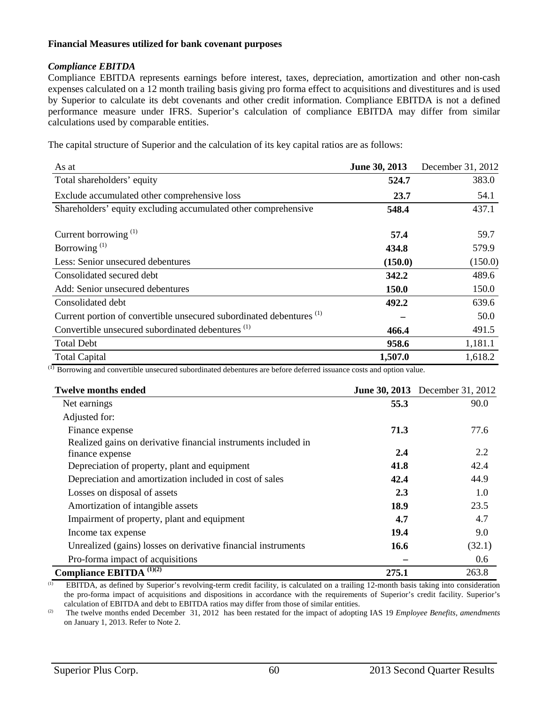#### **Financial Measures utilized for bank covenant purposes**

#### *Compliance EBITDA*

Compliance EBITDA represents earnings before interest, taxes, depreciation, amortization and other non-cash expenses calculated on a 12 month trailing basis giving pro forma effect to acquisitions and divestitures and is used by Superior to calculate its debt covenants and other credit information. Compliance EBITDA is not a defined performance measure under IFRS. Superior's calculation of compliance EBITDA may differ from similar calculations used by comparable entities.

The capital structure of Superior and the calculation of its key capital ratios are as follows:

| As at                                                                           | June 30, 2013 | December 31, 2012 |
|---------------------------------------------------------------------------------|---------------|-------------------|
| Total shareholders' equity                                                      | 524.7         | 383.0             |
| Exclude accumulated other comprehensive loss                                    | 23.7          | 54.1              |
| Shareholders' equity excluding accumulated other comprehensive                  | 548.4         | 437.1             |
| Current borrowing <sup>(1)</sup>                                                | 57.4          | 59.7              |
| Borrowing $(1)$                                                                 | 434.8         | 579.9             |
| Less: Senior unsecured debentures                                               | (150.0)       | (150.0)           |
| Consolidated secured debt                                                       | 342.2         | 489.6             |
| Add: Senior unsecured debentures                                                | 150.0         | 150.0             |
| Consolidated debt                                                               | 492.2         | 639.6             |
| Current portion of convertible unsecured subordinated debentures <sup>(1)</sup> |               | 50.0              |
| Convertible unsecured subordinated debentures <sup>(1)</sup>                    | 466.4         | 491.5             |
| <b>Total Debt</b>                                                               | 958.6         | 1,181.1           |
| <b>Total Capital</b>                                                            | 1,507.0       | 1,618.2           |

<sup>(1)</sup> Borrowing and convertible unsecured subordinated debentures are before deferred issuance costs and option value.

| <b>Twelve months ended</b>                                     |       | <b>June 30, 2013</b> December 31, 2012 |
|----------------------------------------------------------------|-------|----------------------------------------|
| Net earnings                                                   | 55.3  | 90.0                                   |
| Adjusted for:                                                  |       |                                        |
| Finance expense                                                | 71.3  | 77.6                                   |
| Realized gains on derivative financial instruments included in |       |                                        |
| finance expense                                                | 2.4   | 2.2                                    |
| Depreciation of property, plant and equipment                  | 41.8  | 42.4                                   |
| Depreciation and amortization included in cost of sales        | 42.4  | 44.9                                   |
| Losses on disposal of assets                                   | 2.3   | 1.0                                    |
| Amortization of intangible assets                              | 18.9  | 23.5                                   |
| Impairment of property, plant and equipment                    | 4.7   | 4.7                                    |
| Income tax expense                                             | 19.4  | 9.0                                    |
| Unrealized (gains) losses on derivative financial instruments  | 16.6  | (32.1)                                 |
| Pro-forma impact of acquisitions                               |       | 0.6                                    |
| Compliance EBITDA $(1)(2)$                                     | 275.1 | 263.8                                  |

(1) EBITDA, as defined by Superior's revolving-term credit facility, is calculated on a trailing 12-month basis taking into consideration the pro-forma impact of acquisitions and dispositions in accordance with the requirements of Superior's credit facility. Superior's calculation of EBITDA and debt to EBITDA ratios may differ from those of similar entities.

(2) The twelve months ended December 31, 2012 has been restated for the impact of adopting IAS 19 *Employee Benefits, amendments* on January 1, 2013. Refer to Note 2.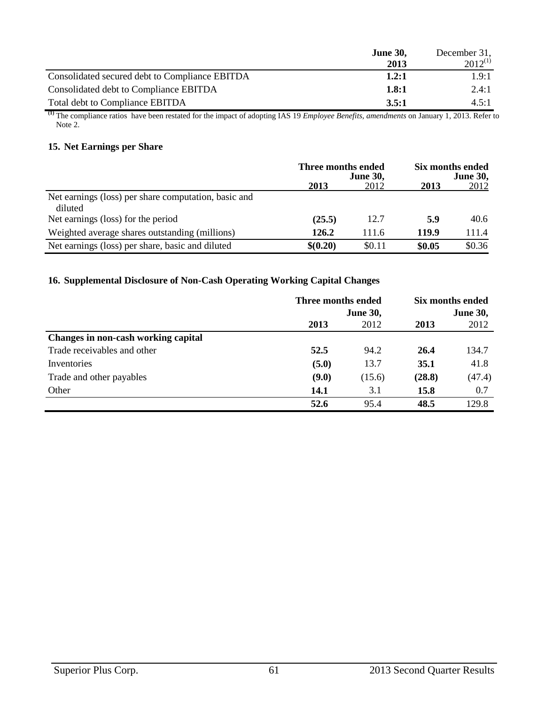|                                                | <b>June 30,</b> | December 31, |
|------------------------------------------------|-----------------|--------------|
|                                                | 2013            | $2012^{(1)}$ |
| Consolidated secured debt to Compliance EBITDA | 1.2:1           | 1.9:1        |
| Consolidated debt to Compliance EBITDA         | 1.8:1           | 2.4:1        |
| Total debt to Compliance EBITDA                | 3.5:1           | 4.5:1        |

**(1)** The compliance ratios have been restated for the impact of adopting IAS 19 *Employee Benefits, amendments* on January 1, 2013. Refer to Note 2.

#### **15. Net Earnings per Share**

|                                                      | Three months ended<br><b>June 30,</b> |        | Six months ended<br><b>June 30,</b> |        |
|------------------------------------------------------|---------------------------------------|--------|-------------------------------------|--------|
|                                                      | 2013                                  | 2012   | 2013                                | 2012   |
| Net earnings (loss) per share computation, basic and |                                       |        |                                     |        |
| diluted                                              |                                       |        |                                     |        |
| Net earnings (loss) for the period                   | (25.5)                                | 12.7   | 5.9                                 | 40.6   |
| Weighted average shares outstanding (millions)       | 126.2                                 | 111.6  | 119.9                               | 111.4  |
| Net earnings (loss) per share, basic and diluted     | \$(0.20)                              | \$0.11 | \$0.05                              | \$0.36 |

# **16. Supplemental Disclosure of Non-Cash Operating Working Capital Changes**

|                                     | Three months ended<br><b>June 30,</b> |        | Six months ended<br><b>June 30,</b> |        |
|-------------------------------------|---------------------------------------|--------|-------------------------------------|--------|
|                                     | 2013                                  | 2012   | 2013                                | 2012   |
| Changes in non-cash working capital |                                       |        |                                     |        |
| Trade receivables and other         | 52.5                                  | 94.2   | 26.4                                | 134.7  |
| Inventories                         | (5.0)                                 | 13.7   | 35.1                                | 41.8   |
| Trade and other payables            | (9.0)                                 | (15.6) | (28.8)                              | (47.4) |
| Other                               | <b>14.1</b>                           | 3.1    | 15.8                                | 0.7    |
|                                     | 52.6                                  | 95.4   | 48.5                                | 129.8  |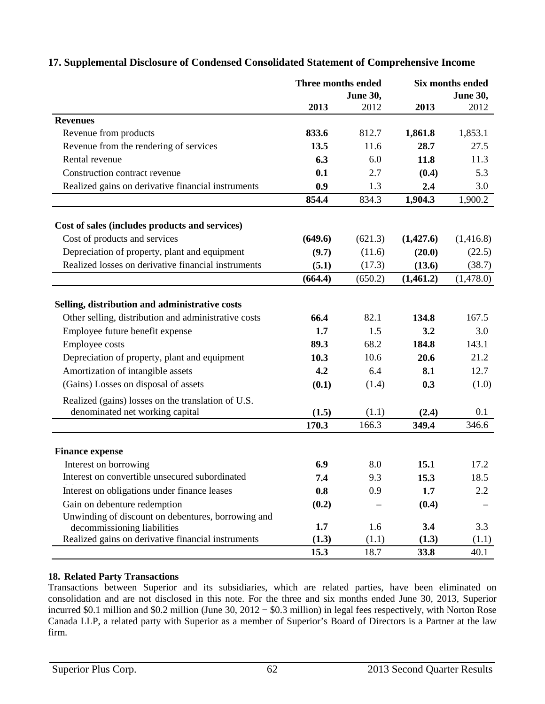|                                                      | Three months ended |          | <b>Six months ended</b> |           |
|------------------------------------------------------|--------------------|----------|-------------------------|-----------|
|                                                      |                    | June 30, |                         | June 30,  |
|                                                      | 2013               | 2012     | 2013                    | 2012      |
| <b>Revenues</b>                                      |                    |          |                         |           |
| Revenue from products                                | 833.6              | 812.7    | 1,861.8                 | 1,853.1   |
| Revenue from the rendering of services               | 13.5               | 11.6     | 28.7                    | 27.5      |
| Rental revenue                                       | 6.3                | 6.0      | 11.8                    | 11.3      |
| Construction contract revenue                        | 0.1                | 2.7      | (0.4)                   | 5.3       |
| Realized gains on derivative financial instruments   | 0.9                | 1.3      | 2.4                     | 3.0       |
|                                                      | 854.4              | 834.3    | 1,904.3                 | 1,900.2   |
| Cost of sales (includes products and services)       |                    |          |                         |           |
| Cost of products and services                        | (649.6)            | (621.3)  | (1,427.6)               | (1,416.8) |
| Depreciation of property, plant and equipment        | (9.7)              | (11.6)   | (20.0)                  | (22.5)    |
| Realized losses on derivative financial instruments  | (5.1)              | (17.3)   | (13.6)                  | (38.7)    |
|                                                      | (664.4)            | (650.2)  | (1,461.2)               | (1,478.0) |
| Selling, distribution and administrative costs       |                    |          |                         |           |
| Other selling, distribution and administrative costs | 66.4               | 82.1     | 134.8                   | 167.5     |
| Employee future benefit expense                      | 1.7                | 1.5      | 3.2                     | 3.0       |
| Employee costs                                       | 89.3               | 68.2     | 184.8                   | 143.1     |
| Depreciation of property, plant and equipment        | 10.3               | 10.6     | 20.6                    | 21.2      |
| Amortization of intangible assets                    | 4.2                | 6.4      | 8.1                     | 12.7      |
| (Gains) Losses on disposal of assets                 | (0.1)              | (1.4)    | 0.3                     | (1.0)     |
| Realized (gains) losses on the translation of U.S.   |                    |          |                         |           |
| denominated net working capital                      | (1.5)              | (1.1)    | (2.4)                   | 0.1       |
|                                                      | 170.3              | 166.3    | 349.4                   | 346.6     |
| <b>Finance expense</b>                               |                    |          |                         |           |
| Interest on borrowing                                | 6.9                | 8.0      | 15.1                    | 17.2      |
| Interest on convertible unsecured subordinated       | 7.4                | 9.3      | 15.3                    | 18.5      |
| Interest on obligations under finance leases         | 0.8                | 0.9      | 1.7                     | 2.2       |
| Gain on debenture redemption                         | (0.2)              |          | (0.4)                   |           |
| Unwinding of discount on debentures, borrowing and   |                    |          |                         |           |
| decommissioning liabilities                          | 1.7                | 1.6      | 3.4                     | 3.3       |
| Realized gains on derivative financial instruments   | (1.3)              | (1.1)    | (1.3)                   | (1.1)     |
|                                                      | 15.3               | 18.7     | 33.8                    | 40.1      |

# **17. Supplemental Disclosure of Condensed Consolidated Statement of Comprehensive Income**

#### **18. Related Party Transactions**

Transactions between Superior and its subsidiaries, which are related parties, have been eliminated on consolidation and are not disclosed in this note. For the three and six months ended June 30, 2013, Superior incurred \$0.1 million and \$0.2 million (June 30, 2012 − \$0.3 million) in legal fees respectively, with Norton Rose Canada LLP, a related party with Superior as a member of Superior's Board of Directors is a Partner at the law firm.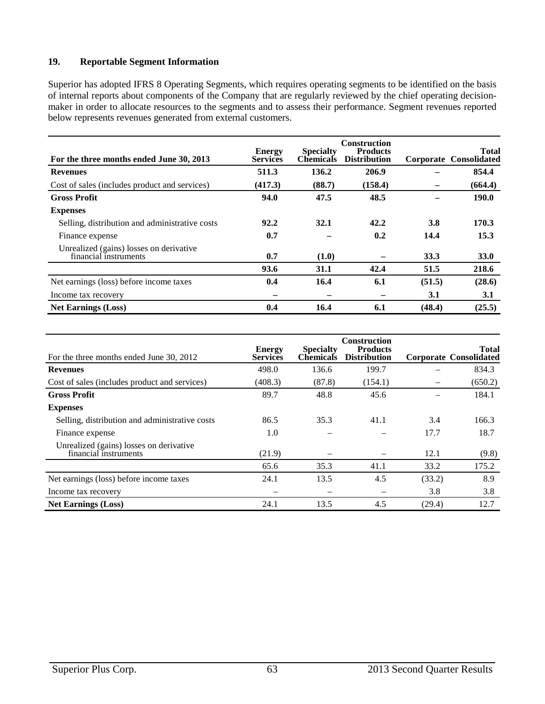#### **19. Reportable Segment Information**

Superior has adopted IFRS 8 Operating Segments, which requires operating segments to be identified on the basis of internal reports about components of the Company that are regularly reviewed by the chief operating decisionmaker in order to allocate resources to the segments and to assess their performance. Segment revenues reported below represents revenues generated from external customers.

| For the three months ended June 30, 2013                         | <b>Energy</b><br><b>Services</b> | <b>Specialty</b><br><b>Chemicals</b> | <b>Construction</b><br><b>Products</b><br><b>Distribution</b> |        | Total<br><b>Corporate Consolidated</b> |
|------------------------------------------------------------------|----------------------------------|--------------------------------------|---------------------------------------------------------------|--------|----------------------------------------|
| <b>Revenues</b>                                                  | 511.3                            | 136.2                                | 206.9                                                         |        | 854.4                                  |
| Cost of sales (includes product and services)                    | (417.3)                          | (88.7)                               | (158.4)                                                       |        | (664.4)                                |
| <b>Gross Profit</b>                                              | 94.0                             | 47.5                                 | 48.5                                                          |        | 190.0                                  |
| <b>Expenses</b>                                                  |                                  |                                      |                                                               |        |                                        |
| Selling, distribution and administrative costs                   | 92.2                             | 32.1                                 | 42.2                                                          | 3.8    | 170.3                                  |
| Finance expense                                                  | 0.7                              |                                      | 0.2                                                           | 14.4   | 15.3                                   |
| Unrealized (gains) losses on derivative<br>financial instruments | 0.7                              | (1.0)                                |                                                               | 33.3   | 33.0                                   |
|                                                                  | 93.6                             | 31.1                                 | 42.4                                                          | 51.5   | 218.6                                  |
| Net earnings (loss) before income taxes                          | 0.4                              | 16.4                                 | 6.1                                                           | (51.5) | (28.6)                                 |
| Income tax recovery                                              |                                  |                                      |                                                               | 3.1    | 3.1                                    |
| <b>Net Earnings (Loss)</b>                                       | 0.4                              | 16.4                                 | 6.1                                                           | (48.4) | (25.5)                                 |

| For the three months ended June 30, 2012                         | <b>Energy</b><br><b>Services</b> | <b>Specialty</b><br><b>Chemicals</b> | Construction<br><b>Products</b><br><b>Distribution</b> |        | <b>Total</b><br><b>Corporate Consolidated</b> |
|------------------------------------------------------------------|----------------------------------|--------------------------------------|--------------------------------------------------------|--------|-----------------------------------------------|
| <b>Revenues</b>                                                  | 498.0                            | 136.6                                | 199.7                                                  |        | 834.3                                         |
| Cost of sales (includes product and services)                    | (408.3)                          | (87.8)                               | (154.1)                                                |        | (650.2)                                       |
| <b>Gross Profit</b>                                              | 89.7                             | 48.8                                 | 45.6                                                   |        | 184.1                                         |
| <b>Expenses</b>                                                  |                                  |                                      |                                                        |        |                                               |
| Selling, distribution and administrative costs                   | 86.5                             | 35.3                                 | 41.1                                                   | 3.4    | 166.3                                         |
| Finance expense                                                  | 1.0                              |                                      |                                                        | 17.7   | 18.7                                          |
| Unrealized (gains) losses on derivative<br>financial instruments | (21.9)                           |                                      |                                                        | 12.1   | (9.8)                                         |
|                                                                  | 65.6                             | 35.3                                 | 41.1                                                   | 33.2   | 175.2                                         |
| Net earnings (loss) before income taxes                          | 24.1                             | 13.5                                 | 4.5                                                    | (33.2) | 8.9                                           |
| Income tax recovery                                              |                                  |                                      |                                                        | 3.8    | 3.8                                           |
| <b>Net Earnings (Loss)</b>                                       | 24.1                             | 13.5                                 | 4.5                                                    | (29.4) | 12.7                                          |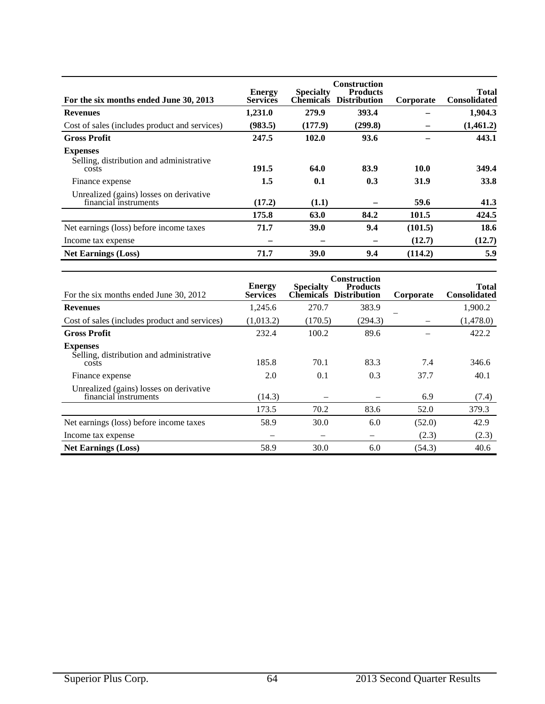| For the six months ended June 30, 2013                               | <b>Energy</b><br><b>Services</b> | <b>Specialty</b><br><b>Chemicals</b> | <b>Construction</b><br><b>Products</b><br><b>Distribution</b> | Corporate | <b>Total</b><br><b>Consolidated</b> |
|----------------------------------------------------------------------|----------------------------------|--------------------------------------|---------------------------------------------------------------|-----------|-------------------------------------|
| <b>Revenues</b>                                                      | 1,231.0                          | 279.9                                | 393.4                                                         |           | 1,904.3                             |
| Cost of sales (includes product and services)                        | (983.5)                          | (177.9)                              | (299.8)                                                       |           | (1,461.2)                           |
| <b>Gross Profit</b>                                                  | 247.5                            | 102.0                                | 93.6                                                          |           | 443.1                               |
| <b>Expenses</b><br>Selling, distribution and administrative<br>costs | 191.5                            | 64.0                                 | 83.9                                                          | 10.0      | 349.4                               |
| Finance expense                                                      | 1.5                              | 0.1                                  | 0.3                                                           | 31.9      | 33.8                                |
| Unrealized (gains) losses on derivative<br>financial instruments     | (17.2)                           | (1.1)                                |                                                               | 59.6      | 41.3                                |
|                                                                      | 175.8                            | 63.0                                 | 84.2                                                          | 101.5     | 424.5                               |
| Net earnings (loss) before income taxes                              | 71.7                             | 39.0                                 | 9.4                                                           | (101.5)   | 18.6                                |
| Income tax expense                                                   |                                  |                                      |                                                               | (12.7)    | (12.7)                              |
| <b>Net Earnings (Loss)</b>                                           | 71.7                             | 39.0                                 | 9.4                                                           | (114.2)   | 5.9                                 |

| For the six months ended June 30, 2012                               | <b>Energy</b><br><b>Services</b> | <b>Specialty</b> | <b>Construction</b><br><b>Products</b><br><b>Chemicals</b> Distribution | Corporate | <b>Total</b><br><b>Consolidated</b> |
|----------------------------------------------------------------------|----------------------------------|------------------|-------------------------------------------------------------------------|-----------|-------------------------------------|
|                                                                      |                                  |                  |                                                                         |           |                                     |
| <b>Revenues</b>                                                      | 1,245.6                          | 270.7            | 383.9                                                                   |           | 1,900.2                             |
| Cost of sales (includes product and services)                        | (1,013.2)                        | (170.5)          | (294.3)                                                                 |           | (1,478.0)                           |
| <b>Gross Profit</b>                                                  | 232.4                            | 100.2            | 89.6                                                                    |           | 422.2                               |
| <b>Expenses</b><br>Selling, distribution and administrative<br>costs | 185.8                            | 70.1             | 83.3                                                                    | 7.4       | 346.6                               |
| Finance expense                                                      | 2.0                              | 0.1              | 0.3                                                                     | 37.7      | 40.1                                |
| Unrealized (gains) losses on derivative<br>financial instruments     | (14.3)                           |                  |                                                                         | 6.9       | (7.4)                               |
|                                                                      | 173.5                            | 70.2             | 83.6                                                                    | 52.0      | 379.3                               |
| Net earnings (loss) before income taxes                              | 58.9                             | 30.0             | 6.0                                                                     | (52.0)    | 42.9                                |
| Income tax expense                                                   |                                  |                  |                                                                         | (2.3)     | (2.3)                               |
| <b>Net Earnings (Loss)</b>                                           | 58.9                             | 30.0             | 6.0                                                                     | (54.3)    | 40.6                                |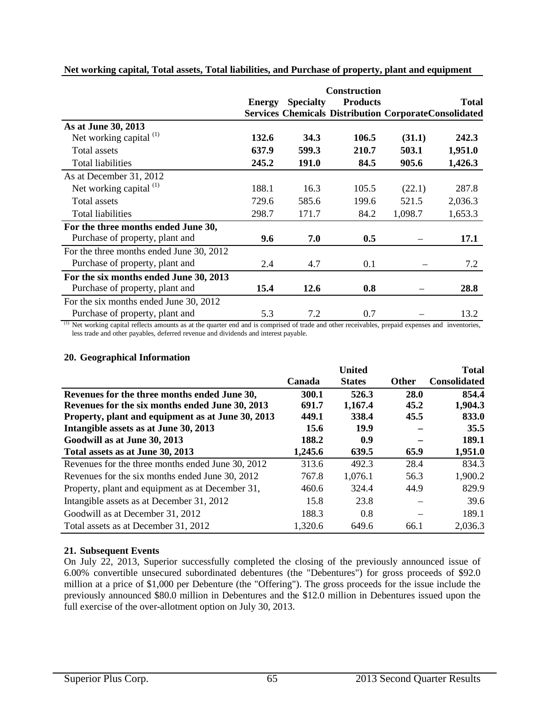|                                          | <b>Construction</b> |                  |                                                                                 |         |              |
|------------------------------------------|---------------------|------------------|---------------------------------------------------------------------------------|---------|--------------|
|                                          | <b>Energy</b>       | <b>Specialty</b> | <b>Products</b><br><b>Services Chemicals Distribution CorporateConsolidated</b> |         | <b>Total</b> |
| As at June 30, 2013                      |                     |                  |                                                                                 |         |              |
| Net working capital <sup>(1)</sup>       | 132.6               | 34.3             | 106.5                                                                           | (31.1)  | 242.3        |
| Total assets                             | 637.9               | 599.3            | 210.7                                                                           | 503.1   | 1,951.0      |
| Total liabilities                        | 245.2               | 191.0            | 84.5                                                                            | 905.6   | 1,426.3      |
| As at December 31, 2012                  |                     |                  |                                                                                 |         |              |
| Net working capital $(1)$                | 188.1               | 16.3             | 105.5                                                                           | (22.1)  | 287.8        |
| Total assets                             | 729.6               | 585.6            | 199.6                                                                           | 521.5   | 2,036.3      |
| Total liabilities                        | 298.7               | 171.7            | 84.2                                                                            | 1,098.7 | 1,653.3      |
| For the three months ended June 30,      |                     |                  |                                                                                 |         |              |
| Purchase of property, plant and          | 9.6                 | 7.0              | 0.5                                                                             |         | 17.1         |
| For the three months ended June 30, 2012 |                     |                  |                                                                                 |         |              |
| Purchase of property, plant and          | 2.4                 | 4.7              | 0.1                                                                             |         | 7.2          |
| For the six months ended June 30, 2013   |                     |                  |                                                                                 |         |              |
| Purchase of property, plant and          | 15.4                | 12.6             | 0.8                                                                             |         | 28.8         |
| For the six months ended June 30, 2012   |                     |                  |                                                                                 |         |              |
| Purchase of property, plant and          | 5.3                 | 7.2              | 0.7                                                                             |         | 13.2         |

**Net working capital, Total assets, Total liabilities, and Purchase of property, plant and equipment**

<sup>(1)</sup> Net working capital reflects amounts as at the quarter end and is comprised of trade and other receivables, prepaid expenses and inventories, less trade and other payables, deferred revenue and dividends and interest payable.

#### **20. Geographical Information**

|                                                   | <b>United</b> |               |              | <b>Total</b>        |  |
|---------------------------------------------------|---------------|---------------|--------------|---------------------|--|
|                                                   | Canada        | <b>States</b> | <b>Other</b> | <b>Consolidated</b> |  |
| Revenues for the three months ended June 30,      | 300.1         | 526.3         | 28.0         | 854.4               |  |
| Revenues for the six months ended June 30, 2013   | 691.7         | 1,167.4       | 45.2         | 1,904.3             |  |
| Property, plant and equipment as at June 30, 2013 | 449.1         | 338.4         | 45.5         | 833.0               |  |
| Intangible assets as at June 30, 2013             | 15.6          | 19.9          |              | 35.5                |  |
| Goodwill as at June 30, 2013                      | 188.2         | 0.9           |              | 189.1               |  |
| Total assets as at June 30, 2013                  | 1,245.6       | 639.5         | 65.9         | 1,951.0             |  |
| Revenues for the three months ended June 30, 2012 | 313.6         | 492.3         | 28.4         | 834.3               |  |
| Revenues for the six months ended June 30, 2012   | 767.8         | 1,076.1       | 56.3         | 1,900.2             |  |
| Property, plant and equipment as at December 31,  | 460.6         | 324.4         | 44.9         | 829.9               |  |
| Intangible assets as at December 31, 2012         | 15.8          | 23.8          |              | 39.6                |  |
| Goodwill as at December 31, 2012                  | 188.3         | 0.8           |              | 189.1               |  |
| Total assets as at December 31, 2012              | 1,320.6       | 649.6         | 66.1         | 2,036.3             |  |

#### **21. Subsequent Events**

On July 22, 2013, Superior successfully completed the closing of the previously announced issue of 6.00% convertible unsecured subordinated debentures (the "Debentures") for gross proceeds of \$92.0 million at a price of \$1,000 per Debenture (the "Offering"). The gross proceeds for the issue include the previously announced \$80.0 million in Debentures and the \$12.0 million in Debentures issued upon the full exercise of the over-allotment option on July 30, 2013.